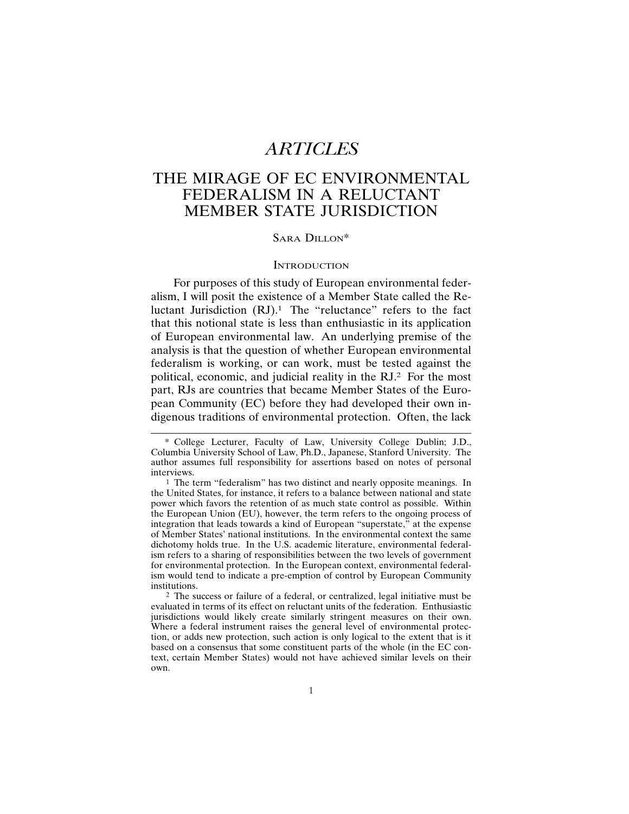# *ARTICLES*

# THE MIRAGE OF EC ENVIRONMENTAL FEDERALISM IN A RELUCTANT MEMBER STATE JURISDICTION

## SARA DILLON\*

## **INTRODUCTION**

For purposes of this study of European environmental federalism, I will posit the existence of a Member State called the Reluctant Jurisdiction  $(RJ)$ .<sup>1</sup> The "reluctance" refers to the fact that this notional state is less than enthusiastic in its application of European environmental law. An underlying premise of the analysis is that the question of whether European environmental federalism is working, or can work, must be tested against the political, economic, and judicial reality in the RJ.2 For the most part, RJs are countries that became Member States of the European Community (EC) before they had developed their own indigenous traditions of environmental protection. Often, the lack

<sup>\*</sup> College Lecturer, Faculty of Law, University College Dublin; J.D., Columbia University School of Law, Ph.D., Japanese, Stanford University. The author assumes full responsibility for assertions based on notes of personal interviews.

<sup>1</sup> The term "federalism" has two distinct and nearly opposite meanings. In the United States, for instance, it refers to a balance between national and state power which favors the retention of as much state control as possible. Within the European Union (EU), however, the term refers to the ongoing process of integration that leads towards a kind of European "superstate," at the expense of Member States' national institutions. In the environmental context the same dichotomy holds true. In the U.S. academic literature, environmental federalism refers to a sharing of responsibilities between the two levels of government for environmental protection. In the European context, environmental federalism would tend to indicate a pre-emption of control by European Community institutions.

<sup>2</sup> The success or failure of a federal, or centralized, legal initiative must be evaluated in terms of its effect on reluctant units of the federation. Enthusiastic jurisdictions would likely create similarly stringent measures on their own. Where a federal instrument raises the general level of environmental protection, or adds new protection, such action is only logical to the extent that is it based on a consensus that some constituent parts of the whole (in the EC context, certain Member States) would not have achieved similar levels on their own.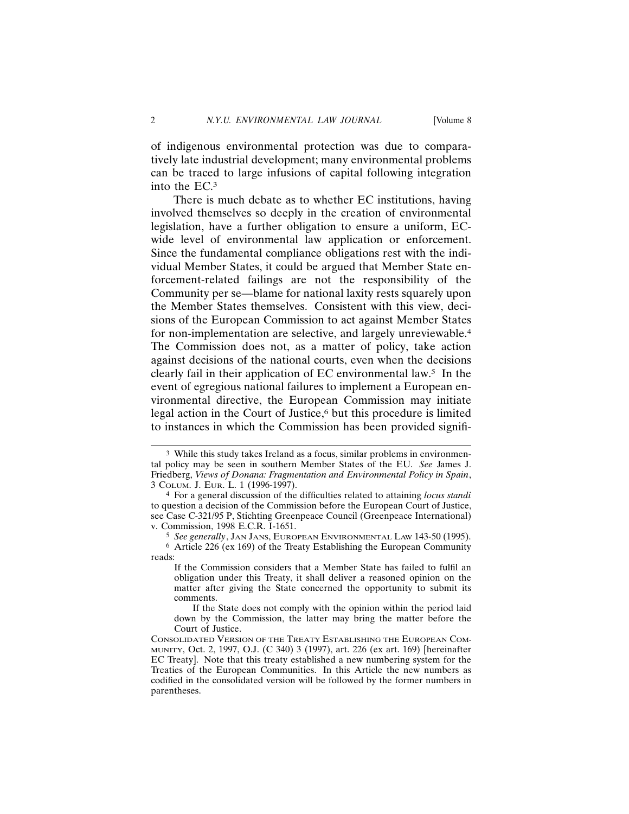of indigenous environmental protection was due to comparatively late industrial development; many environmental problems can be traced to large infusions of capital following integration into the EC.3

There is much debate as to whether EC institutions, having involved themselves so deeply in the creation of environmental legislation, have a further obligation to ensure a uniform, ECwide level of environmental law application or enforcement. Since the fundamental compliance obligations rest with the individual Member States, it could be argued that Member State enforcement-related failings are not the responsibility of the Community per se—blame for national laxity rests squarely upon the Member States themselves. Consistent with this view, decisions of the European Commission to act against Member States for non-implementation are selective, and largely unreviewable.4 The Commission does not, as a matter of policy, take action against decisions of the national courts, even when the decisions clearly fail in their application of EC environmental law. $5$  In the event of egregious national failures to implement a European environmental directive, the European Commission may initiate legal action in the Court of Justice, $6$  but this procedure is limited to instances in which the Commission has been provided signifi-

<sup>3</sup> While this study takes Ireland as a focus, similar problems in environmental policy may be seen in southern Member States of the EU. *See* James J. Friedberg, *Views of Donana: Fragmentation and Environmental Policy in Spain*, 3 COLUM. J. EUR. L. 1 (1996-1997).

<sup>4</sup> For a general discussion of the difficulties related to attaining *locus standi* to question a decision of the Commission before the European Court of Justice, see Case C-321/95 P, Stichting Greenpeace Council (Greenpeace International) v. Commission, 1998 E.C.R. I-1651.

<sup>5</sup> *See generally*, JAN JANS, EUROPEAN ENVIRONMENTAL LAW 143-50 (1995).

<sup>6</sup> Article 226 (ex 169) of the Treaty Establishing the European Community reads:

If the Commission considers that a Member State has failed to fulfil an obligation under this Treaty, it shall deliver a reasoned opinion on the matter after giving the State concerned the opportunity to submit its comments.

If the State does not comply with the opinion within the period laid down by the Commission, the latter may bring the matter before the Court of Justice.

CONSOLIDATED VERSION OF THE TREATY ESTABLISHING THE EUROPEAN COM-MUNITY, Oct. 2, 1997, O.J. (C 340) 3 (1997), art. 226 (ex art. 169) [hereinafter EC Treaty]. Note that this treaty established a new numbering system for the Treaties of the European Communities. In this Article the new numbers as codified in the consolidated version will be followed by the former numbers in parentheses.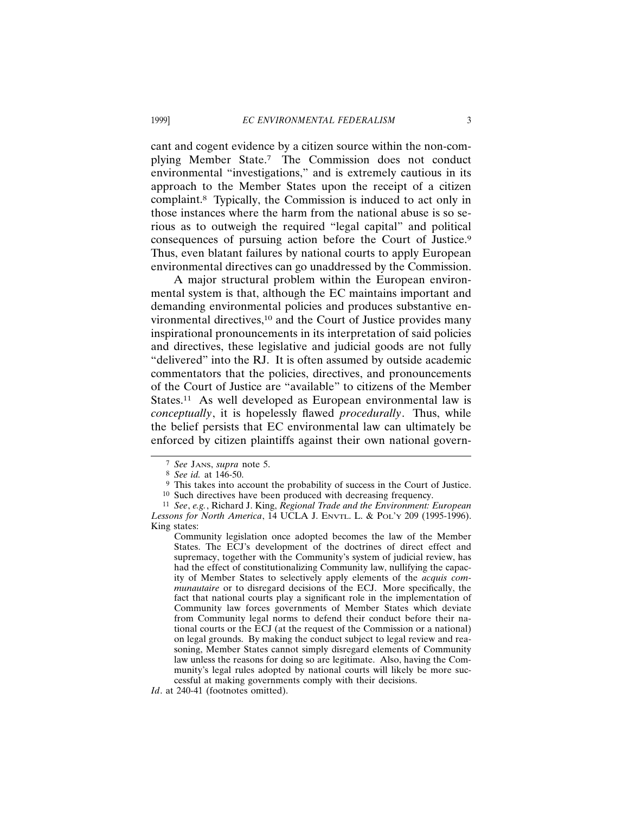cant and cogent evidence by a citizen source within the non-complying Member State.7 The Commission does not conduct environmental "investigations," and is extremely cautious in its approach to the Member States upon the receipt of a citizen complaint.8 Typically, the Commission is induced to act only in those instances where the harm from the national abuse is so serious as to outweigh the required "legal capital" and political consequences of pursuing action before the Court of Justice.9 Thus, even blatant failures by national courts to apply European environmental directives can go unaddressed by the Commission.

A major structural problem within the European environmental system is that, although the EC maintains important and demanding environmental policies and produces substantive environmental directives,<sup>10</sup> and the Court of Justice provides many inspirational pronouncements in its interpretation of said policies and directives, these legislative and judicial goods are not fully "delivered" into the RJ. It is often assumed by outside academic commentators that the policies, directives, and pronouncements of the Court of Justice are "available" to citizens of the Member States.<sup>11</sup> As well developed as European environmental law is *conceptually*, it is hopelessly flawed *procedurally*. Thus, while the belief persists that EC environmental law can ultimately be enforced by citizen plaintiffs against their own national govern-

<sup>7</sup> *See* JANS, *supra* note 5.

<sup>8</sup> *See id.* at 146-50.

<sup>9</sup> This takes into account the probability of success in the Court of Justice.

<sup>10</sup> Such directives have been produced with decreasing frequency.

<sup>11</sup> *See*, *e.g.*, Richard J. King, *Regional Trade and the Environment: European Lessons for North America*, 14 UCLA J. ENVTL. L. & POL'Y 209 (1995-1996). King states:

Community legislation once adopted becomes the law of the Member States. The ECJ's development of the doctrines of direct effect and supremacy, together with the Community's system of judicial review, has had the effect of constitutionalizing Community law, nullifying the capacity of Member States to selectively apply elements of the *acquis communautaire* or to disregard decisions of the ECJ. More specifically, the fact that national courts play a significant role in the implementation of Community law forces governments of Member States which deviate from Community legal norms to defend their conduct before their national courts or the ECJ (at the request of the Commission or a national) on legal grounds. By making the conduct subject to legal review and reasoning, Member States cannot simply disregard elements of Community law unless the reasons for doing so are legitimate. Also, having the Community's legal rules adopted by national courts will likely be more successful at making governments comply with their decisions.

Id. at 240-41 (footnotes omitted).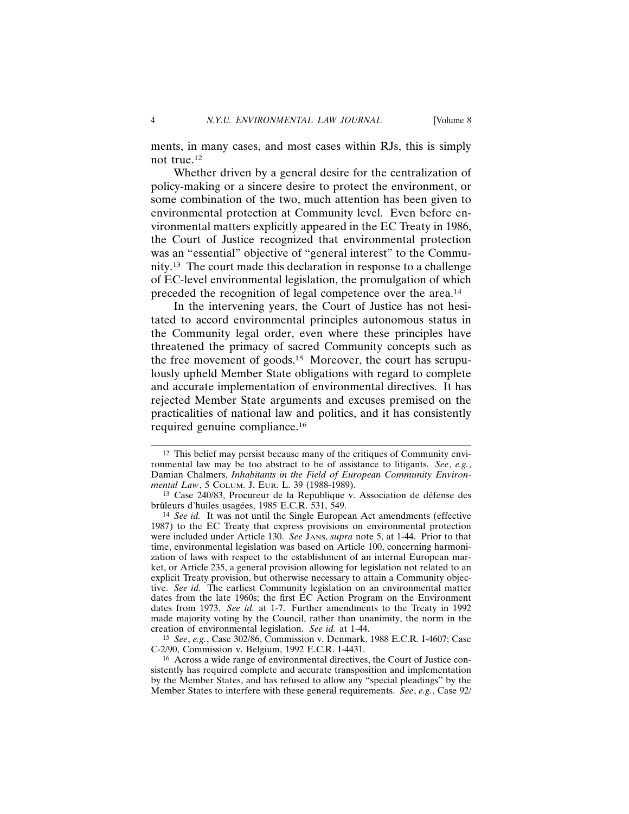ments, in many cases, and most cases within RJs, this is simply not true.12

Whether driven by a general desire for the centralization of policy-making or a sincere desire to protect the environment, or some combination of the two, much attention has been given to environmental protection at Community level. Even before environmental matters explicitly appeared in the EC Treaty in 1986, the Court of Justice recognized that environmental protection was an "essential" objective of "general interest" to the Community.13 The court made this declaration in response to a challenge of EC-level environmental legislation, the promulgation of which preceded the recognition of legal competence over the area.14

In the intervening years, the Court of Justice has not hesitated to accord environmental principles autonomous status in the Community legal order, even where these principles have threatened the primacy of sacred Community concepts such as the free movement of goods.15 Moreover, the court has scrupulously upheld Member State obligations with regard to complete and accurate implementation of environmental directives. It has rejected Member State arguments and excuses premised on the practicalities of national law and politics, and it has consistently required genuine compliance.16

<sup>12</sup> This belief may persist because many of the critiques of Community environmental law may be too abstract to be of assistance to litigants. *See*, *e.g.*, Damian Chalmers, *Inhabitants in the Field of European Community Environmental Law*, 5 COLUM. J. EUR. L. 39 (1988-1989).

<sup>&</sup>lt;sup>13</sup> Case 240/83, Procureur de la Republique v. Association de défense des brûleurs d'huiles usagées, 1985 E.C.R. 531, 549.

<sup>14</sup> *See id.* It was not until the Single European Act amendments (effective 1987) to the EC Treaty that express provisions on environmental protection were included under Article 130. *See* JANS, *supra* note 5, at 1-44. Prior to that time, environmental legislation was based on Article 100, concerning harmonization of laws with respect to the establishment of an internal European market, or Article 235, a general provision allowing for legislation not related to an explicit Treaty provision, but otherwise necessary to attain a Community objective. *See id.* The earliest Community legislation on an environmental matter dates from the late 1960s; the first EC Action Program on the Environment dates from 1973. *See id.* at 1-7. Further amendments to the Treaty in 1992 made majority voting by the Council, rather than unanimity, the norm in the creation of environmental legislation. *See id.* at 1-44.

<sup>15</sup> *See*, *e.g.*, Case 302/86, Commission v. Denmark, 1988 E.C.R. I-4607; Case C-2/90, Commission v. Belgium, 1992 E.C.R. I-4431.

<sup>16</sup> Across a wide range of environmental directives, the Court of Justice consistently has required complete and accurate transposition and implementation by the Member States, and has refused to allow any "special pleadings" by the Member States to interfere with these general requirements. *See*, *e.g.*, Case 92/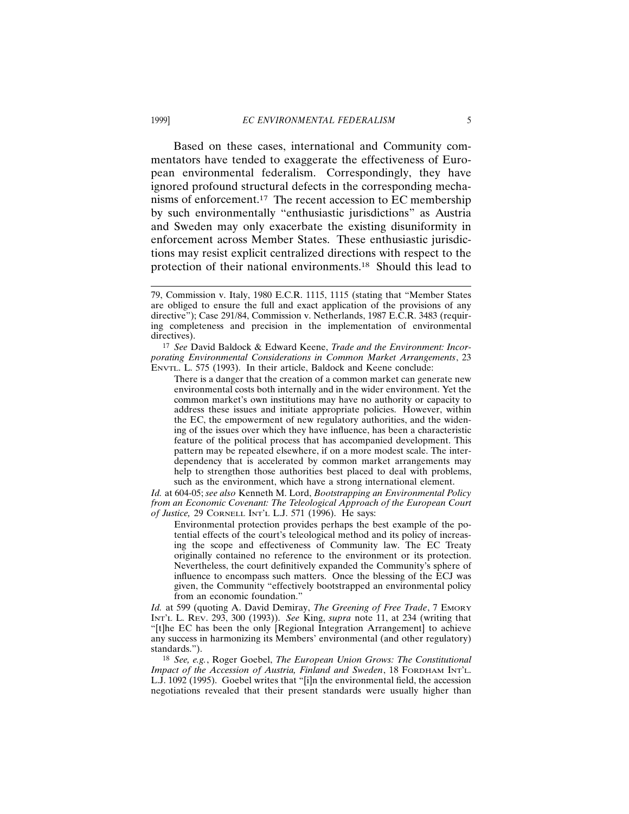Based on these cases, international and Community commentators have tended to exaggerate the effectiveness of European environmental federalism. Correspondingly, they have ignored profound structural defects in the corresponding mechanisms of enforcement.<sup>17</sup> The recent accession to EC membership by such environmentally "enthusiastic jurisdictions" as Austria and Sweden may only exacerbate the existing disuniformity in enforcement across Member States. These enthusiastic jurisdictions may resist explicit centralized directions with respect to the protection of their national environments.18 Should this lead to

17 *See* David Baldock & Edward Keene, *Trade and the Environment: Incorporating Environmental Considerations in Common Market Arrangements*, 23 ENVTL. L. 575 (1993). In their article, Baldock and Keene conclude:

There is a danger that the creation of a common market can generate new environmental costs both internally and in the wider environment. Yet the common market's own institutions may have no authority or capacity to address these issues and initiate appropriate policies. However, within the EC, the empowerment of new regulatory authorities, and the widening of the issues over which they have influence, has been a characteristic feature of the political process that has accompanied development. This pattern may be repeated elsewhere, if on a more modest scale. The interdependency that is accelerated by common market arrangements may help to strengthen those authorities best placed to deal with problems, such as the environment, which have a strong international element.

*Id.* at 604-05; *see also* Kenneth M. Lord, *Bootstrapping an Environmental Policy from an Economic Covenant: The Teleological Approach of the European Court of Justice,* 29 CORNELL INT'L L.J. 571 (1996). He says:

Environmental protection provides perhaps the best example of the potential effects of the court's teleological method and its policy of increasing the scope and effectiveness of Community law. The EC Treaty originally contained no reference to the environment or its protection. Nevertheless, the court definitively expanded the Community's sphere of influence to encompass such matters. Once the blessing of the ECJ was given, the Community "effectively bootstrapped an environmental policy from an economic foundation."

*Id.* at 599 (quoting A. David Demiray, *The Greening of Free Trade*, 7 EMORY INT'L L. REV. 293, 300 (1993)). *See* King, *supra* note 11, at 234 (writing that "[t]he EC has been the only [Regional Integration Arrangement] to achieve any success in harmonizing its Members' environmental (and other regulatory) standards.").

18 *See, e.g.*, Roger Goebel, *The European Union Grows: The Constitutional Impact of the Accession of Austria, Finland and Sweden*, 18 FORDHAM INT'L. L.J. 1092 (1995). Goebel writes that "[i]n the environmental field, the accession negotiations revealed that their present standards were usually higher than

<sup>79,</sup> Commission v. Italy, 1980 E.C.R. 1115, 1115 (stating that "Member States are obliged to ensure the full and exact application of the provisions of any directive"); Case 291/84, Commission v. Netherlands, 1987 E.C.R. 3483 (requiring completeness and precision in the implementation of environmental directives).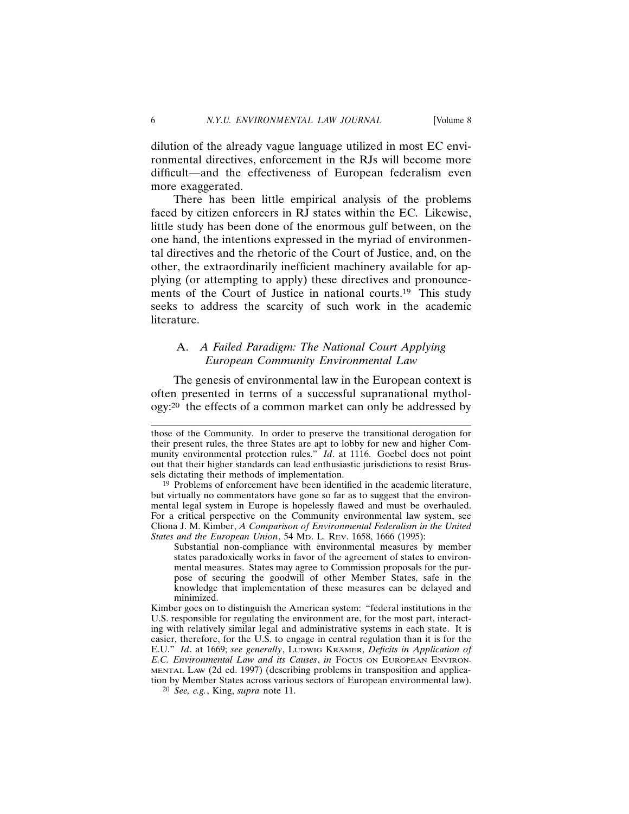dilution of the already vague language utilized in most EC environmental directives, enforcement in the RJs will become more difficult—and the effectiveness of European federalism even more exaggerated.

There has been little empirical analysis of the problems faced by citizen enforcers in RJ states within the EC. Likewise, little study has been done of the enormous gulf between, on the one hand, the intentions expressed in the myriad of environmental directives and the rhetoric of the Court of Justice, and, on the other, the extraordinarily inefficient machinery available for applying (or attempting to apply) these directives and pronouncements of the Court of Justice in national courts.<sup>19</sup> This study seeks to address the scarcity of such work in the academic literature.

## A. *A Failed Paradigm: The National Court Applying European Community Environmental Law*

The genesis of environmental law in the European context is often presented in terms of a successful supranational mythology:20 the effects of a common market can only be addressed by

those of the Community. In order to preserve the transitional derogation for their present rules, the three States are apt to lobby for new and higher Community environmental protection rules." *Id.* at 1116. Goebel does not point out that their higher standards can lead enthusiastic jurisdictions to resist Brussels dictating their methods of implementation.

<sup>&</sup>lt;sup>19</sup> Problems of enforcement have been identified in the academic literature, but virtually no commentators have gone so far as to suggest that the environmental legal system in Europe is hopelessly flawed and must be overhauled. For a critical perspective on the Community environmental law system, see Cliona J. M. Kimber, *A Comparison of Environmental Federalism in the United States and the European Union*, 54 MD. L. REV. 1658, 1666 (1995):

Substantial non-compliance with environmental measures by member states paradoxically works in favor of the agreement of states to environmental measures. States may agree to Commission proposals for the purpose of securing the goodwill of other Member States, safe in the knowledge that implementation of these measures can be delayed and minimized.

Kimber goes on to distinguish the American system: "federal institutions in the U.S. responsible for regulating the environment are, for the most part, interacting with relatively similar legal and administrative systems in each state. It is easier, therefore, for the U.S. to engage in central regulation than it is for the E.U." *Id.* at 1669; see generally, LUDWIG KRAMER, Deficits in Application of *E.C. Environmental Law and its Causes*, *in* FOCUS ON EUROPEAN ENVIRON-MENTAL LAW (2d ed. 1997) (describing problems in transposition and application by Member States across various sectors of European environmental law).

<sup>20</sup> *See, e.g.*, King, *supra* note 11.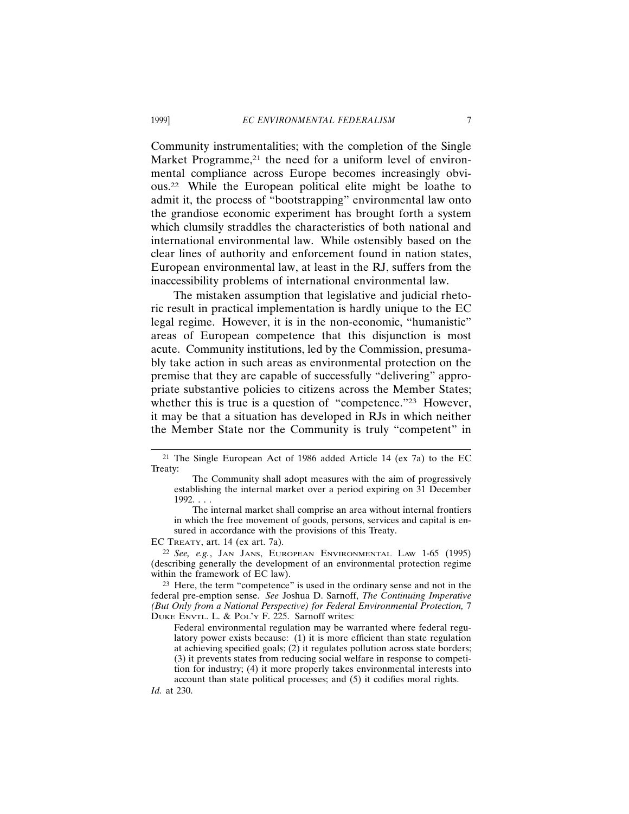Community instrumentalities; with the completion of the Single Market Programme,<sup>21</sup> the need for a uniform level of environmental compliance across Europe becomes increasingly obvious.22 While the European political elite might be loathe to admit it, the process of "bootstrapping" environmental law onto the grandiose economic experiment has brought forth a system which clumsily straddles the characteristics of both national and international environmental law. While ostensibly based on the clear lines of authority and enforcement found in nation states, European environmental law, at least in the RJ, suffers from the inaccessibility problems of international environmental law.

The mistaken assumption that legislative and judicial rhetoric result in practical implementation is hardly unique to the EC legal regime. However, it is in the non-economic, "humanistic" areas of European competence that this disjunction is most acute. Community institutions, led by the Commission, presumably take action in such areas as environmental protection on the premise that they are capable of successfully "delivering" appropriate substantive policies to citizens across the Member States; whether this is true is a question of "competence."<sup>23</sup> However, it may be that a situation has developed in RJs in which neither the Member State nor the Community is truly "competent" in

EC TREATY, art. 14 (ex art. 7a).

22 *See, e.g.*, JAN JANS, EUROPEAN ENVIRONMENTAL LAW 1-65 (1995) (describing generally the development of an environmental protection regime within the framework of EC law).

23 Here, the term "competence" is used in the ordinary sense and not in the federal pre-emption sense. *See* Joshua D. Sarnoff, *The Continuing Imperative (But Only from a National Perspective) for Federal Environmental Protection,* 7 DUKE ENVTL. L. & POL'Y F. 225. Sarnoff writes:

Federal environmental regulation may be warranted where federal regulatory power exists because: (1) it is more efficient than state regulation at achieving specified goals; (2) it regulates pollution across state borders; (3) it prevents states from reducing social welfare in response to competition for industry; (4) it more properly takes environmental interests into account than state political processes; and (5) it codifies moral rights. *Id.* at 230.

<sup>21</sup> The Single European Act of 1986 added Article 14 (ex 7a) to the EC Treaty:

The Community shall adopt measures with the aim of progressively establishing the internal market over a period expiring on 31 December 1992. . . .

The internal market shall comprise an area without internal frontiers in which the free movement of goods, persons, services and capital is ensured in accordance with the provisions of this Treaty.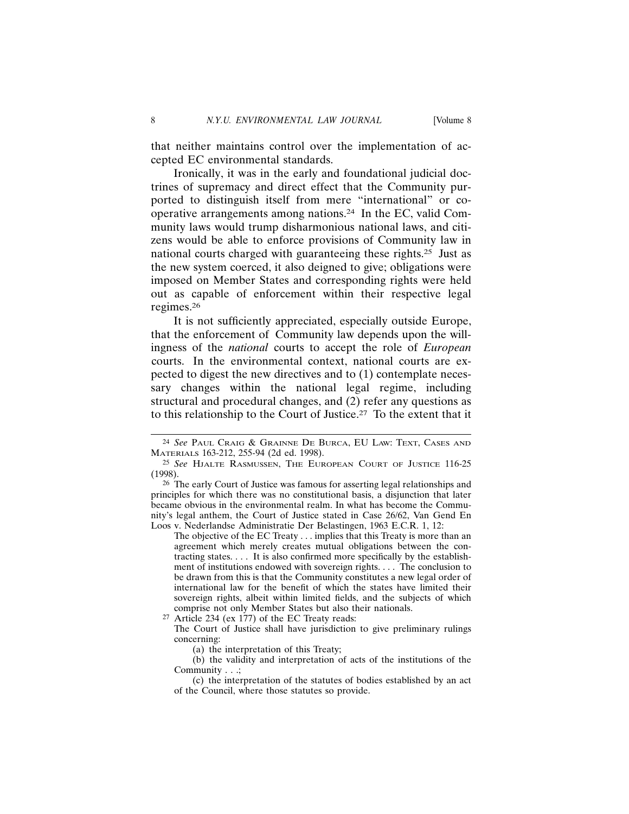that neither maintains control over the implementation of accepted EC environmental standards.

Ironically, it was in the early and foundational judicial doctrines of supremacy and direct effect that the Community purported to distinguish itself from mere "international" or cooperative arrangements among nations.24 In the EC, valid Community laws would trump disharmonious national laws, and citizens would be able to enforce provisions of Community law in national courts charged with guaranteeing these rights.25 Just as the new system coerced, it also deigned to give; obligations were imposed on Member States and corresponding rights were held out as capable of enforcement within their respective legal regimes.26

It is not sufficiently appreciated, especially outside Europe, that the enforcement of Community law depends upon the willingness of the *national* courts to accept the role of *European* courts. In the environmental context, national courts are expected to digest the new directives and to (1) contemplate necessary changes within the national legal regime, including structural and procedural changes, and (2) refer any questions as to this relationship to the Court of Justice.27 To the extent that it

27 Article 234 (ex 177) of the EC Treaty reads:

<sup>24</sup> *See* PAUL CRAIG & GRAINNE DE BURCA, EU LAW: TEXT, CASES AND MATERIALS 163-212, 255-94 (2d ed. 1998).

<sup>25</sup> *See* HJALTE RASMUSSEN, THE EUROPEAN COURT OF JUSTICE 116-25 (1998).

<sup>26</sup> The early Court of Justice was famous for asserting legal relationships and principles for which there was no constitutional basis, a disjunction that later became obvious in the environmental realm. In what has become the Community's legal anthem, the Court of Justice stated in Case 26/62, Van Gend En Loos v. Nederlandse Administratie Der Belastingen, 1963 E.C.R. 1, 12:

The objective of the EC Treaty . . . implies that this Treaty is more than an agreement which merely creates mutual obligations between the contracting states. . . . It is also confirmed more specifically by the establishment of institutions endowed with sovereign rights. . . . The conclusion to be drawn from this is that the Community constitutes a new legal order of international law for the benefit of which the states have limited their sovereign rights, albeit within limited fields, and the subjects of which comprise not only Member States but also their nationals.

The Court of Justice shall have jurisdiction to give preliminary rulings concerning:

<sup>(</sup>a) the interpretation of this Treaty;

<sup>(</sup>b) the validity and interpretation of acts of the institutions of the Community . . .:

<sup>(</sup>c) the interpretation of the statutes of bodies established by an act of the Council, where those statutes so provide.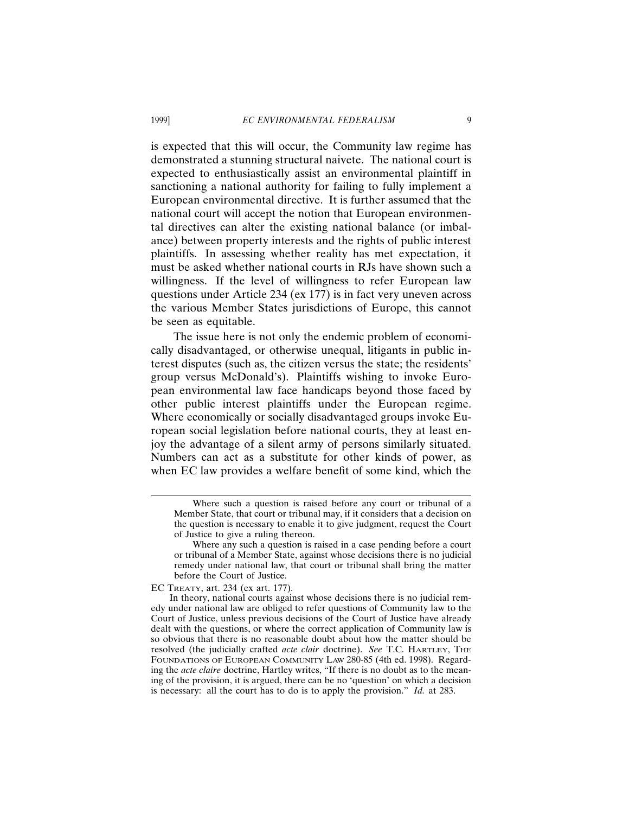is expected that this will occur, the Community law regime has demonstrated a stunning structural naivete. The national court is expected to enthusiastically assist an environmental plaintiff in sanctioning a national authority for failing to fully implement a European environmental directive. It is further assumed that the national court will accept the notion that European environmental directives can alter the existing national balance (or imbalance) between property interests and the rights of public interest plaintiffs. In assessing whether reality has met expectation, it must be asked whether national courts in RJs have shown such a willingness. If the level of willingness to refer European law questions under Article 234 (ex 177) is in fact very uneven across the various Member States jurisdictions of Europe, this cannot be seen as equitable.

The issue here is not only the endemic problem of economically disadvantaged, or otherwise unequal, litigants in public interest disputes (such as, the citizen versus the state; the residents' group versus McDonald's). Plaintiffs wishing to invoke European environmental law face handicaps beyond those faced by other public interest plaintiffs under the European regime. Where economically or socially disadvantaged groups invoke European social legislation before national courts, they at least enjoy the advantage of a silent army of persons similarly situated. Numbers can act as a substitute for other kinds of power, as when EC law provides a welfare benefit of some kind, which the

EC TREATY, art. 234 (ex art. 177).

Where such a question is raised before any court or tribunal of a Member State, that court or tribunal may, if it considers that a decision on the question is necessary to enable it to give judgment, request the Court of Justice to give a ruling thereon.

Where any such a question is raised in a case pending before a court or tribunal of a Member State, against whose decisions there is no judicial remedy under national law, that court or tribunal shall bring the matter before the Court of Justice.

In theory, national courts against whose decisions there is no judicial remedy under national law are obliged to refer questions of Community law to the Court of Justice, unless previous decisions of the Court of Justice have already dealt with the questions, or where the correct application of Community law is so obvious that there is no reasonable doubt about how the matter should be resolved (the judicially crafted *acte clair* doctrine). *See* T.C. HARTLEY, THE FOUNDATIONS OF EUROPEAN COMMUNITY LAW 280-85 (4th ed. 1998). Regarding the *acte claire* doctrine, Hartley writes, "If there is no doubt as to the meaning of the provision, it is argued, there can be no 'question' on which a decision is necessary: all the court has to do is to apply the provision." *Id.* at 283.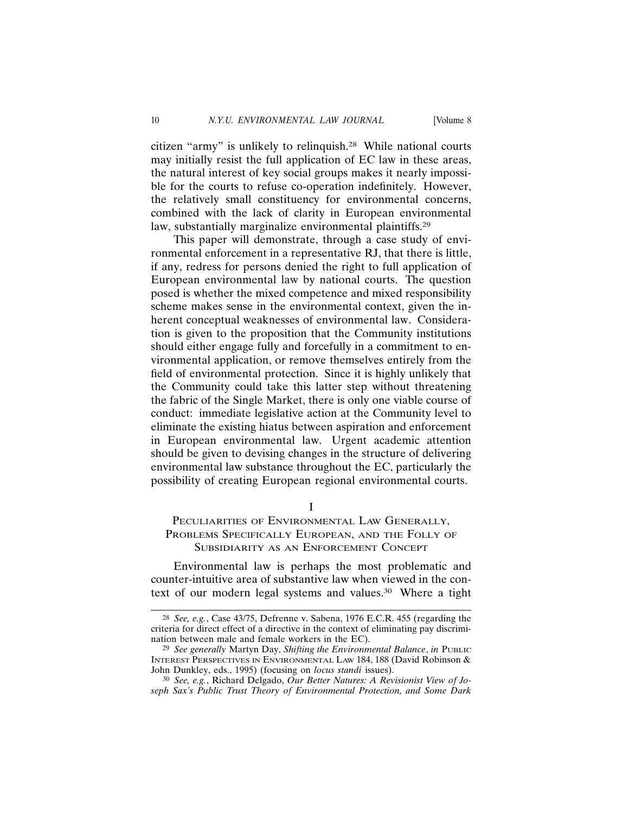citizen "army" is unlikely to relinquish.28 While national courts may initially resist the full application of EC law in these areas, the natural interest of key social groups makes it nearly impossible for the courts to refuse co-operation indefinitely. However, the relatively small constituency for environmental concerns, combined with the lack of clarity in European environmental law, substantially marginalize environmental plaintiffs.<sup>29</sup>

This paper will demonstrate, through a case study of environmental enforcement in a representative RJ, that there is little, if any, redress for persons denied the right to full application of European environmental law by national courts. The question posed is whether the mixed competence and mixed responsibility scheme makes sense in the environmental context, given the inherent conceptual weaknesses of environmental law. Consideration is given to the proposition that the Community institutions should either engage fully and forcefully in a commitment to environmental application, or remove themselves entirely from the field of environmental protection. Since it is highly unlikely that the Community could take this latter step without threatening the fabric of the Single Market, there is only one viable course of conduct: immediate legislative action at the Community level to eliminate the existing hiatus between aspiration and enforcement in European environmental law. Urgent academic attention should be given to devising changes in the structure of delivering environmental law substance throughout the EC, particularly the possibility of creating European regional environmental courts.

I

## PECULIARITIES OF ENVIRONMENTAL LAW GENERALLY, PROBLEMS SPECIFICALLY EUROPEAN, AND THE FOLLY OF SUBSIDIARITY AS AN ENFORCEMENT CONCEPT

Environmental law is perhaps the most problematic and counter-intuitive area of substantive law when viewed in the context of our modern legal systems and values.30 Where a tight

<sup>28</sup> *See, e.g.*, Case 43/75, Defrenne v. Sabena, 1976 E.C.R. 455 (regarding the criteria for direct effect of a directive in the context of eliminating pay discrimination between male and female workers in the EC).

<sup>29</sup> *See generally* Martyn Day, *Shifting the Environmental Balance*, *in* PUBLIC INTEREST PERSPECTIVES IN ENVIRONMENTAL LAW 184, 188 (David Robinson & John Dunkley, eds., 1995) (focusing on *locus standi* issues).

<sup>30</sup> *See, e.g.*, Richard Delgado, *Our Better Natures: A Revisionist View of Joseph Sax's Public Trust Theory of Environmental Protection, and Some Dark*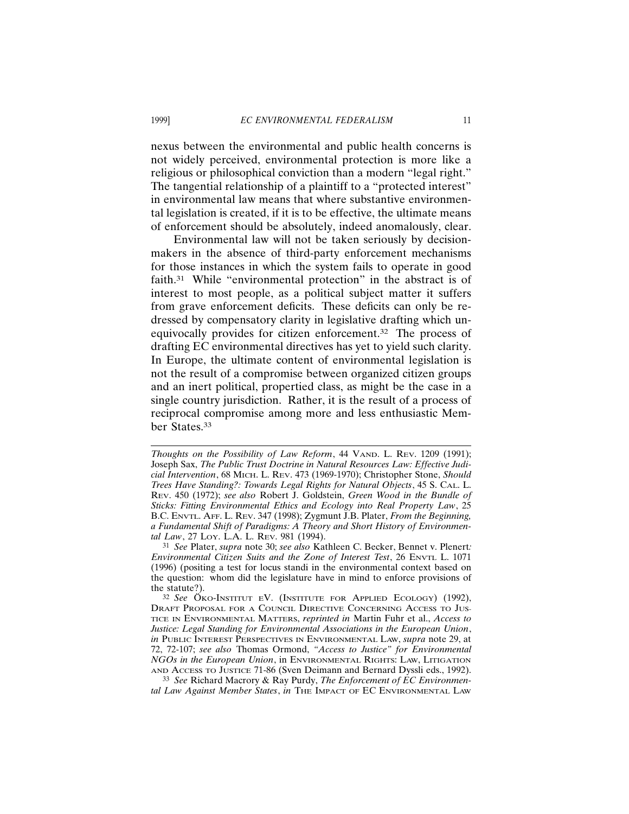nexus between the environmental and public health concerns is not widely perceived, environmental protection is more like a religious or philosophical conviction than a modern "legal right." The tangential relationship of a plaintiff to a "protected interest" in environmental law means that where substantive environmental legislation is created, if it is to be effective, the ultimate means of enforcement should be absolutely, indeed anomalously, clear.

Environmental law will not be taken seriously by decisionmakers in the absence of third-party enforcement mechanisms for those instances in which the system fails to operate in good faith.31 While "environmental protection" in the abstract is of interest to most people, as a political subject matter it suffers from grave enforcement deficits. These deficits can only be redressed by compensatory clarity in legislative drafting which unequivocally provides for citizen enforcement.32 The process of drafting EC environmental directives has yet to yield such clarity. In Europe, the ultimate content of environmental legislation is not the result of a compromise between organized citizen groups and an inert political, propertied class, as might be the case in a single country jurisdiction. Rather, it is the result of a process of reciprocal compromise among more and less enthusiastic Member States.33

*Thoughts on the Possibility of Law Reform*, 44 VAND. L. REV. 1209 (1991); Joseph Sax, *The Public Trust Doctrine in Natural Resources Law: Effective Judicial Intervention*, 68 MICH. L. REV. 473 (1969-1970); Christopher Stone, *Should Trees Have Standing?: Towards Legal Rights for Natural Objects*, 45 S. CAL. L. REV. 450 (1972); *see also* Robert J. Goldstein, *Green Wood in the Bundle of Sticks: Fitting Environmental Ethics and Ecology into Real Property Law*, 25 B.C. ENVTL. AFF. L. REV. 347 (1998); Zygmunt J.B. Plater, *From the Beginning, a Fundamental Shift of Paradigms: A Theory and Short History of Environmental Law*, 27 LOY. L.A. L. REV. 981 (1994).

<sup>31</sup> *See* Plater, *supra* note 30; *see also* Kathleen C. Becker, Bennet v. Plenert*: Environmental Citizen Suits and the Zone of Interest Test*, 26 ENVTL L. 1071 (1996) (positing a test for locus standi in the environmental context based on the question: whom did the legislature have in mind to enforce provisions of the statute?).

<sup>&</sup>lt;sup>32</sup> See ÖKO-INSTITUT EV. (INSTITUTE FOR APPLIED ECOLOGY) (1992), DRAFT PROPOSAL FOR A COUNCIL DIRECTIVE CONCERNING ACCESS TO JUS-TICE IN ENVIRONMENTAL MATTERS, *reprinted in* Martin Fuhr et al., *Access to Justice: Legal Standing for Environmental Associations in the European Union*, *in* PUBLIC INTEREST PERSPECTIVES IN ENVIRONMENTAL LAW, *supra* note 29, at 72, 72-107; *see also* Thomas Ormond, *"Access to Justice" for Environmental NGOs in the European Union*, in ENVIRONMENTAL RIGHTS: LAW, LITIGATION AND ACCESS TO JUSTICE 71-86 (Sven Deimann and Bernard Dyssli eds., 1992).

<sup>33</sup> *See* Richard Macrory & Ray Purdy, *The Enforcement of EC Environmental Law Against Member States*, *in* THE IMPACT OF EC ENVIRONMENTAL LAW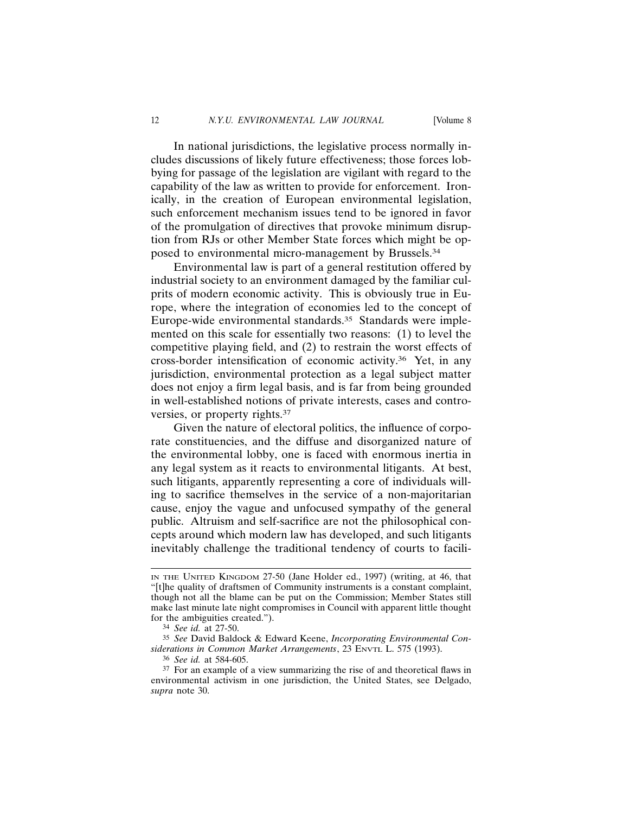In national jurisdictions, the legislative process normally includes discussions of likely future effectiveness; those forces lobbying for passage of the legislation are vigilant with regard to the capability of the law as written to provide for enforcement. Ironically, in the creation of European environmental legislation, such enforcement mechanism issues tend to be ignored in favor of the promulgation of directives that provoke minimum disruption from RJs or other Member State forces which might be opposed to environmental micro-management by Brussels.34

Environmental law is part of a general restitution offered by industrial society to an environment damaged by the familiar culprits of modern economic activity. This is obviously true in Europe, where the integration of economies led to the concept of Europe-wide environmental standards.35 Standards were implemented on this scale for essentially two reasons: (1) to level the competitive playing field, and (2) to restrain the worst effects of cross-border intensification of economic activity.36 Yet, in any jurisdiction, environmental protection as a legal subject matter does not enjoy a firm legal basis, and is far from being grounded in well-established notions of private interests, cases and controversies, or property rights.37

Given the nature of electoral politics, the influence of corporate constituencies, and the diffuse and disorganized nature of the environmental lobby, one is faced with enormous inertia in any legal system as it reacts to environmental litigants. At best, such litigants, apparently representing a core of individuals willing to sacrifice themselves in the service of a non-majoritarian cause, enjoy the vague and unfocused sympathy of the general public. Altruism and self-sacrifice are not the philosophical concepts around which modern law has developed, and such litigants inevitably challenge the traditional tendency of courts to facili-

IN THE UNITED KINGDOM 27-50 (Jane Holder ed., 1997) (writing, at 46, that "[t]he quality of draftsmen of Community instruments is a constant complaint, though not all the blame can be put on the Commission; Member States still make last minute late night compromises in Council with apparent little thought for the ambiguities created.").

<sup>34</sup> *See id.* at 27-50.

<sup>35</sup> *See* David Baldock & Edward Keene, *Incorporating Environmental Considerations in Common Market Arrangements*, 23 ENVTL L. 575 (1993).

<sup>36</sup> *See id.* at 584-605.

<sup>37</sup> For an example of a view summarizing the rise of and theoretical flaws in environmental activism in one jurisdiction, the United States, see Delgado, *supra* note 30.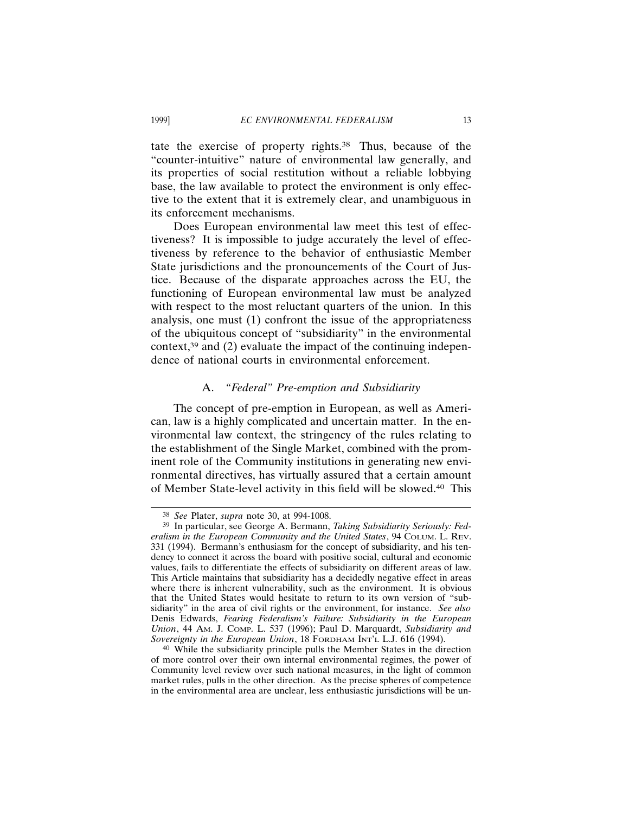tate the exercise of property rights.38 Thus, because of the "counter-intuitive" nature of environmental law generally, and its properties of social restitution without a reliable lobbying base, the law available to protect the environment is only effective to the extent that it is extremely clear, and unambiguous in its enforcement mechanisms.

Does European environmental law meet this test of effectiveness? It is impossible to judge accurately the level of effectiveness by reference to the behavior of enthusiastic Member State jurisdictions and the pronouncements of the Court of Justice. Because of the disparate approaches across the EU, the functioning of European environmental law must be analyzed with respect to the most reluctant quarters of the union. In this analysis, one must (1) confront the issue of the appropriateness of the ubiquitous concept of "subsidiarity" in the environmental context, $39$  and (2) evaluate the impact of the continuing independence of national courts in environmental enforcement.

### A. *"Federal" Pre-emption and Subsidiarity*

The concept of pre-emption in European, as well as American, law is a highly complicated and uncertain matter. In the environmental law context, the stringency of the rules relating to the establishment of the Single Market, combined with the prominent role of the Community institutions in generating new environmental directives, has virtually assured that a certain amount of Member State-level activity in this field will be slowed.40 This

<sup>38</sup> *See* Plater, *supra* note 30, at 994-1008.

<sup>39</sup> In particular, see George A. Bermann, *Taking Subsidiarity Seriously: Federalism in the European Community and the United States*, 94 COLUM. L. REV. 331 (1994). Bermann's enthusiasm for the concept of subsidiarity, and his tendency to connect it across the board with positive social, cultural and economic values, fails to differentiate the effects of subsidiarity on different areas of law. This Article maintains that subsidiarity has a decidedly negative effect in areas where there is inherent vulnerability, such as the environment. It is obvious that the United States would hesitate to return to its own version of "subsidiarity" in the area of civil rights or the environment, for instance. *See also* Denis Edwards, *Fearing Federalism's Failure: Subsidiarity in the European Union*, 44 AM. J. COMP. L. 537 (1996); Paul D. Marquardt, *Subsidiarity and Sovereignty in the European Union*, 18 FORDHAM INT'L L.J. 616 (1994).

<sup>40</sup> While the subsidiarity principle pulls the Member States in the direction of more control over their own internal environmental regimes, the power of Community level review over such national measures, in the light of common market rules, pulls in the other direction. As the precise spheres of competence in the environmental area are unclear, less enthusiastic jurisdictions will be un-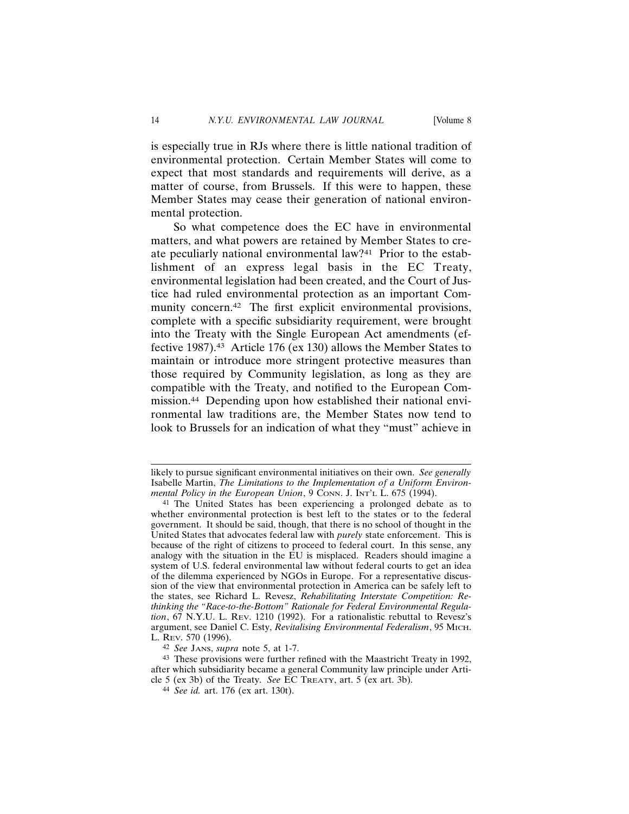is especially true in RJs where there is little national tradition of environmental protection. Certain Member States will come to expect that most standards and requirements will derive, as a matter of course, from Brussels. If this were to happen, these Member States may cease their generation of national environmental protection.

So what competence does the EC have in environmental matters, and what powers are retained by Member States to create peculiarly national environmental law?41 Prior to the establishment of an express legal basis in the EC Treaty, environmental legislation had been created, and the Court of Justice had ruled environmental protection as an important Community concern.<sup>42</sup> The first explicit environmental provisions, complete with a specific subsidiarity requirement, were brought into the Treaty with the Single European Act amendments (effective 1987).43 Article 176 (ex 130) allows the Member States to maintain or introduce more stringent protective measures than those required by Community legislation, as long as they are compatible with the Treaty, and notified to the European Commission.44 Depending upon how established their national environmental law traditions are, the Member States now tend to look to Brussels for an indication of what they "must" achieve in

42 *See* JANS, *supra* note 5, at 1-7.

likely to pursue significant environmental initiatives on their own. *See generally* Isabelle Martin, *The Limitations to the Implementation of a Uniform Environmental Policy in the European Union*, 9 CONN. J. INT'L L. 675 (1994).

<sup>41</sup> The United States has been experiencing a prolonged debate as to whether environmental protection is best left to the states or to the federal government. It should be said, though, that there is no school of thought in the United States that advocates federal law with *purely* state enforcement. This is because of the right of citizens to proceed to federal court. In this sense, any analogy with the situation in the EU is misplaced. Readers should imagine a system of U.S. federal environmental law without federal courts to get an idea of the dilemma experienced by NGOs in Europe. For a representative discussion of the view that environmental protection in America can be safely left to the states, see Richard L. Revesz, *Rehabilitating Interstate Competition: Rethinking the "Race-to-the-Bottom" Rationale for Federal Environmental Regulation*, 67 N.Y.U. L. REV. 1210 (1992). For a rationalistic rebuttal to Revesz's argument, see Daniel C. Esty, *Revitalising Environmental Federalism*, 95 MICH. L. REV. 570 (1996).

<sup>43</sup> These provisions were further refined with the Maastricht Treaty in 1992, after which subsidiarity became a general Community law principle under Article 5 (ex 3b) of the Treaty. *See* EC TREATY, art. 5 (ex art. 3b).

<sup>44</sup> *See id.* art. 176 (ex art. 130t).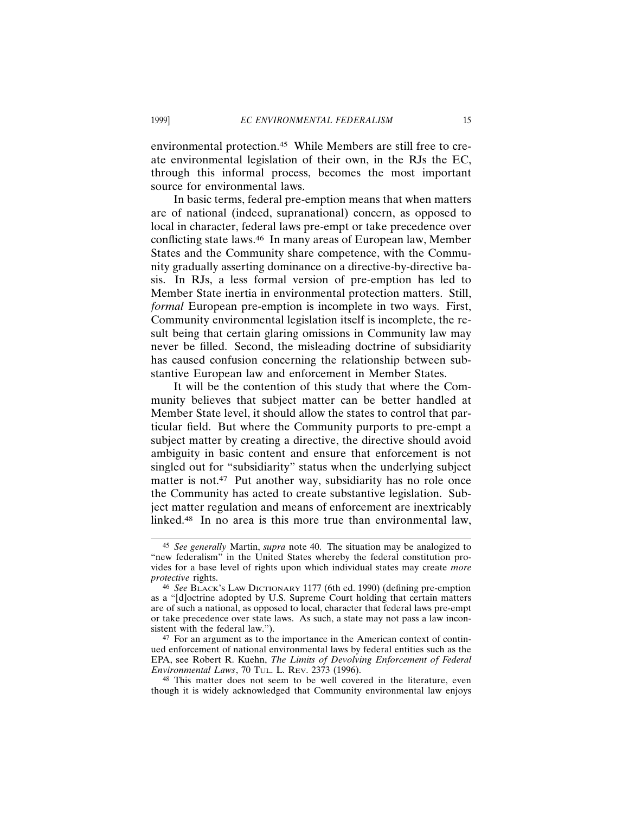environmental protection.45 While Members are still free to create environmental legislation of their own, in the RJs the EC, through this informal process, becomes the most important source for environmental laws.

In basic terms, federal pre-emption means that when matters are of national (indeed, supranational) concern, as opposed to local in character, federal laws pre-empt or take precedence over conflicting state laws.46 In many areas of European law, Member States and the Community share competence, with the Community gradually asserting dominance on a directive-by-directive basis. In RJs, a less formal version of pre-emption has led to Member State inertia in environmental protection matters. Still, *formal* European pre-emption is incomplete in two ways. First, Community environmental legislation itself is incomplete, the result being that certain glaring omissions in Community law may never be filled. Second, the misleading doctrine of subsidiarity has caused confusion concerning the relationship between substantive European law and enforcement in Member States.

It will be the contention of this study that where the Community believes that subject matter can be better handled at Member State level, it should allow the states to control that particular field. But where the Community purports to pre-empt a subject matter by creating a directive, the directive should avoid ambiguity in basic content and ensure that enforcement is not singled out for "subsidiarity" status when the underlying subject matter is not.<sup>47</sup> Put another way, subsidiarity has no role once the Community has acted to create substantive legislation. Subject matter regulation and means of enforcement are inextricably linked.48 In no area is this more true than environmental law,

47 For an argument as to the importance in the American context of continued enforcement of national environmental laws by federal entities such as the EPA, see Robert R. Kuehn, *The Limits of Devolving Enforcement of Federal Environmental Laws*, 70 TUL. L. REV. 2373 (1996).

48 This matter does not seem to be well covered in the literature, even though it is widely acknowledged that Community environmental law enjoys

<sup>45</sup> *See generally* Martin, *supra* note 40. The situation may be analogized to "new federalism" in the United States whereby the federal constitution provides for a base level of rights upon which individual states may create *more protective* rights.

<sup>46</sup> *See* BLACK'S LAW DICTIONARY 1177 (6th ed. 1990) (defining pre-emption as a "[d]octrine adopted by U.S. Supreme Court holding that certain matters are of such a national, as opposed to local, character that federal laws pre-empt or take precedence over state laws. As such, a state may not pass a law inconsistent with the federal law.").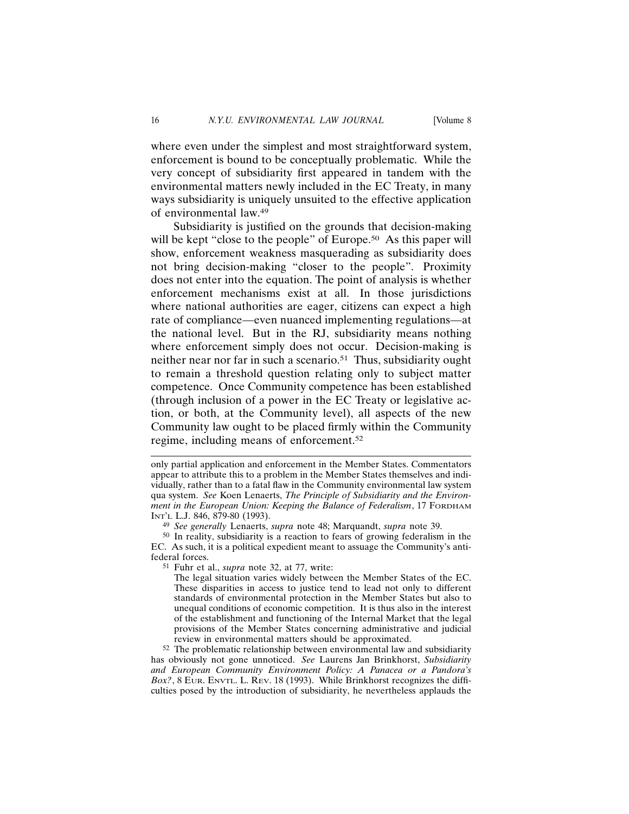where even under the simplest and most straightforward system, enforcement is bound to be conceptually problematic. While the very concept of subsidiarity first appeared in tandem with the environmental matters newly included in the EC Treaty, in many ways subsidiarity is uniquely unsuited to the effective application of environmental law.49

Subsidiarity is justified on the grounds that decision-making will be kept "close to the people" of Europe.<sup>50</sup> As this paper will show, enforcement weakness masquerading as subsidiarity does not bring decision-making "closer to the people". Proximity does not enter into the equation. The point of analysis is whether enforcement mechanisms exist at all. In those jurisdictions where national authorities are eager, citizens can expect a high rate of compliance—even nuanced implementing regulations—at the national level. But in the RJ, subsidiarity means nothing where enforcement simply does not occur. Decision-making is neither near nor far in such a scenario.<sup>51</sup> Thus, subsidiarity ought to remain a threshold question relating only to subject matter competence. Once Community competence has been established (through inclusion of a power in the EC Treaty or legislative action, or both, at the Community level), all aspects of the new Community law ought to be placed firmly within the Community regime, including means of enforcement.52

49 *See generally* Lenaerts, *supra* note 48; Marquandt, *supra* note 39.

50 In reality, subsidiarity is a reaction to fears of growing federalism in the EC. As such, it is a political expedient meant to assuage the Community's antifederal forces.

51 Fuhr et al., *supra* note 32, at 77, write:

The legal situation varies widely between the Member States of the EC. These disparities in access to justice tend to lead not only to different standards of environmental protection in the Member States but also to unequal conditions of economic competition. It is thus also in the interest of the establishment and functioning of the Internal Market that the legal provisions of the Member States concerning administrative and judicial review in environmental matters should be approximated.

52 The problematic relationship between environmental law and subsidiarity has obviously not gone unnoticed. *See* Laurens Jan Brinkhorst, *Subsidiarity and European Community Environment Policy: A Panacea or a Pandora's Box?*, 8 EUR. ENVTL. L. REV. 18 (1993). While Brinkhorst recognizes the difficulties posed by the introduction of subsidiarity, he nevertheless applauds the

only partial application and enforcement in the Member States. Commentators appear to attribute this to a problem in the Member States themselves and individually, rather than to a fatal flaw in the Community environmental law system qua system. *See* Koen Lenaerts, *The Principle of Subsidiarity and the Environment in the European Union: Keeping the Balance of Federalism*, 17 FORDHAM INT'L L.J. 846, 879-80 (1993).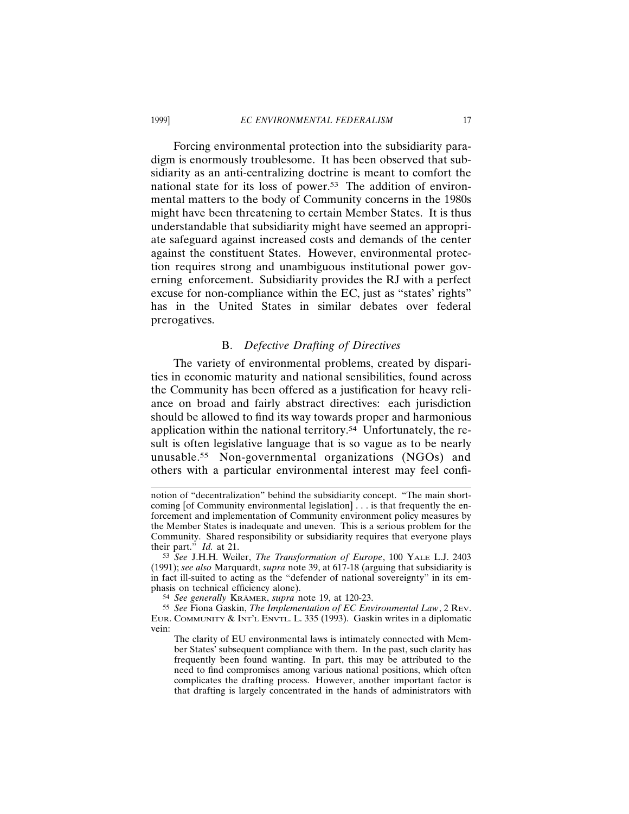Forcing environmental protection into the subsidiarity paradigm is enormously troublesome. It has been observed that subsidiarity as an anti-centralizing doctrine is meant to comfort the national state for its loss of power.53 The addition of environmental matters to the body of Community concerns in the 1980s might have been threatening to certain Member States. It is thus understandable that subsidiarity might have seemed an appropriate safeguard against increased costs and demands of the center against the constituent States. However, environmental protection requires strong and unambiguous institutional power governing enforcement. Subsidiarity provides the RJ with a perfect excuse for non-compliance within the EC, just as "states' rights" has in the United States in similar debates over federal prerogatives.

### B. *Defective Drafting of Directives*

The variety of environmental problems, created by disparities in economic maturity and national sensibilities, found across the Community has been offered as a justification for heavy reliance on broad and fairly abstract directives: each jurisdiction should be allowed to find its way towards proper and harmonious application within the national territory.54 Unfortunately, the result is often legislative language that is so vague as to be nearly unusable.55 Non-governmental organizations (NGOs) and others with a particular environmental interest may feel confi-

notion of "decentralization" behind the subsidiarity concept. "The main shortcoming [of Community environmental legislation] . . . is that frequently the enforcement and implementation of Community environment policy measures by the Member States is inadequate and uneven. This is a serious problem for the Community. Shared responsibility or subsidiarity requires that everyone plays their part.<sup> $\dot{M}$ </sup> *Id.* at 21.

<sup>53</sup> *See* J.H.H. Weiler, *The Transformation of Europe*, 100 YALE L.J. 2403 (1991); *see also* Marquardt, *supra* note 39, at 617-18 (arguing that subsidiarity is in fact ill-suited to acting as the "defender of national sovereignty" in its emphasis on technical efficiency alone).

<sup>54</sup> See generally KRAMER, supra note 19, at 120-23.

<sup>55</sup> *See* Fiona Gaskin, *The Implementation of EC Environmental Law*, 2 REV. EUR. COMMUNITY & INT'L ENVTL. L. 335 (1993). Gaskin writes in a diplomatic vein:

The clarity of EU environmental laws is intimately connected with Member States' subsequent compliance with them. In the past, such clarity has frequently been found wanting. In part, this may be attributed to the need to find compromises among various national positions, which often complicates the drafting process. However, another important factor is that drafting is largely concentrated in the hands of administrators with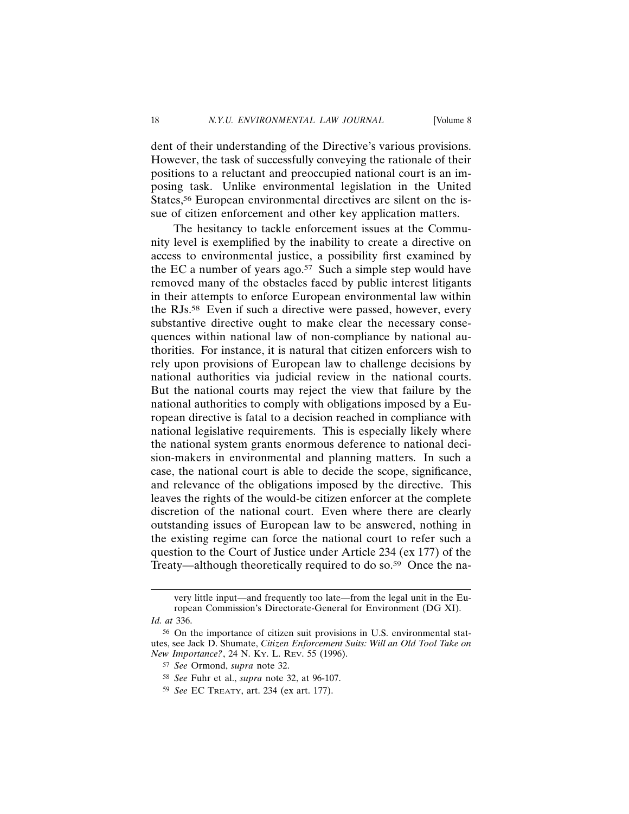dent of their understanding of the Directive's various provisions. However, the task of successfully conveying the rationale of their positions to a reluctant and preoccupied national court is an imposing task. Unlike environmental legislation in the United States,<sup>56</sup> European environmental directives are silent on the issue of citizen enforcement and other key application matters.

The hesitancy to tackle enforcement issues at the Community level is exemplified by the inability to create a directive on access to environmental justice, a possibility first examined by the EC a number of years ago.<sup>57</sup> Such a simple step would have removed many of the obstacles faced by public interest litigants in their attempts to enforce European environmental law within the RJs.58 Even if such a directive were passed, however, every substantive directive ought to make clear the necessary consequences within national law of non-compliance by national authorities. For instance, it is natural that citizen enforcers wish to rely upon provisions of European law to challenge decisions by national authorities via judicial review in the national courts. But the national courts may reject the view that failure by the national authorities to comply with obligations imposed by a European directive is fatal to a decision reached in compliance with national legislative requirements. This is especially likely where the national system grants enormous deference to national decision-makers in environmental and planning matters. In such a case, the national court is able to decide the scope, significance, and relevance of the obligations imposed by the directive. This leaves the rights of the would-be citizen enforcer at the complete discretion of the national court. Even where there are clearly outstanding issues of European law to be answered, nothing in the existing regime can force the national court to refer such a question to the Court of Justice under Article 234 (ex 177) of the Treaty—although theoretically required to do so.<sup>59</sup> Once the na-

very little input—and frequently too late—from the legal unit in the European Commission's Directorate-General for Environment (DG XI). *Id. at* 336.

<sup>56</sup> On the importance of citizen suit provisions in U.S. environmental statutes, see Jack D. Shumate, *Citizen Enforcement Suits: Will an Old Tool Take on New Importance?*, 24 N. KY. L. REV. 55 (1996).

<sup>57</sup> *See* Ormond, *supra* note 32.

<sup>58</sup> *See* Fuhr et al., *supra* note 32, at 96-107.

<sup>59</sup> *See* EC TREATY, art. 234 (ex art. 177).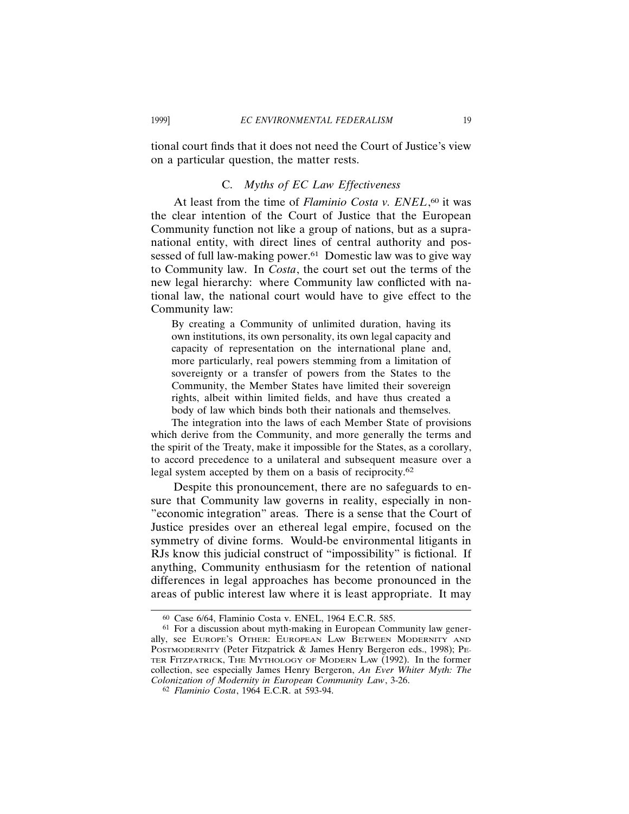tional court finds that it does not need the Court of Justice's view on a particular question, the matter rests.

#### C. *Myths of EC Law Effectiveness*

At least from the time of *Flaminio Costa v. ENEL*, 60 it was the clear intention of the Court of Justice that the European Community function not like a group of nations, but as a supranational entity, with direct lines of central authority and possessed of full law-making power.<sup>61</sup> Domestic law was to give way to Community law. In *Costa*, the court set out the terms of the new legal hierarchy: where Community law conflicted with national law, the national court would have to give effect to the Community law:

By creating a Community of unlimited duration, having its own institutions, its own personality, its own legal capacity and capacity of representation on the international plane and, more particularly, real powers stemming from a limitation of sovereignty or a transfer of powers from the States to the Community, the Member States have limited their sovereign rights, albeit within limited fields, and have thus created a body of law which binds both their nationals and themselves.

The integration into the laws of each Member State of provisions which derive from the Community, and more generally the terms and the spirit of the Treaty, make it impossible for the States, as a corollary, to accord precedence to a unilateral and subsequent measure over a legal system accepted by them on a basis of reciprocity.<sup>62</sup>

Despite this pronouncement, there are no safeguards to ensure that Community law governs in reality, especially in non- "economic integration" areas. There is a sense that the Court of Justice presides over an ethereal legal empire, focused on the symmetry of divine forms. Would-be environmental litigants in RJs know this judicial construct of "impossibility" is fictional. If anything, Community enthusiasm for the retention of national differences in legal approaches has become pronounced in the areas of public interest law where it is least appropriate. It may

<sup>60</sup> Case 6/64, Flaminio Costa v. ENEL, 1964 E.C.R. 585.

<sup>61</sup> For a discussion about myth-making in European Community law generally, see EUROPE'S OTHER: EUROPEAN LAW BETWEEN MODERNITY AND POSTMODERNITY (Peter Fitzpatrick & James Henry Bergeron eds., 1998); PE-TER FITZPATRICK, THE MYTHOLOGY OF MODERN LAW (1992). In the former collection, see especially James Henry Bergeron, *An Ever Whiter Myth: The Colonization of Modernity in European Community Law*, 3-26.

<sup>62</sup> *Flaminio Costa*, 1964 E.C.R. at 593-94.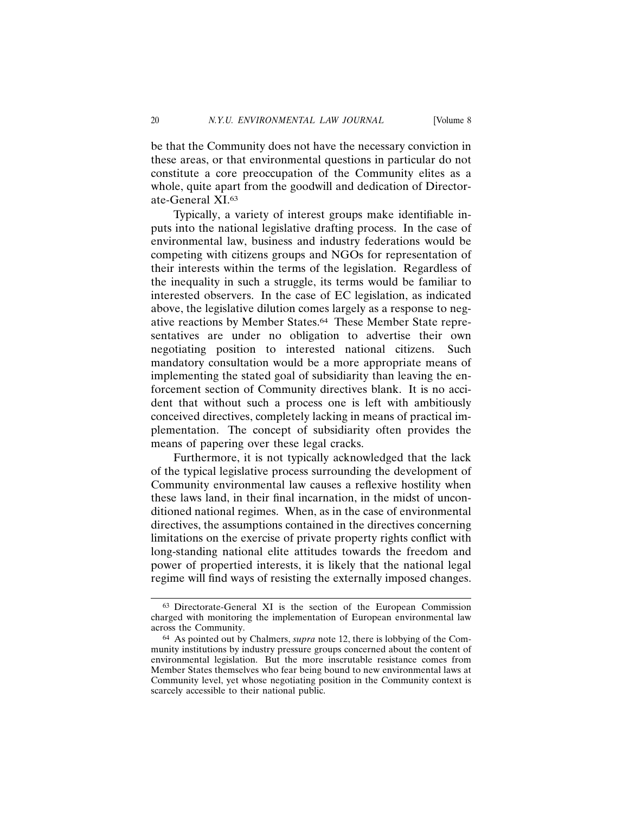be that the Community does not have the necessary conviction in these areas, or that environmental questions in particular do not constitute a core preoccupation of the Community elites as a whole, quite apart from the goodwill and dedication of Directorate-General XI.63

Typically, a variety of interest groups make identifiable inputs into the national legislative drafting process. In the case of environmental law, business and industry federations would be competing with citizens groups and NGOs for representation of their interests within the terms of the legislation. Regardless of the inequality in such a struggle, its terms would be familiar to interested observers. In the case of EC legislation, as indicated above, the legislative dilution comes largely as a response to negative reactions by Member States.64 These Member State representatives are under no obligation to advertise their own negotiating position to interested national citizens. Such mandatory consultation would be a more appropriate means of implementing the stated goal of subsidiarity than leaving the enforcement section of Community directives blank. It is no accident that without such a process one is left with ambitiously conceived directives, completely lacking in means of practical implementation. The concept of subsidiarity often provides the means of papering over these legal cracks.

Furthermore, it is not typically acknowledged that the lack of the typical legislative process surrounding the development of Community environmental law causes a reflexive hostility when these laws land, in their final incarnation, in the midst of unconditioned national regimes. When, as in the case of environmental directives, the assumptions contained in the directives concerning limitations on the exercise of private property rights conflict with long-standing national elite attitudes towards the freedom and power of propertied interests, it is likely that the national legal regime will find ways of resisting the externally imposed changes.

<sup>63</sup> Directorate-General XI is the section of the European Commission charged with monitoring the implementation of European environmental law across the Community.

<sup>64</sup> As pointed out by Chalmers, *supra* note 12, there is lobbying of the Community institutions by industry pressure groups concerned about the content of environmental legislation. But the more inscrutable resistance comes from Member States themselves who fear being bound to new environmental laws at Community level, yet whose negotiating position in the Community context is scarcely accessible to their national public.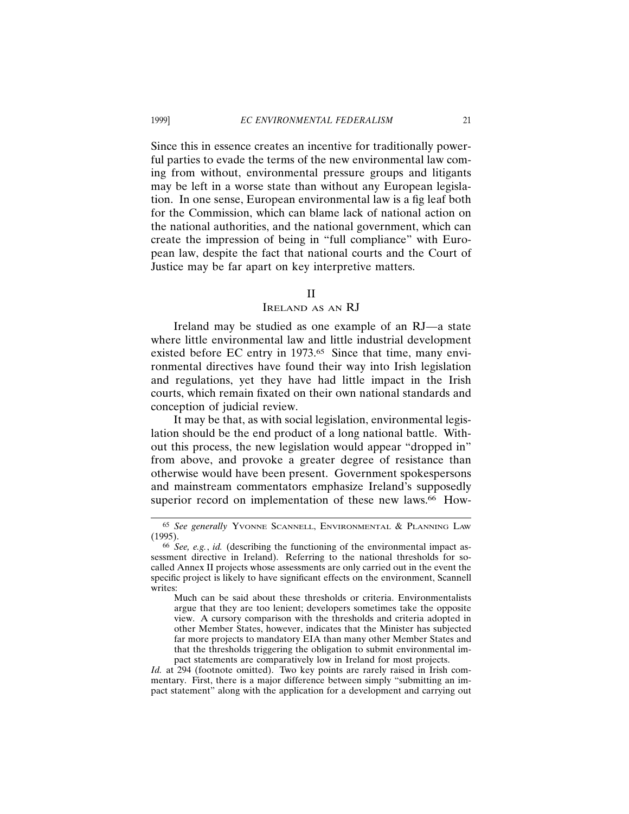Since this in essence creates an incentive for traditionally powerful parties to evade the terms of the new environmental law coming from without, environmental pressure groups and litigants may be left in a worse state than without any European legislation. In one sense, European environmental law is a fig leaf both for the Commission, which can blame lack of national action on the national authorities, and the national government, which can create the impression of being in "full compliance" with European law, despite the fact that national courts and the Court of Justice may be far apart on key interpretive matters.

#### II

## IRELAND AS AN RJ

Ireland may be studied as one example of an RJ—a state where little environmental law and little industrial development existed before EC entry in 1973.<sup>65</sup> Since that time, many environmental directives have found their way into Irish legislation and regulations, yet they have had little impact in the Irish courts, which remain fixated on their own national standards and conception of judicial review.

It may be that, as with social legislation, environmental legislation should be the end product of a long national battle. Without this process, the new legislation would appear "dropped in" from above, and provoke a greater degree of resistance than otherwise would have been present. Government spokespersons and mainstream commentators emphasize Ireland's supposedly superior record on implementation of these new laws.<sup>66</sup> How-

<sup>65</sup> *See generally* YVONNE SCANNELL, ENVIRONMENTAL & PLANNING LAW (1995).

<sup>66</sup> *See, e.g.*, *id.* (describing the functioning of the environmental impact assessment directive in Ireland). Referring to the national thresholds for socalled Annex II projects whose assessments are only carried out in the event the specific project is likely to have significant effects on the environment, Scannell writes:

Much can be said about these thresholds or criteria. Environmentalists argue that they are too lenient; developers sometimes take the opposite view. A cursory comparison with the thresholds and criteria adopted in other Member States, however, indicates that the Minister has subjected far more projects to mandatory EIA than many other Member States and that the thresholds triggering the obligation to submit environmental impact statements are comparatively low in Ireland for most projects.

*Id.* at 294 (footnote omitted). Two key points are rarely raised in Irish commentary. First, there is a major difference between simply "submitting an impact statement" along with the application for a development and carrying out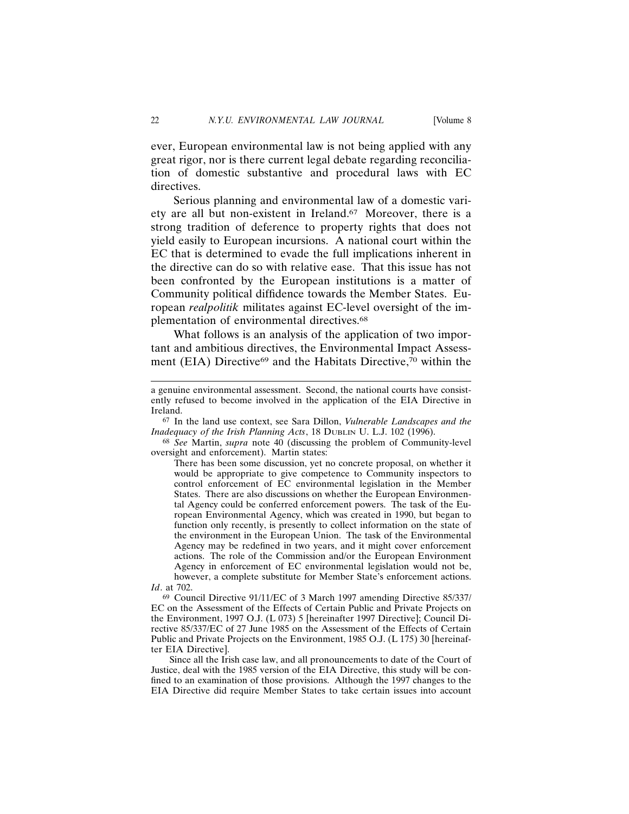ever, European environmental law is not being applied with any great rigor, nor is there current legal debate regarding reconciliation of domestic substantive and procedural laws with EC directives.

Serious planning and environmental law of a domestic variety are all but non-existent in Ireland.67 Moreover, there is a strong tradition of deference to property rights that does not yield easily to European incursions. A national court within the EC that is determined to evade the full implications inherent in the directive can do so with relative ease. That this issue has not been confronted by the European institutions is a matter of Community political diffidence towards the Member States. European *realpolitik* militates against EC-level oversight of the implementation of environmental directives.<sup>68</sup>

What follows is an analysis of the application of two important and ambitious directives, the Environmental Impact Assessment (EIA) Directive<sup>69</sup> and the Habitats Directive,<sup>70</sup> within the

67 In the land use context, see Sara Dillon, *Vulnerable Landscapes and the Inadequacy of the Irish Planning Acts*, 18 DUBLIN U. L.J. 102 (1996).

68 *See* Martin, *supra* note 40 (discussing the problem of Community-level oversight and enforcement). Martin states:

There has been some discussion, yet no concrete proposal, on whether it would be appropriate to give competence to Community inspectors to control enforcement of EC environmental legislation in the Member States. There are also discussions on whether the European Environmental Agency could be conferred enforcement powers. The task of the European Environmental Agency, which was created in 1990, but began to function only recently, is presently to collect information on the state of the environment in the European Union. The task of the Environmental Agency may be redefined in two years, and it might cover enforcement actions. The role of the Commission and/or the European Environment Agency in enforcement of EC environmental legislation would not be, however, a complete substitute for Member State's enforcement actions. *Id*. at 702.

69 Council Directive 91/11/EC of 3 March 1997 amending Directive 85/337/ EC on the Assessment of the Effects of Certain Public and Private Projects on the Environment, 1997 O.J. (L 073) 5 [hereinafter 1997 Directive]; Council Directive 85/337/EC of 27 June 1985 on the Assessment of the Effects of Certain Public and Private Projects on the Environment, 1985 O.J. (L 175) 30 [hereinafter EIA Directive].

Since all the Irish case law, and all pronouncements to date of the Court of Justice, deal with the 1985 version of the EIA Directive, this study will be confined to an examination of those provisions. Although the 1997 changes to the EIA Directive did require Member States to take certain issues into account

a genuine environmental assessment. Second, the national courts have consistently refused to become involved in the application of the EIA Directive in Ireland.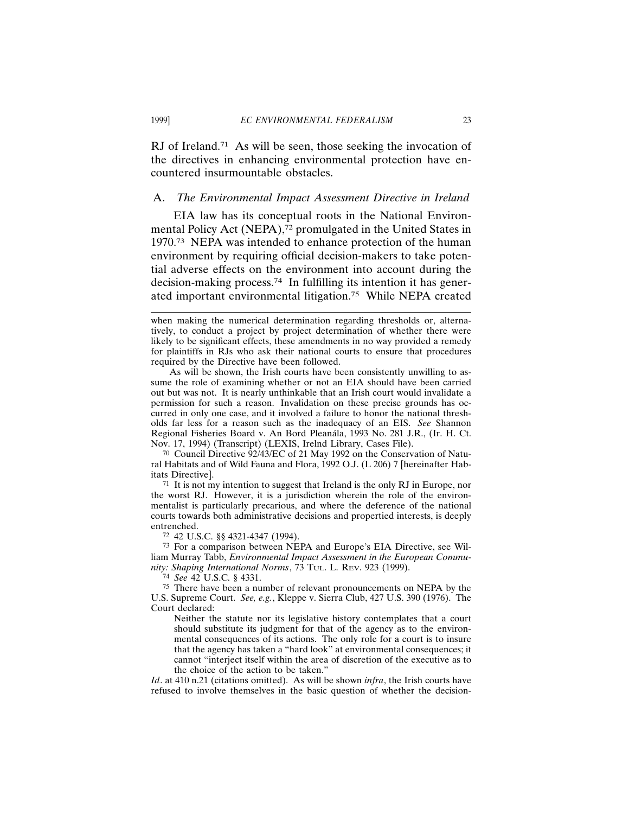RJ of Ireland.<sup>71</sup> As will be seen, those seeking the invocation of the directives in enhancing environmental protection have encountered insurmountable obstacles.

#### A. *The Environmental Impact Assessment Directive in Ireland*

EIA law has its conceptual roots in the National Environmental Policy Act (NEPA),<sup>72</sup> promulgated in the United States in 1970.73 NEPA was intended to enhance protection of the human environment by requiring official decision-makers to take potential adverse effects on the environment into account during the decision-making process.74 In fulfilling its intention it has generated important environmental litigation.75 While NEPA created

As will be shown, the Irish courts have been consistently unwilling to assume the role of examining whether or not an EIA should have been carried out but was not. It is nearly unthinkable that an Irish court would invalidate a permission for such a reason. Invalidation on these precise grounds has occurred in only one case, and it involved a failure to honor the national thresholds far less for a reason such as the inadequacy of an EIS. *See* Shannon Regional Fisheries Board v. An Bord Pleanála, 1993 No. 281 J.R., (Ir. H. Ct. Nov. 17, 1994) (Transcript) (LEXIS, Irelnd Library, Cases File).

70 Council Directive 92/43/EC of 21 May 1992 on the Conservation of Natural Habitats and of Wild Fauna and Flora, 1992 O.J. (L 206) 7 [hereinafter Habitats Directive].

71 It is not my intention to suggest that Ireland is the only RJ in Europe, nor the worst RJ. However, it is a jurisdiction wherein the role of the environmentalist is particularly precarious, and where the deference of the national courts towards both administrative decisions and propertied interests, is deeply entrenched.

72 42 U.S.C. §§ 4321-4347 (1994).

73 For a comparison between NEPA and Europe's EIA Directive, see William Murray Tabb, *Environmental Impact Assessment in the European Community: Shaping International Norms*, 73 TUL. L. REV. 923 (1999).

74 *See* 42 U.S.C. § 4331.

75 There have been a number of relevant pronouncements on NEPA by the U.S. Supreme Court. *See, e.g.*, Kleppe v. Sierra Club, 427 U.S. 390 (1976). The Court declared:

Neither the statute nor its legislative history contemplates that a court should substitute its judgment for that of the agency as to the environmental consequences of its actions. The only role for a court is to insure that the agency has taken a "hard look" at environmental consequences; it cannot "interject itself within the area of discretion of the executive as to the choice of the action to be taken."

*Id*. at 410 n.21 (citations omitted). As will be shown *infra*, the Irish courts have refused to involve themselves in the basic question of whether the decision-

when making the numerical determination regarding thresholds or, alternatively, to conduct a project by project determination of whether there were likely to be significant effects, these amendments in no way provided a remedy for plaintiffs in RJs who ask their national courts to ensure that procedures required by the Directive have been followed.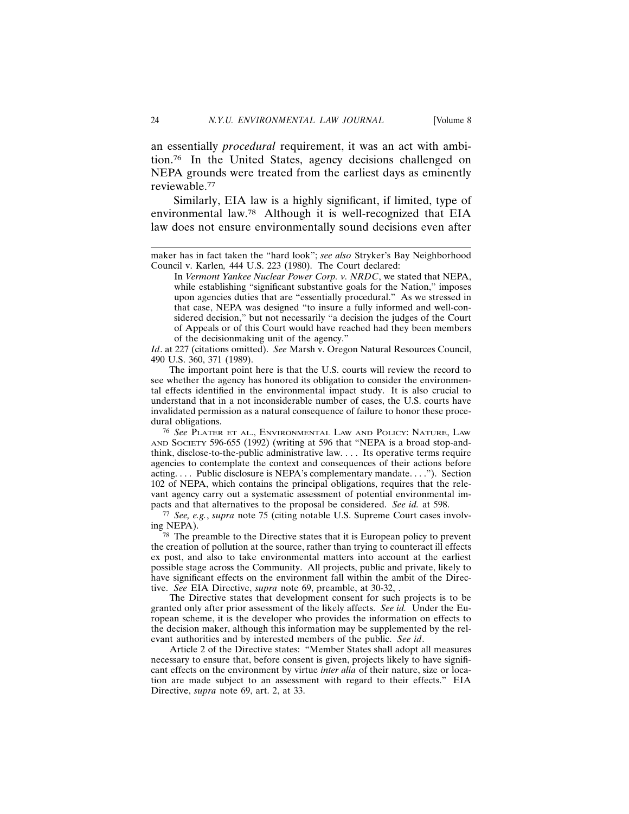an essentially *procedural* requirement, it was an act with ambition.76 In the United States, agency decisions challenged on NEPA grounds were treated from the earliest days as eminently reviewable.77

Similarly, EIA law is a highly significant, if limited, type of environmental law.78 Although it is well-recognized that EIA law does not ensure environmentally sound decisions even after

*Id*. at 227 (citations omitted). *See* Marsh v. Oregon Natural Resources Council, 490 U.S. 360, 371 (1989).

The important point here is that the U.S. courts will review the record to see whether the agency has honored its obligation to consider the environmental effects identified in the environmental impact study. It is also crucial to understand that in a not inconsiderable number of cases, the U.S. courts have invalidated permission as a natural consequence of failure to honor these procedural obligations.

76 *See* PLATER ET AL., ENVIRONMENTAL LAW AND POLICY: NATURE, LAW AND SOCIETY 596-655 (1992) (writing at 596 that "NEPA is a broad stop-andthink, disclose-to-the-public administrative law. . . . Its operative terms require agencies to contemplate the context and consequences of their actions before acting. . . . Public disclosure is NEPA's complementary mandate. . . ."). Section 102 of NEPA, which contains the principal obligations, requires that the relevant agency carry out a systematic assessment of potential environmental impacts and that alternatives to the proposal be considered. *See id.* at 598.

77 *See, e.g.*, *supra* note 75 (citing notable U.S. Supreme Court cases involving NEPA).

78 The preamble to the Directive states that it is European policy to prevent the creation of pollution at the source, rather than trying to counteract ill effects ex post, and also to take environmental matters into account at the earliest possible stage across the Community. All projects, public and private, likely to have significant effects on the environment fall within the ambit of the Directive. *See* EIA Directive, *supra* note 69, preamble, at 30-32, .

The Directive states that development consent for such projects is to be granted only after prior assessment of the likely affects. *See id.* Under the European scheme, it is the developer who provides the information on effects to the decision maker, although this information may be supplemented by the relevant authorities and by interested members of the public. *See id*.

Article 2 of the Directive states: "Member States shall adopt all measures necessary to ensure that, before consent is given, projects likely to have significant effects on the environment by virtue *inter alia* of their nature, size or location are made subject to an assessment with regard to their effects." EIA Directive, *supra* note 69, art. 2, at 33.

maker has in fact taken the "hard look"; *see also* Stryker's Bay Neighborhood Council v. Karlen*,* 444 U.S. 223 (1980). The Court declared:

In *Vermont Yankee Nuclear Power Corp. v. NRDC*, we stated that NEPA, while establishing "significant substantive goals for the Nation," imposes upon agencies duties that are "essentially procedural." As we stressed in that case, NEPA was designed "to insure a fully informed and well-considered decision," but not necessarily "a decision the judges of the Court of Appeals or of this Court would have reached had they been members of the decisionmaking unit of the agency."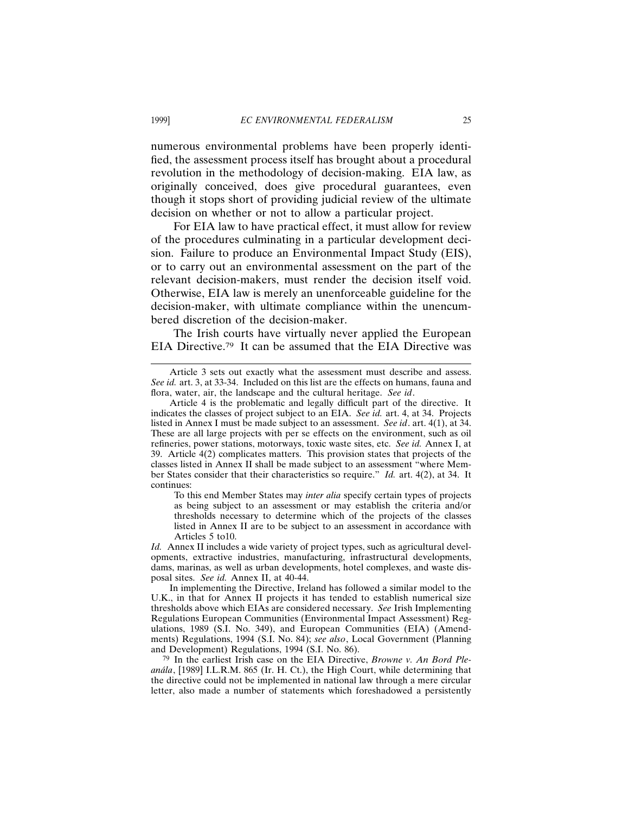numerous environmental problems have been properly identified, the assessment process itself has brought about a procedural revolution in the methodology of decision-making. EIA law, as originally conceived, does give procedural guarantees, even though it stops short of providing judicial review of the ultimate decision on whether or not to allow a particular project.

For EIA law to have practical effect, it must allow for review of the procedures culminating in a particular development decision. Failure to produce an Environmental Impact Study (EIS), or to carry out an environmental assessment on the part of the relevant decision-makers, must render the decision itself void. Otherwise, EIA law is merely an unenforceable guideline for the decision-maker, with ultimate compliance within the unencumbered discretion of the decision-maker.

The Irish courts have virtually never applied the European EIA Directive.79 It can be assumed that the EIA Directive was

To this end Member States may *inter alia* specify certain types of projects as being subject to an assessment or may establish the criteria and/or thresholds necessary to determine which of the projects of the classes listed in Annex II are to be subject to an assessment in accordance with Articles 5 to10.

*Id.* Annex II includes a wide variety of project types, such as agricultural developments, extractive industries, manufacturing, infrastructural developments, dams, marinas, as well as urban developments, hotel complexes, and waste disposal sites. *See id.* Annex II, at 40-44.

In implementing the Directive, Ireland has followed a similar model to the U.K., in that for Annex II projects it has tended to establish numerical size thresholds above which EIAs are considered necessary. *See* Irish Implementing Regulations European Communities (Environmental Impact Assessment) Regulations, 1989 (S.I. No. 349), and European Communities (EIA) (Amendments) Regulations, 1994 (S.I. No. 84); *see also*, Local Government (Planning and Development) Regulations, 1994 (S.I. No. 86).

79 In the earliest Irish case on the EIA Directive, *Browne v. An Bord Plean´ala*, [1989] I.L.R.M. 865 (Ir. H. Ct.), the High Court, while determining that the directive could not be implemented in national law through a mere circular letter, also made a number of statements which foreshadowed a persistently

Article 3 sets out exactly what the assessment must describe and assess. *See id.* art. 3, at 33-34. Included on this list are the effects on humans, fauna and flora, water, air, the landscape and the cultural heritage. *See id*.

Article 4 is the problematic and legally difficult part of the directive. It indicates the classes of project subject to an EIA. *See id.* art. 4, at 34. Projects listed in Annex I must be made subject to an assessment. *See id*. art. 4(1), at 34. These are all large projects with per se effects on the environment, such as oil refineries, power stations, motorways, toxic waste sites, etc. *See id.* Annex I, at 39. Article 4(2) complicates matters. This provision states that projects of the classes listed in Annex II shall be made subject to an assessment "where Member States consider that their characteristics so require." *Id.* art. 4(2), at 34. It continues: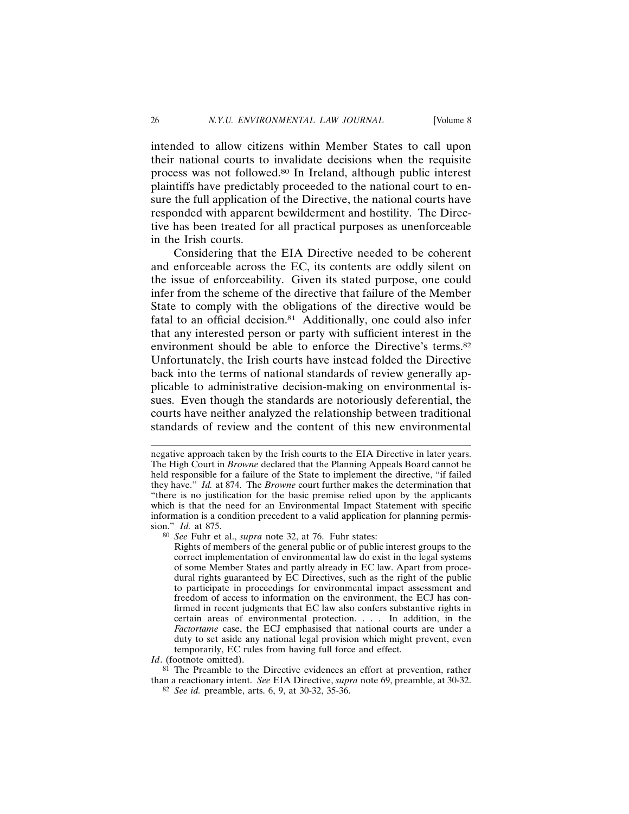intended to allow citizens within Member States to call upon their national courts to invalidate decisions when the requisite process was not followed.80 In Ireland, although public interest plaintiffs have predictably proceeded to the national court to ensure the full application of the Directive, the national courts have responded with apparent bewilderment and hostility. The Directive has been treated for all practical purposes as unenforceable in the Irish courts.

Considering that the EIA Directive needed to be coherent and enforceable across the EC, its contents are oddly silent on the issue of enforceability. Given its stated purpose, one could infer from the scheme of the directive that failure of the Member State to comply with the obligations of the directive would be fatal to an official decision.<sup>81</sup> Additionally, one could also infer that any interested person or party with sufficient interest in the environment should be able to enforce the Directive's terms.82 Unfortunately, the Irish courts have instead folded the Directive back into the terms of national standards of review generally applicable to administrative decision-making on environmental issues. Even though the standards are notoriously deferential, the courts have neither analyzed the relationship between traditional standards of review and the content of this new environmental

*Id*. (footnote omitted).

negative approach taken by the Irish courts to the EIA Directive in later years. The High Court in *Browne* declared that the Planning Appeals Board cannot be held responsible for a failure of the State to implement the directive, "if failed they have." *Id.* at 874. The *Browne* court further makes the determination that "there is no justification for the basic premise relied upon by the applicants which is that the need for an Environmental Impact Statement with specific information is a condition precedent to a valid application for planning permission." *Id.* at 875.

<sup>80</sup> *See* Fuhr et al., *supra* note 32, at 76. Fuhr states:

Rights of members of the general public or of public interest groups to the correct implementation of environmental law do exist in the legal systems of some Member States and partly already in EC law. Apart from procedural rights guaranteed by EC Directives, such as the right of the public to participate in proceedings for environmental impact assessment and freedom of access to information on the environment, the ECJ has confirmed in recent judgments that EC law also confers substantive rights in certain areas of environmental protection. . . . In addition, in the *Factortame* case, the ECJ emphasised that national courts are under a duty to set aside any national legal provision which might prevent, even temporarily, EC rules from having full force and effect.

 $81$  The Preamble to the Directive evidences an effort at prevention, rather than a reactionary intent. *See* EIA Directive, *supra* note 69, preamble, at 30-32.

<sup>82</sup> *See id.* preamble, arts. 6, 9, at 30-32, 35-36.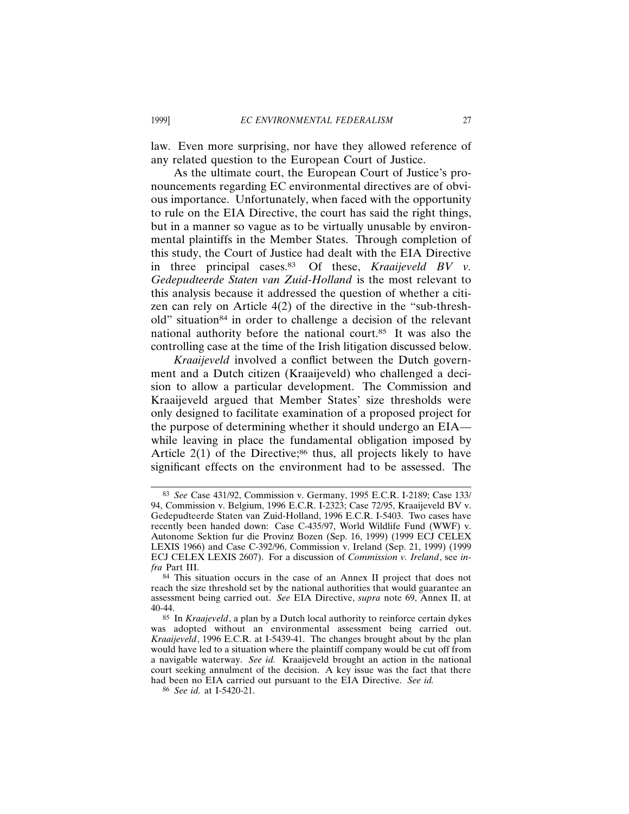law. Even more surprising, nor have they allowed reference of any related question to the European Court of Justice.

As the ultimate court, the European Court of Justice's pronouncements regarding EC environmental directives are of obvious importance. Unfortunately, when faced with the opportunity to rule on the EIA Directive, the court has said the right things, but in a manner so vague as to be virtually unusable by environmental plaintiffs in the Member States. Through completion of this study, the Court of Justice had dealt with the EIA Directive in three principal cases.83 Of these, *Kraaijeveld BV v. Gedepudteerde Staten van Zuid-Holland* is the most relevant to this analysis because it addressed the question of whether a citizen can rely on Article 4(2) of the directive in the "sub-threshold" situation<sup>84</sup> in order to challenge a decision of the relevant national authority before the national court.85 It was also the controlling case at the time of the Irish litigation discussed below.

*Kraaijeveld* involved a conflict between the Dutch government and a Dutch citizen (Kraaijeveld) who challenged a decision to allow a particular development. The Commission and Kraaijeveld argued that Member States' size thresholds were only designed to facilitate examination of a proposed project for the purpose of determining whether it should undergo an EIA while leaving in place the fundamental obligation imposed by Article  $2(1)$  of the Directive;<sup>86</sup> thus, all projects likely to have significant effects on the environment had to be assessed. The

<sup>83</sup> *See* Case 431/92, Commission v. Germany, 1995 E.C.R. I-2189; Case 133/ 94, Commission v. Belgium, 1996 E.C.R. I-2323; Case 72/95, Kraaijeveld BV v. Gedepudteerde Staten van Zuid-Holland, 1996 E.C.R. I-5403. Two cases have recently been handed down: Case C-435/97, World Wildlife Fund (WWF) v. Autonome Sektion fur die Provinz Bozen (Sep. 16, 1999) (1999 ECJ CELEX LEXIS 1966) and Case C-392/96, Commission v. Ireland (Sep. 21, 1999) (1999 ECJ CELEX LEXIS 2607). For a discussion of *Commission v. Ireland*, see *infra* Part III.

<sup>84</sup> This situation occurs in the case of an Annex II project that does not reach the size threshold set by the national authorities that would guarantee an assessment being carried out. *See* EIA Directive, *supra* note 69, Annex II, at 40-44.

<sup>85</sup> In *Kraajeveld*, a plan by a Dutch local authority to reinforce certain dykes was adopted without an environmental assessment being carried out. *Kraaijeveld*, 1996 E.C.R. at I-5439-41. The changes brought about by the plan would have led to a situation where the plaintiff company would be cut off from a navigable waterway. *See id.* Kraaijeveld brought an action in the national court seeking annulment of the decision. A key issue was the fact that there had been no EIA carried out pursuant to the EIA Directive. *See id.*

<sup>86</sup> *See id.* at I-5420-21.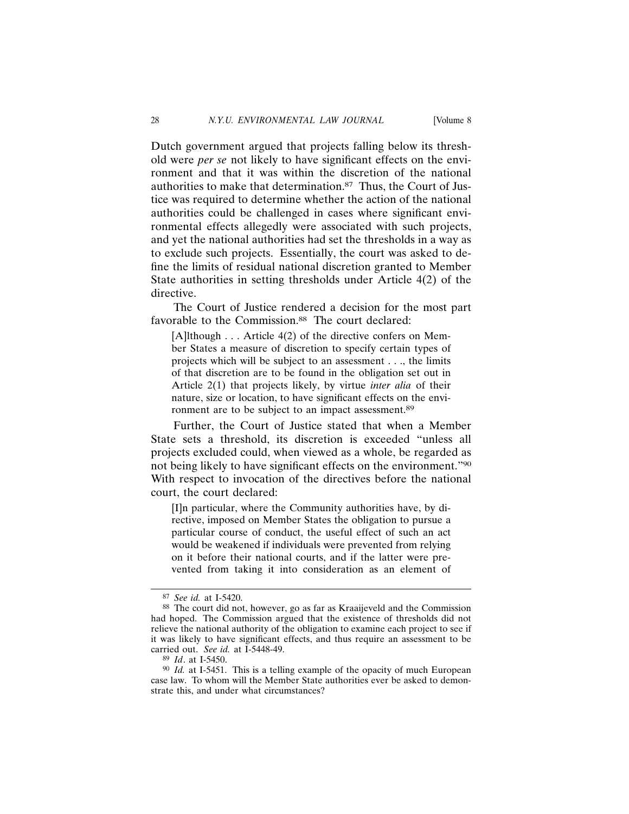Dutch government argued that projects falling below its threshold were *per se* not likely to have significant effects on the environment and that it was within the discretion of the national authorities to make that determination.87 Thus, the Court of Justice was required to determine whether the action of the national authorities could be challenged in cases where significant environmental effects allegedly were associated with such projects, and yet the national authorities had set the thresholds in a way as to exclude such projects. Essentially, the court was asked to define the limits of residual national discretion granted to Member State authorities in setting thresholds under Article 4(2) of the directive.

The Court of Justice rendered a decision for the most part favorable to the Commission.<sup>88</sup> The court declared:

[A]lthough . . . Article 4(2) of the directive confers on Member States a measure of discretion to specify certain types of projects which will be subject to an assessment . . ., the limits of that discretion are to be found in the obligation set out in Article 2(1) that projects likely, by virtue *inter alia* of their nature, size or location, to have significant effects on the environment are to be subject to an impact assessment.<sup>89</sup>

Further, the Court of Justice stated that when a Member State sets a threshold, its discretion is exceeded "unless all projects excluded could, when viewed as a whole, be regarded as not being likely to have significant effects on the environment."90 With respect to invocation of the directives before the national court, the court declared:

[I]n particular, where the Community authorities have, by directive, imposed on Member States the obligation to pursue a particular course of conduct, the useful effect of such an act would be weakened if individuals were prevented from relying on it before their national courts, and if the latter were prevented from taking it into consideration as an element of

<sup>87</sup> *See id.* at I-5420.

<sup>88</sup> The court did not, however, go as far as Kraaijeveld and the Commission had hoped. The Commission argued that the existence of thresholds did not relieve the national authority of the obligation to examine each project to see if it was likely to have significant effects, and thus require an assessment to be carried out. *See id.* at I-5448-49.

<sup>89</sup> *Id*. at I-5450.

<sup>90</sup> *Id.* at I-5451. This is a telling example of the opacity of much European case law. To whom will the Member State authorities ever be asked to demonstrate this, and under what circumstances?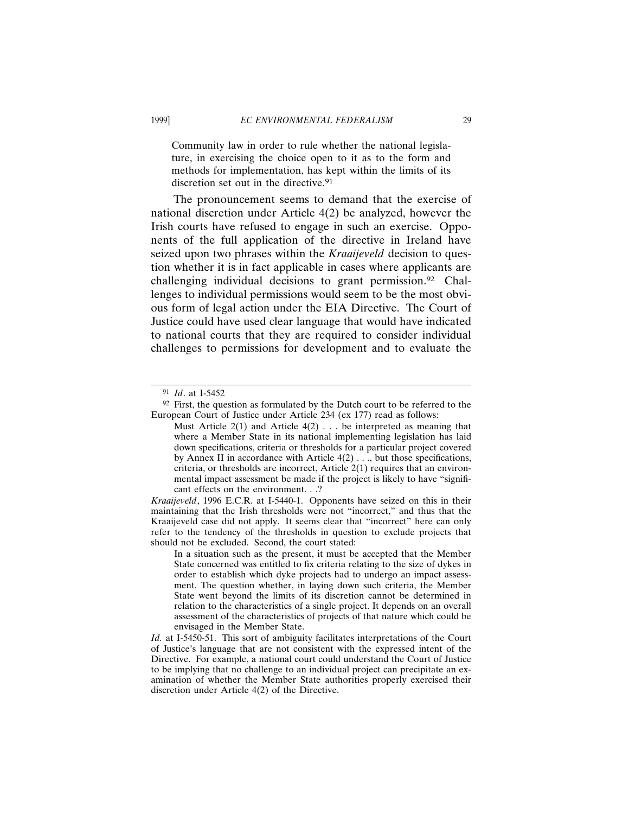Community law in order to rule whether the national legislature, in exercising the choice open to it as to the form and methods for implementation, has kept within the limits of its discretion set out in the directive.<sup>91</sup>

The pronouncement seems to demand that the exercise of national discretion under Article 4(2) be analyzed, however the Irish courts have refused to engage in such an exercise. Opponents of the full application of the directive in Ireland have seized upon two phrases within the *Kraaijeveld* decision to question whether it is in fact applicable in cases where applicants are challenging individual decisions to grant permission.<sup>92</sup> Challenges to individual permissions would seem to be the most obvious form of legal action under the EIA Directive. The Court of Justice could have used clear language that would have indicated to national courts that they are required to consider individual challenges to permissions for development and to evaluate the

<sup>91</sup> *Id*. at I-5452

<sup>92</sup> First, the question as formulated by the Dutch court to be referred to the European Court of Justice under Article 234 (ex 177) read as follows:

Must Article  $2(1)$  and Article  $4(2)$ ... be interpreted as meaning that where a Member State in its national implementing legislation has laid down specifications, criteria or thresholds for a particular project covered by Annex II in accordance with Article  $4(2)$ ..., but those specifications, criteria, or thresholds are incorrect, Article 2(1) requires that an environmental impact assessment be made if the project is likely to have "significant effects on the environment. . .?

*Kraaijeveld*, 1996 E.C.R. at I-5440-1. Opponents have seized on this in their maintaining that the Irish thresholds were not "incorrect," and thus that the Kraaijeveld case did not apply. It seems clear that "incorrect" here can only refer to the tendency of the thresholds in question to exclude projects that should not be excluded. Second, the court stated:

In a situation such as the present, it must be accepted that the Member State concerned was entitled to fix criteria relating to the size of dykes in order to establish which dyke projects had to undergo an impact assessment. The question whether, in laying down such criteria, the Member State went beyond the limits of its discretion cannot be determined in relation to the characteristics of a single project. It depends on an overall assessment of the characteristics of projects of that nature which could be envisaged in the Member State.

*Id.* at I-5450-51. This sort of ambiguity facilitates interpretations of the Court of Justice's language that are not consistent with the expressed intent of the Directive. For example, a national court could understand the Court of Justice to be implying that no challenge to an individual project can precipitate an examination of whether the Member State authorities properly exercised their discretion under Article 4(2) of the Directive.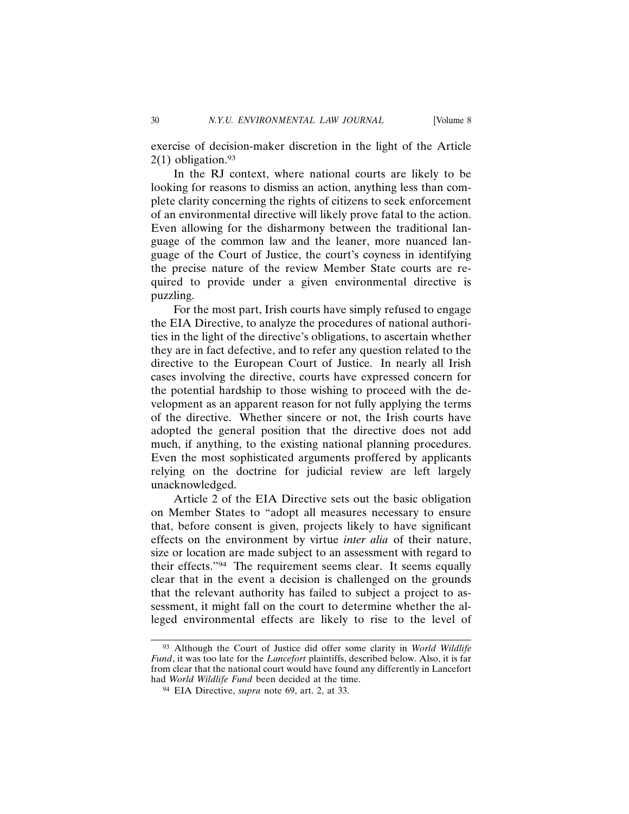exercise of decision-maker discretion in the light of the Article  $2(1)$  obligation.<sup>93</sup>

In the RJ context, where national courts are likely to be looking for reasons to dismiss an action, anything less than complete clarity concerning the rights of citizens to seek enforcement of an environmental directive will likely prove fatal to the action. Even allowing for the disharmony between the traditional language of the common law and the leaner, more nuanced language of the Court of Justice, the court's coyness in identifying the precise nature of the review Member State courts are required to provide under a given environmental directive is puzzling.

For the most part, Irish courts have simply refused to engage the EIA Directive, to analyze the procedures of national authorities in the light of the directive's obligations, to ascertain whether they are in fact defective, and to refer any question related to the directive to the European Court of Justice. In nearly all Irish cases involving the directive, courts have expressed concern for the potential hardship to those wishing to proceed with the development as an apparent reason for not fully applying the terms of the directive. Whether sincere or not, the Irish courts have adopted the general position that the directive does not add much, if anything, to the existing national planning procedures. Even the most sophisticated arguments proffered by applicants relying on the doctrine for judicial review are left largely unacknowledged.

Article 2 of the EIA Directive sets out the basic obligation on Member States to "adopt all measures necessary to ensure that, before consent is given, projects likely to have significant effects on the environment by virtue *inter alia* of their nature, size or location are made subject to an assessment with regard to their effects."94 The requirement seems clear. It seems equally clear that in the event a decision is challenged on the grounds that the relevant authority has failed to subject a project to assessment, it might fall on the court to determine whether the alleged environmental effects are likely to rise to the level of

<sup>93</sup> Although the Court of Justice did offer some clarity in *World Wildlife Fund*, it was too late for the *Lancefort* plaintiffs, described below. Also, it is far from clear that the national court would have found any differently in Lancefort had *World Wildlife Fund* been decided at the time.

<sup>94</sup> EIA Directive, *supra* note 69, art. 2, at 33.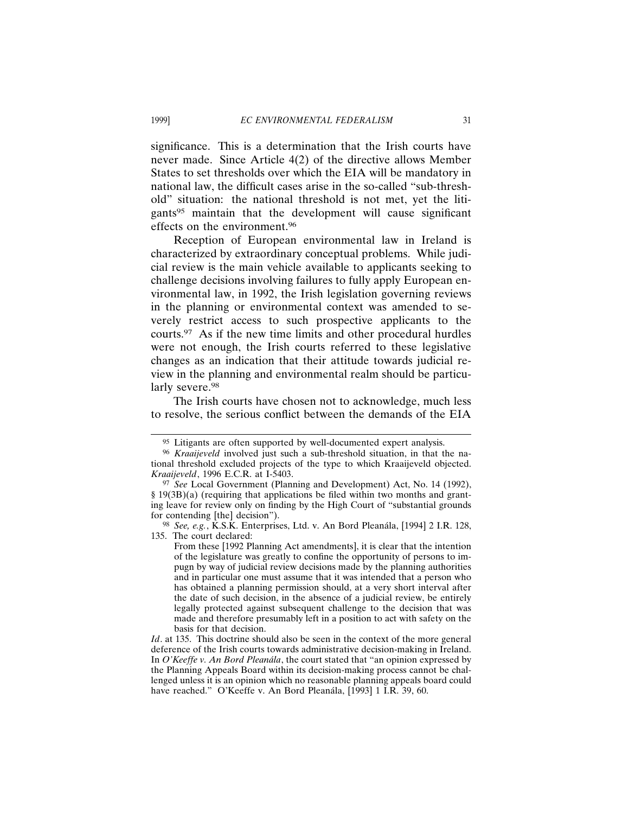significance. This is a determination that the Irish courts have never made. Since Article 4(2) of the directive allows Member States to set thresholds over which the EIA will be mandatory in national law, the difficult cases arise in the so-called "sub-threshold" situation: the national threshold is not met, yet the litigants95 maintain that the development will cause significant effects on the environment.96

Reception of European environmental law in Ireland is characterized by extraordinary conceptual problems. While judicial review is the main vehicle available to applicants seeking to challenge decisions involving failures to fully apply European environmental law, in 1992, the Irish legislation governing reviews in the planning or environmental context was amended to severely restrict access to such prospective applicants to the courts.97 As if the new time limits and other procedural hurdles were not enough, the Irish courts referred to these legislative changes as an indication that their attitude towards judicial review in the planning and environmental realm should be particularly severe.<sup>98</sup>

The Irish courts have chosen not to acknowledge, much less to resolve, the serious conflict between the demands of the EIA

<sup>95</sup> Litigants are often supported by well-documented expert analysis.

<sup>96</sup> *Kraaijeveld* involved just such a sub-threshold situation, in that the national threshold excluded projects of the type to which Kraaijeveld objected. *Kraaijeveld*, 1996 E.C.R. at I-5403.

<sup>&</sup>lt;sup>97</sup> See Local Government (Planning and Development) Act, No. 14 (1992), § 19(3B)(a) (requiring that applications be filed within two months and granting leave for review only on finding by the High Court of "substantial grounds for contending [the] decision").

<sup>&</sup>lt;sup>98</sup> *See, e.g.*, K.S.K. Enterprises, Ltd. v. An Bord Pleanála, [1994] 2 I.R. 128, 135. The court declared:

From these [1992 Planning Act amendments], it is clear that the intention of the legislature was greatly to confine the opportunity of persons to impugn by way of judicial review decisions made by the planning authorities and in particular one must assume that it was intended that a person who has obtained a planning permission should, at a very short interval after the date of such decision, in the absence of a judicial review, be entirely legally protected against subsequent challenge to the decision that was made and therefore presumably left in a position to act with safety on the basis for that decision.

*Id*. at 135. This doctrine should also be seen in the context of the more general deference of the Irish courts towards administrative decision-making in Ireland. In *O'Keeffe v. An Bord Pleanála*, the court stated that "an opinion expressed by the Planning Appeals Board within its decision-making process cannot be challenged unless it is an opinion which no reasonable planning appeals board could have reached." O'Keeffe v. An Bord Pleanála, [1993] 1 I.R. 39, 60.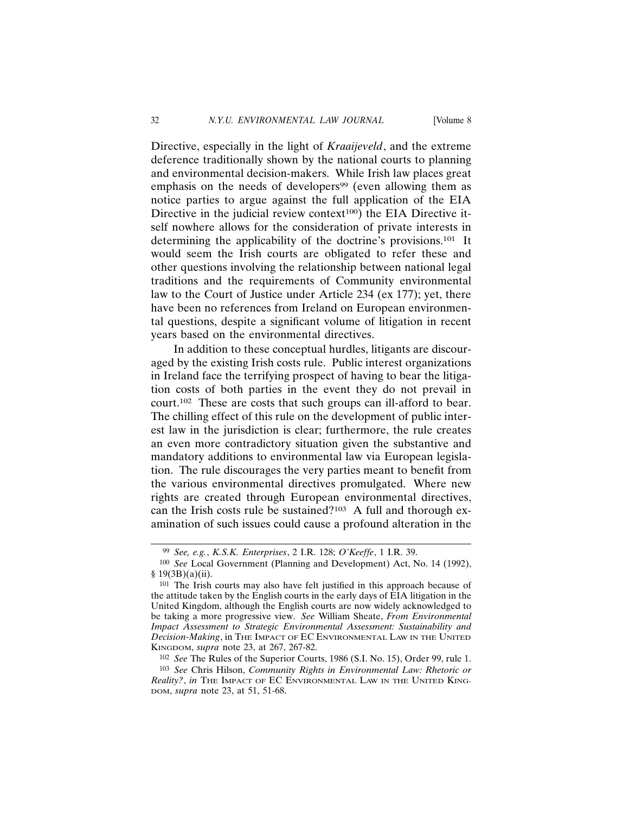Directive, especially in the light of *Kraaijeveld*, and the extreme deference traditionally shown by the national courts to planning and environmental decision-makers. While Irish law places great emphasis on the needs of developers<sup>99</sup> (even allowing them as notice parties to argue against the full application of the EIA Directive in the judicial review context $100$ ) the EIA Directive itself nowhere allows for the consideration of private interests in determining the applicability of the doctrine's provisions.101 It would seem the Irish courts are obligated to refer these and other questions involving the relationship between national legal traditions and the requirements of Community environmental law to the Court of Justice under Article 234 (ex 177); yet, there have been no references from Ireland on European environmental questions, despite a significant volume of litigation in recent years based on the environmental directives.

In addition to these conceptual hurdles, litigants are discouraged by the existing Irish costs rule. Public interest organizations in Ireland face the terrifying prospect of having to bear the litigation costs of both parties in the event they do not prevail in court.102 These are costs that such groups can ill-afford to bear. The chilling effect of this rule on the development of public interest law in the jurisdiction is clear; furthermore, the rule creates an even more contradictory situation given the substantive and mandatory additions to environmental law via European legislation. The rule discourages the very parties meant to benefit from the various environmental directives promulgated. Where new rights are created through European environmental directives, can the Irish costs rule be sustained?103 A full and thorough examination of such issues could cause a profound alteration in the

102 *See* The Rules of the Superior Courts, 1986 (S.I. No. 15), Order 99, rule 1.

<sup>99</sup> *See, e.g.*, *K.S.K. Enterprises*, 2 I.R. 128; *O'Keeffe*, 1 I.R. 39.

<sup>100</sup> *See* Local Government (Planning and Development) Act, No. 14 (1992),  $§ 19(3B)(a)(ii).$ 

<sup>101</sup> The Irish courts may also have felt justified in this approach because of the attitude taken by the English courts in the early days of EIA litigation in the United Kingdom, although the English courts are now widely acknowledged to be taking a more progressive view. *See* William Sheate, *From Environmental Impact Assessment to Strategic Environmental Assessment: Sustainability and Decision-Making*, in THE IMPACT OF EC ENVIRONMENTAL LAW IN THE UNITED KINGDOM, *supra* note 23, at 267, 267-82.

<sup>103</sup> *See* Chris Hilson, *Community Rights in Environmental Law: Rhetoric or Reality?*, *in* THE IMPACT OF EC ENVIRONMENTAL LAW IN THE UNITED KING-DOM, *supra* note 23, at 51, 51-68.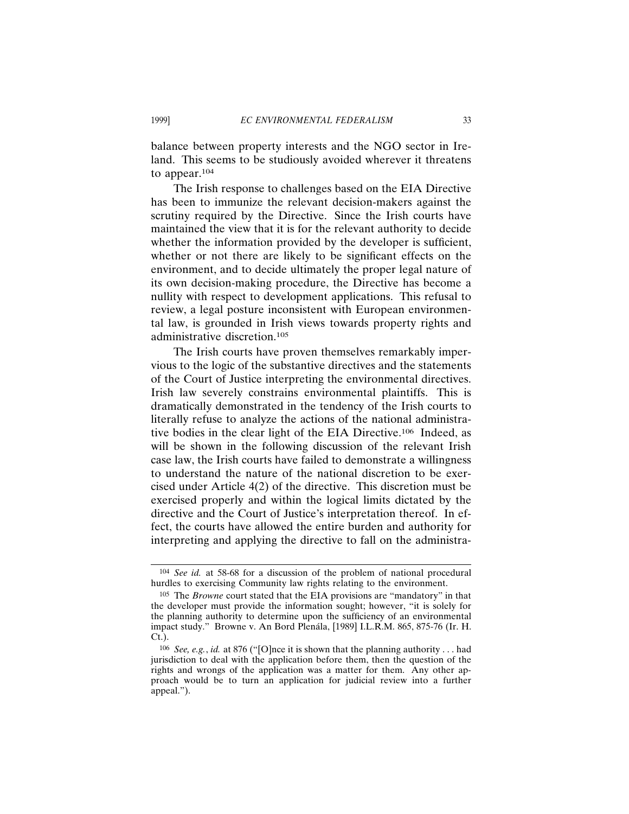balance between property interests and the NGO sector in Ireland. This seems to be studiously avoided wherever it threatens to appear.104

The Irish response to challenges based on the EIA Directive has been to immunize the relevant decision-makers against the scrutiny required by the Directive. Since the Irish courts have maintained the view that it is for the relevant authority to decide whether the information provided by the developer is sufficient, whether or not there are likely to be significant effects on the environment, and to decide ultimately the proper legal nature of its own decision-making procedure, the Directive has become a nullity with respect to development applications. This refusal to review, a legal posture inconsistent with European environmental law, is grounded in Irish views towards property rights and administrative discretion.105

The Irish courts have proven themselves remarkably impervious to the logic of the substantive directives and the statements of the Court of Justice interpreting the environmental directives. Irish law severely constrains environmental plaintiffs. This is dramatically demonstrated in the tendency of the Irish courts to literally refuse to analyze the actions of the national administrative bodies in the clear light of the EIA Directive.106 Indeed, as will be shown in the following discussion of the relevant Irish case law, the Irish courts have failed to demonstrate a willingness to understand the nature of the national discretion to be exercised under Article 4(2) of the directive. This discretion must be exercised properly and within the logical limits dictated by the directive and the Court of Justice's interpretation thereof. In effect, the courts have allowed the entire burden and authority for interpreting and applying the directive to fall on the administra-

<sup>104</sup> *See id.* at 58-68 for a discussion of the problem of national procedural hurdles to exercising Community law rights relating to the environment.

<sup>105</sup> The *Browne* court stated that the EIA provisions are "mandatory" in that the developer must provide the information sought; however, "it is solely for the planning authority to determine upon the sufficiency of an environmental impact study." Browne v. An Bord Plenála, [1989] I.L.R.M. 865, 875-76 (Ir. H. Ct.).

<sup>106</sup> *See, e.g.*, *id.* at 876 ("[O]nce it is shown that the planning authority . . . had jurisdiction to deal with the application before them, then the question of the rights and wrongs of the application was a matter for them. Any other approach would be to turn an application for judicial review into a further appeal.").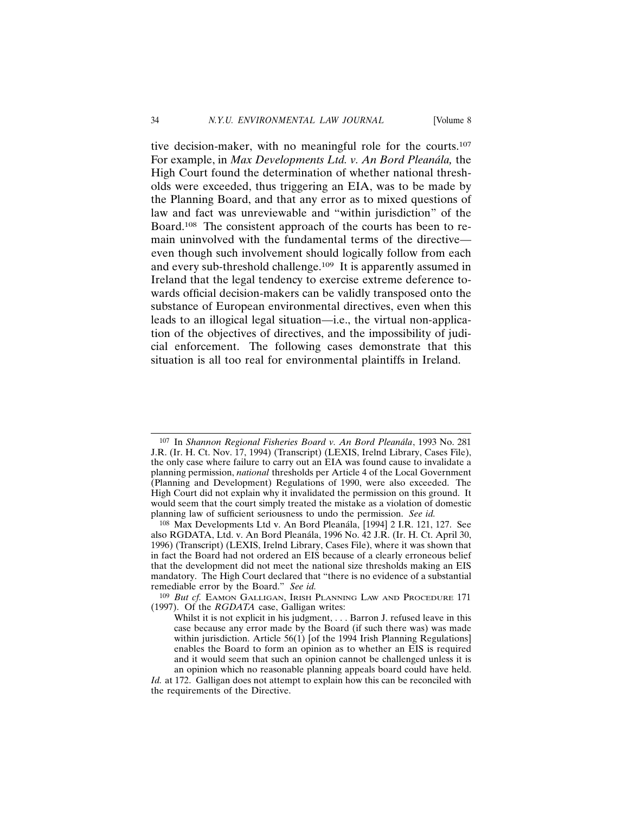tive decision-maker, with no meaningful role for the courts.107 For example, in *Max Developments Ltd. v. An Bord Pleanála*, the High Court found the determination of whether national thresholds were exceeded, thus triggering an EIA, was to be made by the Planning Board, and that any error as to mixed questions of law and fact was unreviewable and "within jurisdiction" of the Board.108 The consistent approach of the courts has been to remain uninvolved with the fundamental terms of the directive even though such involvement should logically follow from each and every sub-threshold challenge.109 It is apparently assumed in Ireland that the legal tendency to exercise extreme deference towards official decision-makers can be validly transposed onto the substance of European environmental directives, even when this leads to an illogical legal situation—i.e., the virtual non-application of the objectives of directives, and the impossibility of judicial enforcement. The following cases demonstrate that this situation is all too real for environmental plaintiffs in Ireland.

<sup>&</sup>lt;sup>107</sup> In *Shannon Regional Fisheries Board v. An Bord Pleanála*, 1993 No. 281 J.R. (Ir. H. Ct. Nov. 17, 1994) (Transcript) (LEXIS, Irelnd Library, Cases File), the only case where failure to carry out an EIA was found cause to invalidate a planning permission, *national* thresholds per Article 4 of the Local Government (Planning and Development) Regulations of 1990, were also exceeded. The High Court did not explain why it invalidated the permission on this ground. It would seem that the court simply treated the mistake as a violation of domestic planning law of sufficient seriousness to undo the permission. *See id.*

<sup>&</sup>lt;sup>108</sup> Max Developments Ltd v. An Bord Pleanála, [1994] 2 I.R. 121, 127. See also RGDATA, Ltd. v. An Bord Pleanála, 1996 No. 42 J.R. (Ir. H. Ct. April 30, 1996) (Transcript) (LEXIS, Irelnd Library, Cases File), where it was shown that in fact the Board had not ordered an EIS because of a clearly erroneous belief that the development did not meet the national size thresholds making an EIS mandatory. The High Court declared that "there is no evidence of a substantial remediable error by the Board." *See id.*

<sup>109</sup> *But cf.* EAMON GALLIGAN, IRISH PLANNING LAW AND PROCEDURE 171 (1997). Of the *RGDATA* case, Galligan writes:

Whilst it is not explicit in his judgment, ... Barron J. refused leave in this case because any error made by the Board (if such there was) was made within jurisdiction. Article  $56(1)$  [of the 1994 Irish Planning Regulations] enables the Board to form an opinion as to whether an EIS is required and it would seem that such an opinion cannot be challenged unless it is an opinion which no reasonable planning appeals board could have held.

*Id.* at 172. Galligan does not attempt to explain how this can be reconciled with the requirements of the Directive.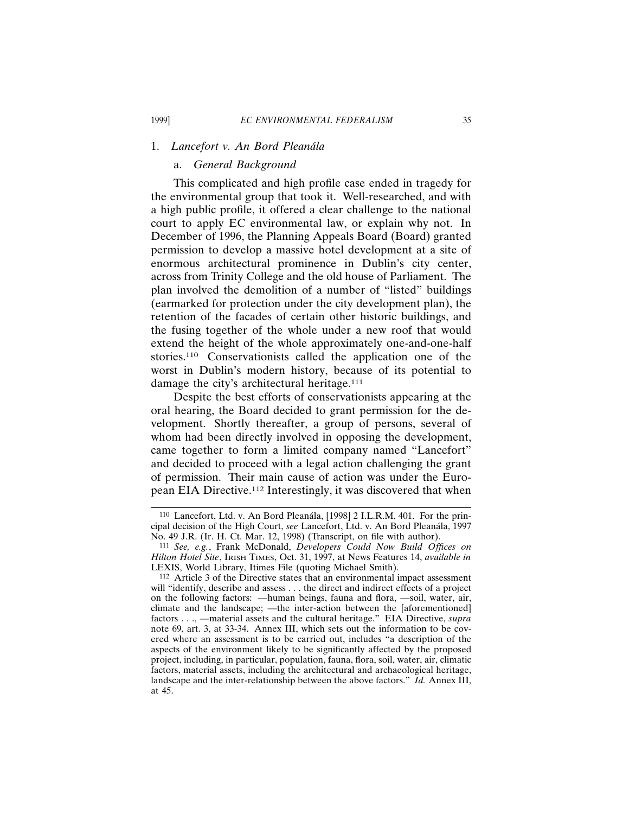### 1. *Lancefort v. An Bord Plean´ala*

### a. *General Background*

This complicated and high profile case ended in tragedy for the environmental group that took it. Well-researched, and with a high public profile, it offered a clear challenge to the national court to apply EC environmental law, or explain why not. In December of 1996, the Planning Appeals Board (Board) granted permission to develop a massive hotel development at a site of enormous architectural prominence in Dublin's city center, across from Trinity College and the old house of Parliament. The plan involved the demolition of a number of "listed" buildings (earmarked for protection under the city development plan), the retention of the facades of certain other historic buildings, and the fusing together of the whole under a new roof that would extend the height of the whole approximately one-and-one-half stories.<sup>110</sup> Conservationists called the application one of the worst in Dublin's modern history, because of its potential to damage the city's architectural heritage.<sup>111</sup>

Despite the best efforts of conservationists appearing at the oral hearing, the Board decided to grant permission for the development. Shortly thereafter, a group of persons, several of whom had been directly involved in opposing the development, came together to form a limited company named "Lancefort" and decided to proceed with a legal action challenging the grant of permission. Their main cause of action was under the European EIA Directive.112 Interestingly, it was discovered that when

<sup>&</sup>lt;sup>110</sup> Lancefort, Ltd. v. An Bord Pleanála, [1998] 2 I.L.R.M. 401. For the principal decision of the High Court, *see* Lancefort, Ltd. v. An Bord Plean´ala, 1997 No. 49 J.R. (Ir. H. Ct. Mar. 12, 1998) (Transcript, on file with author).

<sup>111</sup> *See, e.g.*, Frank McDonald, *Developers Could Now Build Offices on Hilton Hotel Site*, IRISH TIMES, Oct. 31, 1997, at News Features 14, *available in* LEXIS, World Library, Itimes File (quoting Michael Smith).

<sup>112</sup> Article 3 of the Directive states that an environmental impact assessment will "identify, describe and assess . . . the direct and indirect effects of a project on the following factors: —human beings, fauna and flora, —soil, water, air, climate and the landscape; —the inter-action between the [aforementioned] factors . . ., —material assets and the cultural heritage." EIA Directive, *supra* note 69, art. 3, at 33-34. Annex III, which sets out the information to be covered where an assessment is to be carried out, includes "a description of the aspects of the environment likely to be significantly affected by the proposed project, including, in particular, population, fauna, flora, soil, water, air, climatic factors, material assets, including the architectural and archaeological heritage, landscape and the inter-relationship between the above factors." *Id.* Annex III, at 45.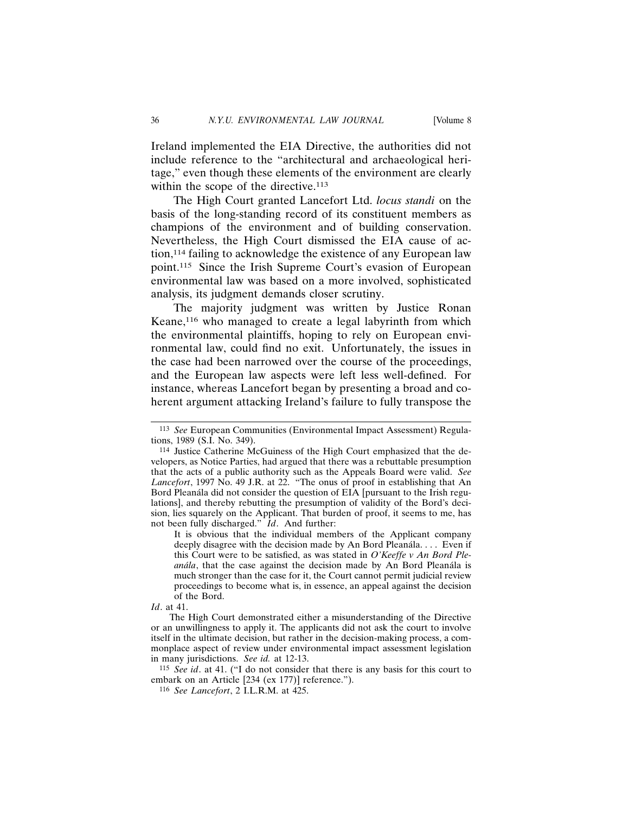Ireland implemented the EIA Directive, the authorities did not include reference to the "architectural and archaeological heritage," even though these elements of the environment are clearly within the scope of the directive.<sup>113</sup>

The High Court granted Lancefort Ltd. *locus standi* on the basis of the long-standing record of its constituent members as champions of the environment and of building conservation. Nevertheless, the High Court dismissed the EIA cause of action,114 failing to acknowledge the existence of any European law point.115 Since the Irish Supreme Court's evasion of European environmental law was based on a more involved, sophisticated analysis, its judgment demands closer scrutiny.

The majority judgment was written by Justice Ronan Keane,<sup>116</sup> who managed to create a legal labyrinth from which the environmental plaintiffs, hoping to rely on European environmental law, could find no exit. Unfortunately, the issues in the case had been narrowed over the course of the proceedings, and the European law aspects were left less well-defined. For instance, whereas Lancefort began by presenting a broad and coherent argument attacking Ireland's failure to fully transpose the

*Id*. at 41.

The High Court demonstrated either a misunderstanding of the Directive or an unwillingness to apply it. The applicants did not ask the court to involve itself in the ultimate decision, but rather in the decision-making process, a commonplace aspect of review under environmental impact assessment legislation in many jurisdictions. *See id.* at 12-13.

115 *See id*. at 41. ("I do not consider that there is any basis for this court to embark on an Article [234 (ex 177)] reference.").

<sup>113</sup> *See* European Communities (Environmental Impact Assessment) Regulations, 1989 (S.I. No. 349).

<sup>114</sup> Justice Catherine McGuiness of the High Court emphasized that the developers, as Notice Parties, had argued that there was a rebuttable presumption that the acts of a public authority such as the Appeals Board were valid. *See Lancefort*, 1997 No. 49 J.R. at 22. "The onus of proof in establishing that An Bord Pleanála did not consider the question of EIA [pursuant to the Irish regulations], and thereby rebutting the presumption of validity of the Bord's decision, lies squarely on the Applicant. That burden of proof, it seems to me, has not been fully discharged." *Id*. And further:

It is obvious that the individual members of the Applicant company deeply disagree with the decision made by An Bord Pleanála. . . . Even if this Court were to be satisfied, as was stated in *O'Keeffe v An Bord Ple*anála, that the case against the decision made by An Bord Pleanála is much stronger than the case for it, the Court cannot permit judicial review proceedings to become what is, in essence, an appeal against the decision of the Bord.

<sup>116</sup> *See Lancefort*, 2 I.L.R.M. at 425.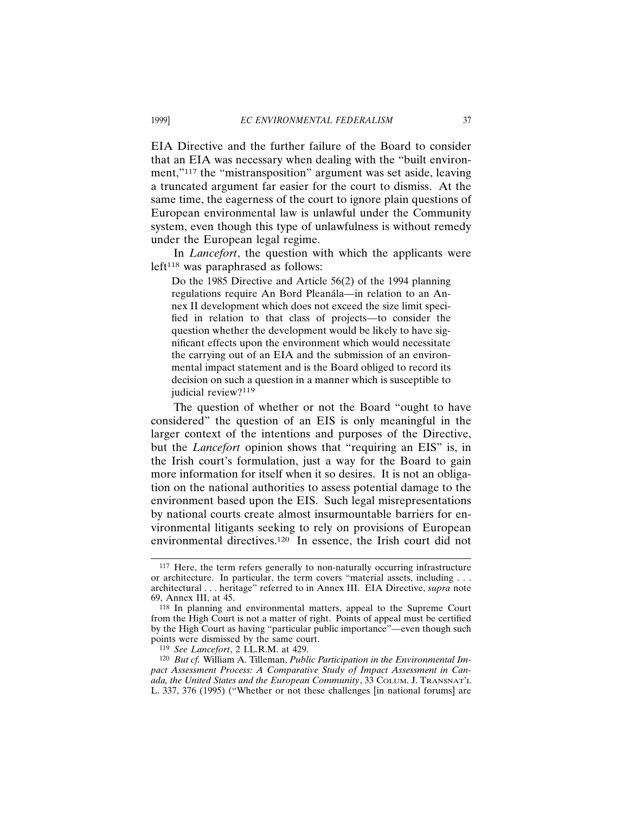EIA Directive and the further failure of the Board to consider that an EIA was necessary when dealing with the "built environment,"<sup>117</sup> the "mistransposition" argument was set aside, leaving a truncated argument far easier for the court to dismiss. At the same time, the eagerness of the court to ignore plain questions of European environmental law is unlawful under the Community system, even though this type of unlawfulness is without remedy under the European legal regime.

In *Lancefort*, the question with which the applicants were  $left<sup>118</sup>$  was paraphrased as follows:

Do the 1985 Directive and Article 56(2) of the 1994 planning regulations require An Bord Pleanála—in relation to an Annex II development which does not exceed the size limit specified in relation to that class of projects—to consider the question whether the development would be likely to have significant effects upon the environment which would necessitate the carrying out of an EIA and the submission of an environmental impact statement and is the Board obliged to record its decision on such a question in a manner which is susceptible to judicial review?<sup>119</sup>

The question of whether or not the Board "ought to have considered" the question of an EIS is only meaningful in the larger context of the intentions and purposes of the Directive, but the *Lancefort* opinion shows that "requiring an EIS" is, in the Irish court's formulation, just a way for the Board to gain more information for itself when it so desires. It is not an obligation on the national authorities to assess potential damage to the environment based upon the EIS. Such legal misrepresentations by national courts create almost insurmountable barriers for environmental litigants seeking to rely on provisions of European environmental directives.120 In essence, the Irish court did not

<sup>117</sup> Here, the term refers generally to non-naturally occurring infrastructure or architecture. In particular, the term covers "material assets, including . . . architectural . . . heritage" referred to in Annex III. EIA Directive, *supra* note 69, Annex III, at 45.

<sup>118</sup> In planning and environmental matters, appeal to the Supreme Court from the High Court is not a matter of right. Points of appeal must be certified by the High Court as having "particular public importance"—even though such points were dismissed by the same court.

<sup>119</sup> *See Lancefort*, 2 I.L.R.M. at 429.

<sup>120</sup> *But cf.* William A. Tilleman, *Public Participation in the Environmental Impact Assessment Process: A Comparative Study of Impact Assessment in Canada, the United States and the European Community*, 33 COLUM. J. TRANSNAT'L L. 337, 376 (1995) ("Whether or not these challenges [in national forums] are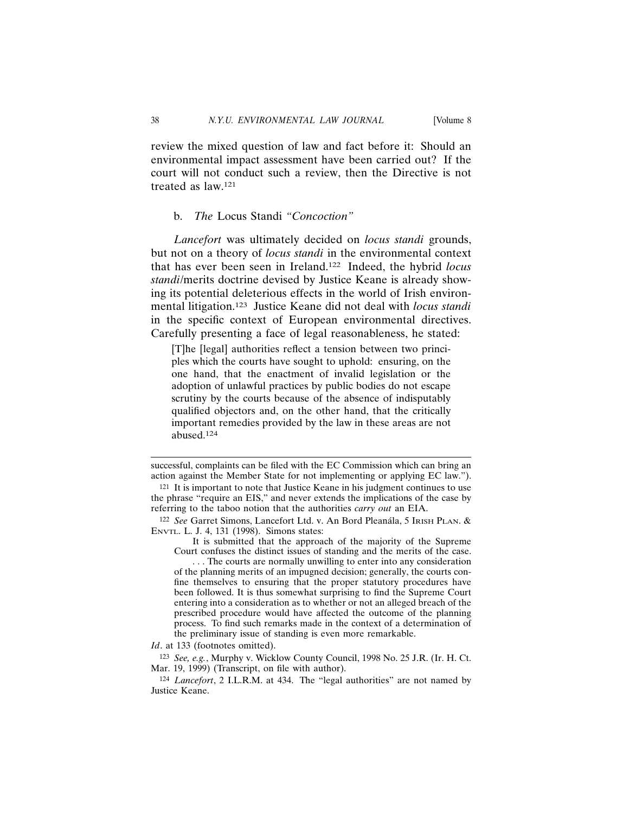review the mixed question of law and fact before it: Should an environmental impact assessment have been carried out? If the court will not conduct such a review, then the Directive is not treated as law.121

b. *The* Locus Standi *"Concoction"*

*Lancefort* was ultimately decided on *locus standi* grounds, but not on a theory of *locus standi* in the environmental context that has ever been seen in Ireland.122 Indeed, the hybrid *locus standi*/merits doctrine devised by Justice Keane is already showing its potential deleterious effects in the world of Irish environmental litigation.123 Justice Keane did not deal with *locus standi* in the specific context of European environmental directives. Carefully presenting a face of legal reasonableness, he stated:

[T]he [legal] authorities reflect a tension between two principles which the courts have sought to uphold: ensuring, on the one hand, that the enactment of invalid legislation or the adoption of unlawful practices by public bodies do not escape scrutiny by the courts because of the absence of indisputably qualified objectors and, on the other hand, that the critically important remedies provided by the law in these areas are not abused. $124$ 

*Id*. at 133 (footnotes omitted).

123 *See, e.g.*, Murphy v. Wicklow County Council, 1998 No. 25 J.R. (Ir. H. Ct. Mar. 19, 1999) (Transcript, on file with author).

successful, complaints can be filed with the EC Commission which can bring an action against the Member State for not implementing or applying EC law.").

<sup>121</sup> It is important to note that Justice Keane in his judgment continues to use the phrase "require an EIS," and never extends the implications of the case by referring to the taboo notion that the authorities *carry out* an EIA.

<sup>122</sup> See Garret Simons, Lancefort Ltd. v. An Bord Pleanála, 5 IRISH PLAN. & ENVTL. L. J. 4, 131 (1998). Simons states:

It is submitted that the approach of the majority of the Supreme Court confuses the distinct issues of standing and the merits of the case.

<sup>. . .</sup> The courts are normally unwilling to enter into any consideration of the planning merits of an impugned decision; generally, the courts confine themselves to ensuring that the proper statutory procedures have been followed. It is thus somewhat surprising to find the Supreme Court entering into a consideration as to whether or not an alleged breach of the prescribed procedure would have affected the outcome of the planning process. To find such remarks made in the context of a determination of the preliminary issue of standing is even more remarkable.

<sup>124</sup> *Lancefort*, 2 I.L.R.M. at 434. The "legal authorities" are not named by Justice Keane.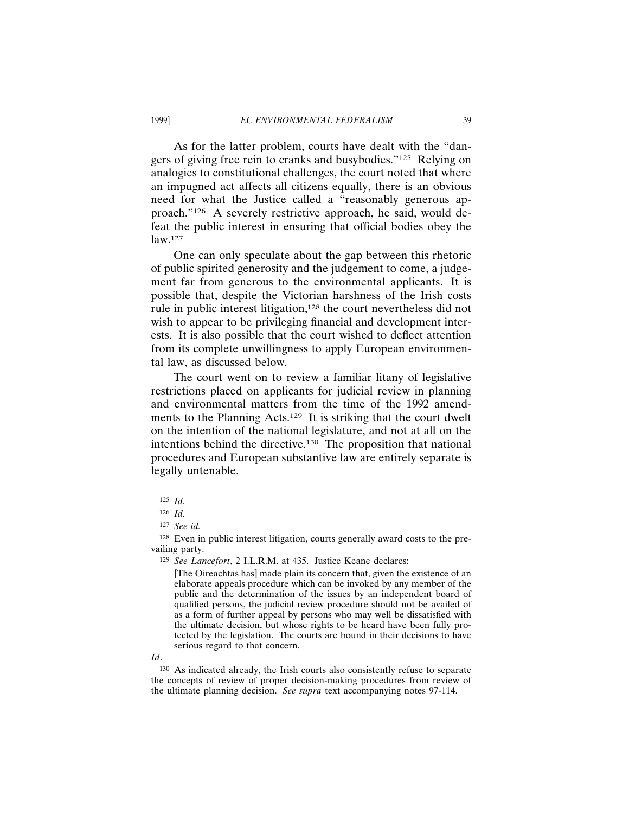As for the latter problem, courts have dealt with the "dangers of giving free rein to cranks and busybodies."125 Relying on analogies to constitutional challenges, the court noted that where an impugned act affects all citizens equally, there is an obvious need for what the Justice called a "reasonably generous approach."126 A severely restrictive approach, he said, would defeat the public interest in ensuring that official bodies obey the law.127

One can only speculate about the gap between this rhetoric of public spirited generosity and the judgement to come, a judgement far from generous to the environmental applicants. It is possible that, despite the Victorian harshness of the Irish costs rule in public interest litigation,<sup>128</sup> the court nevertheless did not wish to appear to be privileging financial and development interests. It is also possible that the court wished to deflect attention from its complete unwillingness to apply European environmental law, as discussed below.

The court went on to review a familiar litany of legislative restrictions placed on applicants for judicial review in planning and environmental matters from the time of the 1992 amendments to the Planning Acts.<sup>129</sup> It is striking that the court dwelt on the intention of the national legislature, and not at all on the intentions behind the directive.130 The proposition that national procedures and European substantive law are entirely separate is legally untenable.

*Id*.

<sup>125</sup> *Id.*

<sup>126</sup> *Id.*

<sup>127</sup> *See id.*

<sup>128</sup> Even in public interest litigation, courts generally award costs to the prevailing party.

<sup>129</sup> *See Lancefort*, 2 I.L.R.M. at 435. Justice Keane declares:

<sup>[</sup>The Oireachtas has] made plain its concern that, given the existence of an elaborate appeals procedure which can be invoked by any member of the public and the determination of the issues by an independent board of qualified persons, the judicial review procedure should not be availed of as a form of further appeal by persons who may well be dissatisfied with the ultimate decision, but whose rights to be heard have been fully protected by the legislation. The courts are bound in their decisions to have serious regard to that concern.

<sup>130</sup> As indicated already, the Irish courts also consistently refuse to separate the concepts of review of proper decision-making procedures from review of the ultimate planning decision. *See supra* text accompanying notes 97-114.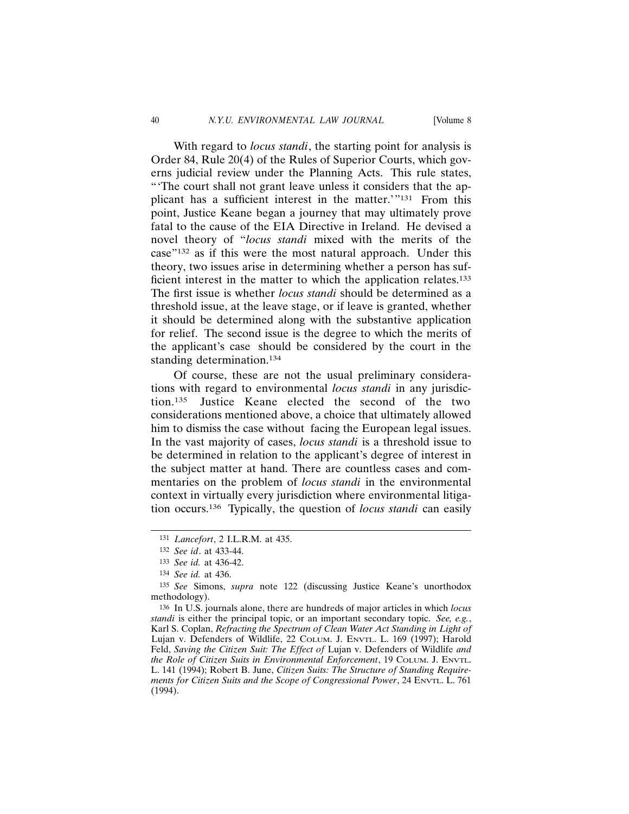With regard to *locus standi*, the starting point for analysis is Order 84, Rule 20(4) of the Rules of Superior Courts, which governs judicial review under the Planning Acts. This rule states, "'The court shall not grant leave unless it considers that the applicant has a sufficient interest in the matter.'"131 From this point, Justice Keane began a journey that may ultimately prove fatal to the cause of the EIA Directive in Ireland. He devised a novel theory of "*locus standi* mixed with the merits of the case"132 as if this were the most natural approach. Under this theory, two issues arise in determining whether a person has sufficient interest in the matter to which the application relates.<sup>133</sup> The first issue is whether *locus standi* should be determined as a threshold issue, at the leave stage, or if leave is granted, whether it should be determined along with the substantive application for relief. The second issue is the degree to which the merits of the applicant's case should be considered by the court in the standing determination.<sup>134</sup>

Of course, these are not the usual preliminary considerations with regard to environmental *locus standi* in any jurisdiction.135 Justice Keane elected the second of the two considerations mentioned above, a choice that ultimately allowed him to dismiss the case without facing the European legal issues. In the vast majority of cases, *locus standi* is a threshold issue to be determined in relation to the applicant's degree of interest in the subject matter at hand. There are countless cases and commentaries on the problem of *locus standi* in the environmental context in virtually every jurisdiction where environmental litigation occurs.136 Typically, the question of *locus standi* can easily

<sup>131</sup> *Lancefort*, 2 I.L.R.M. at 435.

<sup>132</sup> *See id*. at 433-44.

<sup>133</sup> *See id.* at 436-42.

<sup>134</sup> *See id.* at 436.

<sup>135</sup> *See* Simons, *supra* note 122 (discussing Justice Keane's unorthodox methodology).

<sup>136</sup> In U.S. journals alone, there are hundreds of major articles in which *locus standi* is either the principal topic, or an important secondary topic. *See, e.g.*, Karl S. Coplan, *Refracting the Spectrum of Clean Water Act Standing in Light of* Lujan v. Defenders of Wildlife, 22 COLUM. J. ENVTL. L. 169 (1997); Harold Feld, *Saving the Citizen Suit: The Effect of* Lujan v. Defenders of Wildlife *and the Role of Citizen Suits in Environmental Enforcement*, 19 COLUM. J. ENVTL. L. 141 (1994); Robert B. June, *Citizen Suits: The Structure of Standing Requirements for Citizen Suits and the Scope of Congressional Power*, 24 ENVTL. L. 761 (1994).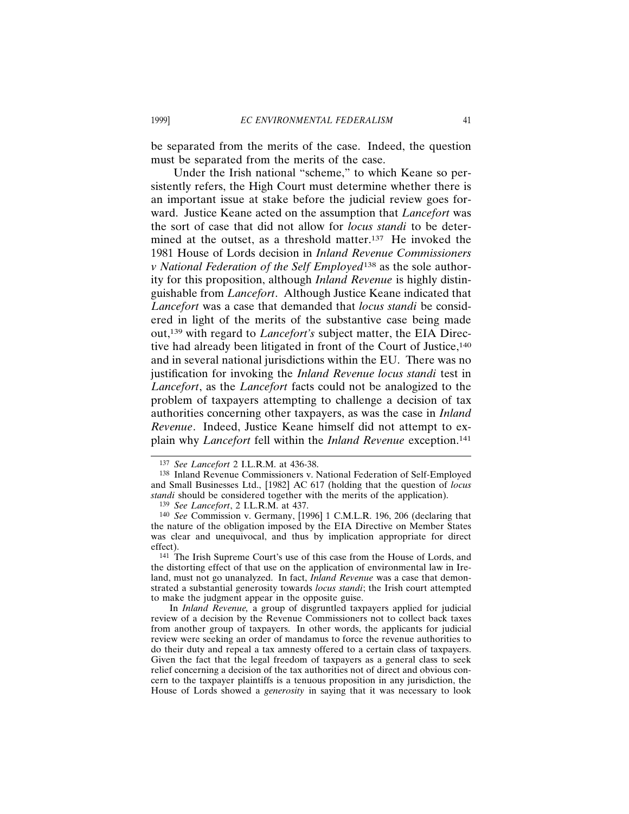be separated from the merits of the case. Indeed, the question must be separated from the merits of the case.

Under the Irish national "scheme," to which Keane so persistently refers, the High Court must determine whether there is an important issue at stake before the judicial review goes forward. Justice Keane acted on the assumption that *Lancefort* was the sort of case that did not allow for *locus standi* to be determined at the outset, as a threshold matter.137 He invoked the 1981 House of Lords decision in *Inland Revenue Commissioners v National Federation of the Self Employed*138 as the sole authority for this proposition, although *Inland Revenue* is highly distinguishable from *Lancefort*. Although Justice Keane indicated that *Lancefort* was a case that demanded that *locus standi* be considered in light of the merits of the substantive case being made out,139 with regard to *Lancefort's* subject matter, the EIA Directive had already been litigated in front of the Court of Justice,<sup>140</sup> and in several national jurisdictions within the EU. There was no justification for invoking the *Inland Revenue locus standi* test in *Lancefort*, as the *Lancefort* facts could not be analogized to the problem of taxpayers attempting to challenge a decision of tax authorities concerning other taxpayers, as was the case in *Inland Revenue*. Indeed, Justice Keane himself did not attempt to explain why *Lancefort* fell within the *Inland Revenue* exception.141

<sup>137</sup> *See Lancefort* 2 I.L.R.M. at 436-38.

<sup>138</sup> Inland Revenue Commissioners v. National Federation of Self-Employed and Small Businesses Ltd., [1982] AC 617 (holding that the question of *locus standi* should be considered together with the merits of the application).

<sup>139</sup> *See Lancefort*, 2 I.L.R.M. at 437.

<sup>140</sup> *See* Commission v. Germany, [1996] 1 C.M.L.R. 196, 206 (declaring that the nature of the obligation imposed by the EIA Directive on Member States was clear and unequivocal, and thus by implication appropriate for direct effect).

<sup>141</sup> The Irish Supreme Court's use of this case from the House of Lords, and the distorting effect of that use on the application of environmental law in Ireland, must not go unanalyzed. In fact, *Inland Revenue* was a case that demonstrated a substantial generosity towards *locus standi*; the Irish court attempted to make the judgment appear in the opposite guise.

In *Inland Revenue,* a group of disgruntled taxpayers applied for judicial review of a decision by the Revenue Commissioners not to collect back taxes from another group of taxpayers. In other words, the applicants for judicial review were seeking an order of mandamus to force the revenue authorities to do their duty and repeal a tax amnesty offered to a certain class of taxpayers. Given the fact that the legal freedom of taxpayers as a general class to seek relief concerning a decision of the tax authorities not of direct and obvious concern to the taxpayer plaintiffs is a tenuous proposition in any jurisdiction, the House of Lords showed a *generosity* in saying that it was necessary to look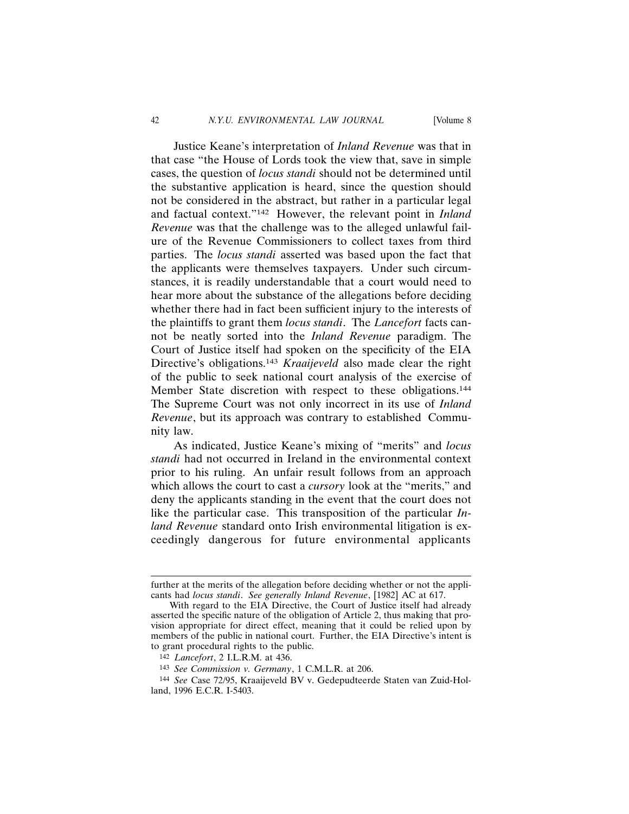Justice Keane's interpretation of *Inland Revenue* was that in that case "the House of Lords took the view that, save in simple cases, the question of *locus standi* should not be determined until the substantive application is heard, since the question should not be considered in the abstract, but rather in a particular legal and factual context."142 However, the relevant point in *Inland Revenue* was that the challenge was to the alleged unlawful failure of the Revenue Commissioners to collect taxes from third parties. The *locus standi* asserted was based upon the fact that the applicants were themselves taxpayers. Under such circumstances, it is readily understandable that a court would need to hear more about the substance of the allegations before deciding whether there had in fact been sufficient injury to the interests of the plaintiffs to grant them *locus standi*. The *Lancefort* facts cannot be neatly sorted into the *Inland Revenue* paradigm. The Court of Justice itself had spoken on the specificity of the EIA Directive's obligations.143 *Kraaijeveld* also made clear the right of the public to seek national court analysis of the exercise of Member State discretion with respect to these obligations.<sup>144</sup> The Supreme Court was not only incorrect in its use of *Inland Revenue*, but its approach was contrary to established Community law.

As indicated, Justice Keane's mixing of "merits" and *locus standi* had not occurred in Ireland in the environmental context prior to his ruling. An unfair result follows from an approach which allows the court to cast a *cursory* look at the "merits," and deny the applicants standing in the event that the court does not like the particular case. This transposition of the particular *Inland Revenue* standard onto Irish environmental litigation is exceedingly dangerous for future environmental applicants

further at the merits of the allegation before deciding whether or not the applicants had *locus standi*. *See generally Inland Revenue*, [1982] AC at 617.

With regard to the EIA Directive, the Court of Justice itself had already asserted the specific nature of the obligation of Article 2, thus making that provision appropriate for direct effect, meaning that it could be relied upon by members of the public in national court. Further, the EIA Directive's intent is to grant procedural rights to the public.

<sup>142</sup> *Lancefort*, 2 I.L.R.M. at 436.

<sup>143</sup> *See Commission v. Germany*, 1 C.M.L.R. at 206.

<sup>144</sup> *See* Case 72/95, Kraaijeveld BV v. Gedepudteerde Staten van Zuid-Holland, 1996 E.C.R. I-5403.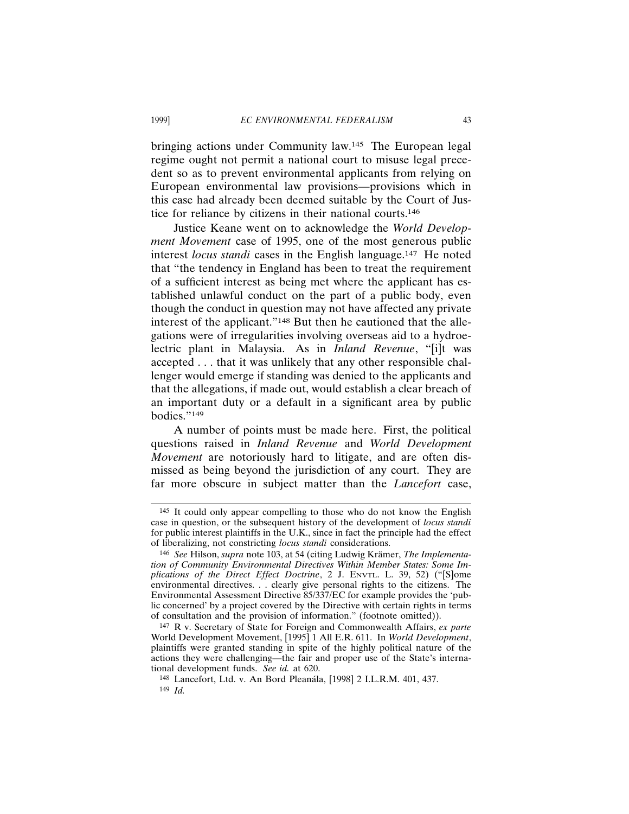bringing actions under Community law.145 The European legal regime ought not permit a national court to misuse legal precedent so as to prevent environmental applicants from relying on European environmental law provisions—provisions which in this case had already been deemed suitable by the Court of Justice for reliance by citizens in their national courts.146

Justice Keane went on to acknowledge the *World Development Movement* case of 1995, one of the most generous public interest *locus standi* cases in the English language.147 He noted that "the tendency in England has been to treat the requirement of a sufficient interest as being met where the applicant has established unlawful conduct on the part of a public body, even though the conduct in question may not have affected any private interest of the applicant."148 But then he cautioned that the allegations were of irregularities involving overseas aid to a hydroelectric plant in Malaysia. As in *Inland Revenue*, "[i]t was accepted . . . that it was unlikely that any other responsible challenger would emerge if standing was denied to the applicants and that the allegations, if made out, would establish a clear breach of an important duty or a default in a significant area by public bodies."149

A number of points must be made here. First, the political questions raised in *Inland Revenue* and *World Development Movement* are notoriously hard to litigate, and are often dismissed as being beyond the jurisdiction of any court. They are far more obscure in subject matter than the *Lancefort* case,

<sup>145</sup> It could only appear compelling to those who do not know the English case in question, or the subsequent history of the development of *locus standi* for public interest plaintiffs in the U.K., since in fact the principle had the effect of liberalizing, not constricting *locus standi* considerations.

<sup>146</sup> See Hilson, *supra* note 103, at 54 (citing Ludwig Krämer, *The Implementation of Community Environmental Directives Within Member States: Some Implications of the Direct Effect Doctrine*, 2 J. ENVTL. L. 39, 52) ("[S]ome environmental directives. . . clearly give personal rights to the citizens. The Environmental Assessment Directive 85/337/EC for example provides the 'public concerned' by a project covered by the Directive with certain rights in terms of consultation and the provision of information." (footnote omitted)).

<sup>147</sup> R v. Secretary of State for Foreign and Commonwealth Affairs, *ex parte* World Development Movement, [1995] 1 All E.R. 611. In *World Development*, plaintiffs were granted standing in spite of the highly political nature of the actions they were challenging—the fair and proper use of the State's international development funds. *See id.* at 620.

<sup>148</sup> Lancefort, Ltd. v. An Bord Pleanála, [1998] 2 I.L.R.M. 401, 437. 149 *Id.*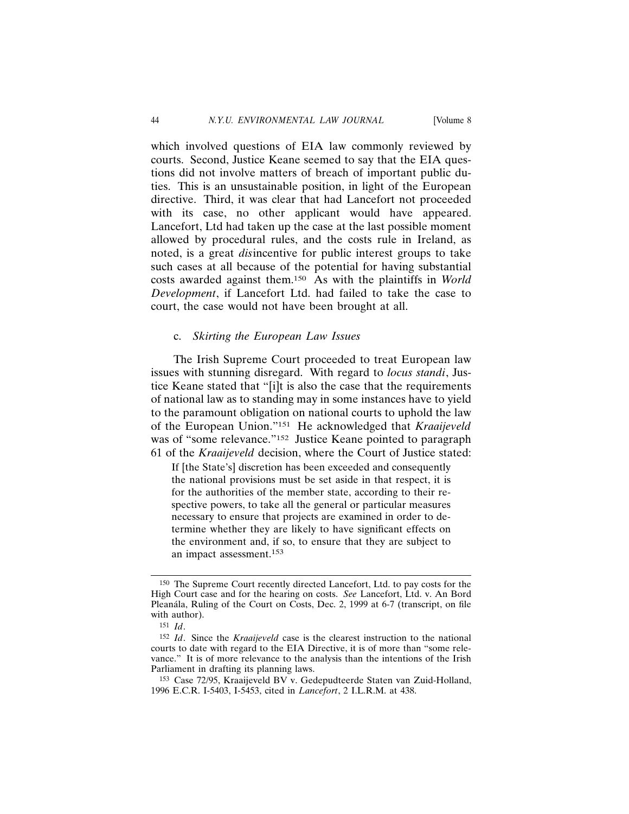which involved questions of EIA law commonly reviewed by courts. Second, Justice Keane seemed to say that the EIA questions did not involve matters of breach of important public duties. This is an unsustainable position, in light of the European directive. Third, it was clear that had Lancefort not proceeded with its case, no other applicant would have appeared. Lancefort, Ltd had taken up the case at the last possible moment allowed by procedural rules, and the costs rule in Ireland, as noted, is a great *dis*incentive for public interest groups to take such cases at all because of the potential for having substantial costs awarded against them.150 As with the plaintiffs in *World Development*, if Lancefort Ltd. had failed to take the case to court, the case would not have been brought at all.

### c. *Skirting the European Law Issues*

The Irish Supreme Court proceeded to treat European law issues with stunning disregard. With regard to *locus standi*, Justice Keane stated that "[i]t is also the case that the requirements of national law as to standing may in some instances have to yield to the paramount obligation on national courts to uphold the law of the European Union."151 He acknowledged that *Kraaijeveld* was of "some relevance."<sup>152</sup> Justice Keane pointed to paragraph 61 of the *Kraaijeveld* decision, where the Court of Justice stated:

If [the State's] discretion has been exceeded and consequently the national provisions must be set aside in that respect, it is for the authorities of the member state, according to their respective powers, to take all the general or particular measures necessary to ensure that projects are examined in order to determine whether they are likely to have significant effects on the environment and, if so, to ensure that they are subject to an impact assessment.153

<sup>150</sup> The Supreme Court recently directed Lancefort, Ltd. to pay costs for the High Court case and for the hearing on costs. *See* Lancefort, Ltd. v. An Bord Pleanála, Ruling of the Court on Costs, Dec. 2, 1999 at 6-7 (transcript, on file with author).

<sup>151</sup> *Id*.

<sup>152</sup> *Id*. Since the *Kraaijeveld* case is the clearest instruction to the national courts to date with regard to the EIA Directive, it is of more than "some relevance." It is of more relevance to the analysis than the intentions of the Irish Parliament in drafting its planning laws.

<sup>153</sup> Case 72/95, Kraaijeveld BV v. Gedepudteerde Staten van Zuid-Holland, 1996 E.C.R. I-5403, I-5453, cited in *Lancefort*, 2 I.L.R.M. at 438.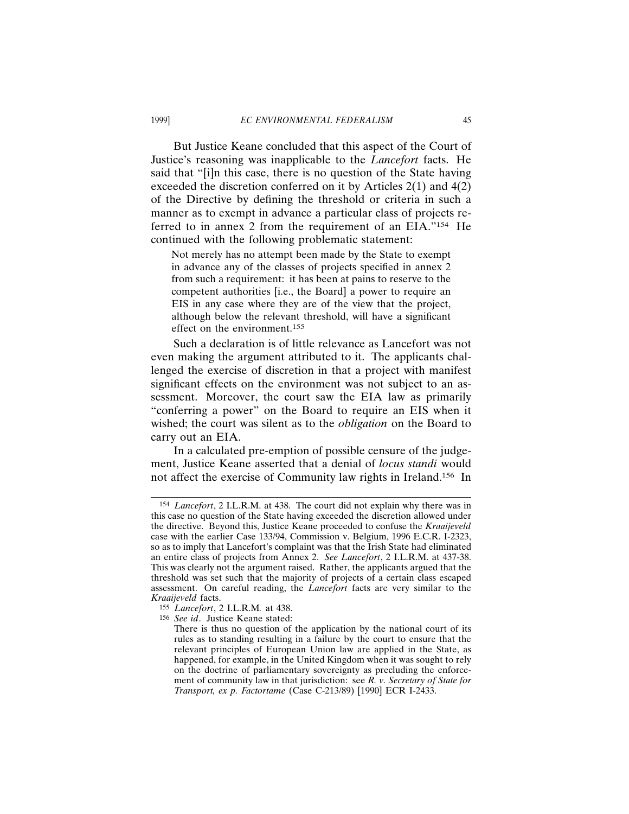But Justice Keane concluded that this aspect of the Court of Justice's reasoning was inapplicable to the *Lancefort* facts. He said that "[i]n this case, there is no question of the State having exceeded the discretion conferred on it by Articles 2(1) and 4(2) of the Directive by defining the threshold or criteria in such a manner as to exempt in advance a particular class of projects referred to in annex 2 from the requirement of an EIA."154 He continued with the following problematic statement:

Not merely has no attempt been made by the State to exempt in advance any of the classes of projects specified in annex 2 from such a requirement: it has been at pains to reserve to the competent authorities [i.e., the Board] a power to require an EIS in any case where they are of the view that the project, although below the relevant threshold, will have a significant effect on the environment.155

Such a declaration is of little relevance as Lancefort was not even making the argument attributed to it. The applicants challenged the exercise of discretion in that a project with manifest significant effects on the environment was not subject to an assessment. Moreover, the court saw the EIA law as primarily "conferring a power" on the Board to require an EIS when it wished; the court was silent as to the *obligation* on the Board to carry out an EIA.

In a calculated pre-emption of possible censure of the judgement, Justice Keane asserted that a denial of *locus standi* would not affect the exercise of Community law rights in Ireland.156 In

<sup>154</sup> *Lancefort*, 2 I.L.R.M. at 438. The court did not explain why there was in this case no question of the State having exceeded the discretion allowed under the directive. Beyond this, Justice Keane proceeded to confuse the *Kraaijeveld* case with the earlier Case 133/94, Commission v. Belgium, 1996 E.C.R. I-2323, so as to imply that Lancefort's complaint was that the Irish State had eliminated an entire class of projects from Annex 2. *See Lancefort*, 2 I.L.R.M. at 437-38. This was clearly not the argument raised. Rather, the applicants argued that the threshold was set such that the majority of projects of a certain class escaped assessment. On careful reading, the *Lancefort* facts are very similar to the *Kraaijeveld* facts.

<sup>155</sup> *Lancefort*, 2 I.L.R.M*.* at 438.

<sup>156</sup> *See id*. Justice Keane stated:

There is thus no question of the application by the national court of its rules as to standing resulting in a failure by the court to ensure that the relevant principles of European Union law are applied in the State, as happened, for example, in the United Kingdom when it was sought to rely on the doctrine of parliamentary sovereignty as precluding the enforcement of community law in that jurisdiction: see *R. v. Secretary of State for Transport, ex p. Factortame* (Case C-213/89) [1990] ECR I-2433.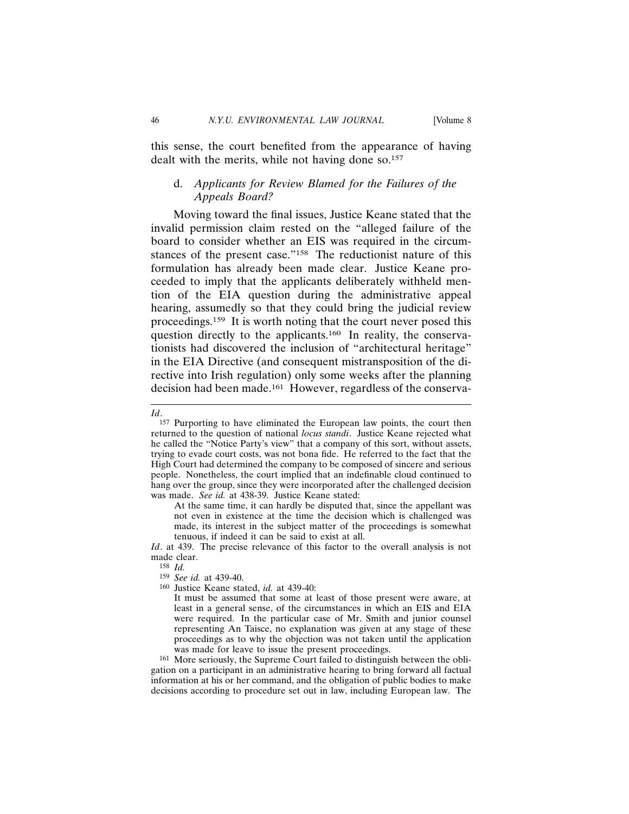this sense, the court benefited from the appearance of having dealt with the merits, while not having done so.<sup>157</sup>

# d. *Applicants for Review Blamed for the Failures of the Appeals Board?*

Moving toward the final issues, Justice Keane stated that the invalid permission claim rested on the "alleged failure of the board to consider whether an EIS was required in the circumstances of the present case."<sup>158</sup> The reductionist nature of this formulation has already been made clear. Justice Keane proceeded to imply that the applicants deliberately withheld mention of the EIA question during the administrative appeal hearing, assumedly so that they could bring the judicial review proceedings.159 It is worth noting that the court never posed this question directly to the applicants.<sup>160</sup> In reality, the conservationists had discovered the inclusion of "architectural heritage" in the EIA Directive (and consequent mistransposition of the directive into Irish regulation) only some weeks after the planning decision had been made.161 However, regardless of the conserva-

At the same time, it can hardly be disputed that, since the appellant was not even in existence at the time the decision which is challenged was made, its interest in the subject matter of the proceedings is somewhat tenuous, if indeed it can be said to exist at all.

*Id*. at 439. The precise relevance of this factor to the overall analysis is not made clear.

158 *Id.*

160 Justice Keane stated, *id.* at 439-40:

161 More seriously, the Supreme Court failed to distinguish between the obligation on a participant in an administrative hearing to bring forward all factual information at his or her command, and the obligation of public bodies to make decisions according to procedure set out in law, including European law. The

*Id*.

<sup>157</sup> Purporting to have eliminated the European law points, the court then returned to the question of national *locus standi*. Justice Keane rejected what he called the "Notice Party's view" that a company of this sort, without assets, trying to evade court costs, was not bona fide. He referred to the fact that the High Court had determined the company to be composed of sincere and serious people. Nonetheless, the court implied that an indefinable cloud continued to hang over the group, since they were incorporated after the challenged decision was made. *See id.* at 438-39. Justice Keane stated:

<sup>159</sup> *See id.* at 439-40.

It must be assumed that some at least of those present were aware, at least in a general sense, of the circumstances in which an EIS and EIA were required. In the particular case of Mr. Smith and junior counsel representing An Taisce, no explanation was given at any stage of these proceedings as to why the objection was not taken until the application was made for leave to issue the present proceedings.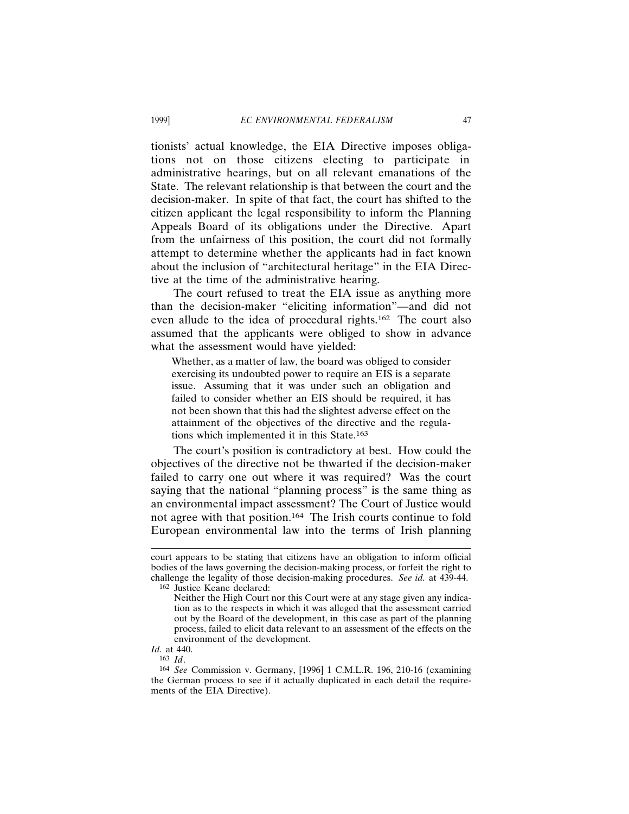tionists' actual knowledge, the EIA Directive imposes obligations not on those citizens electing to participate in administrative hearings, but on all relevant emanations of the State. The relevant relationship is that between the court and the decision-maker. In spite of that fact, the court has shifted to the citizen applicant the legal responsibility to inform the Planning Appeals Board of its obligations under the Directive. Apart from the unfairness of this position, the court did not formally attempt to determine whether the applicants had in fact known about the inclusion of "architectural heritage" in the EIA Directive at the time of the administrative hearing.

The court refused to treat the EIA issue as anything more than the decision-maker "eliciting information"—and did not even allude to the idea of procedural rights.162 The court also assumed that the applicants were obliged to show in advance what the assessment would have yielded:

Whether, as a matter of law, the board was obliged to consider exercising its undoubted power to require an EIS is a separate issue. Assuming that it was under such an obligation and failed to consider whether an EIS should be required, it has not been shown that this had the slightest adverse effect on the attainment of the objectives of the directive and the regulations which implemented it in this State.163

The court's position is contradictory at best. How could the objectives of the directive not be thwarted if the decision-maker failed to carry one out where it was required? Was the court saying that the national "planning process" is the same thing as an environmental impact assessment? The Court of Justice would not agree with that position.164 The Irish courts continue to fold European environmental law into the terms of Irish planning

162 Justice Keane declared:

*Id.* at 440. 163 *Id*.

court appears to be stating that citizens have an obligation to inform official bodies of the laws governing the decision-making process, or forfeit the right to challenge the legality of those decision-making procedures. *See id.* at 439-44.

Neither the High Court nor this Court were at any stage given any indication as to the respects in which it was alleged that the assessment carried out by the Board of the development, in this case as part of the planning process, failed to elicit data relevant to an assessment of the effects on the environment of the development.

<sup>164</sup> *See* Commission v. Germany, [1996] 1 C.M.L.R. 196, 210-16 (examining the German process to see if it actually duplicated in each detail the requirements of the EIA Directive).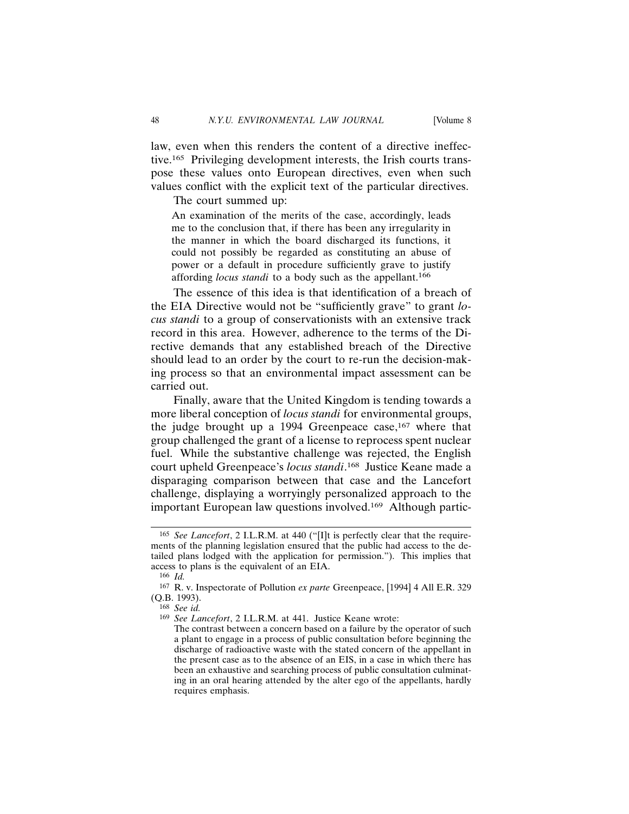law, even when this renders the content of a directive ineffective.165 Privileging development interests, the Irish courts transpose these values onto European directives, even when such values conflict with the explicit text of the particular directives.

The court summed up:

An examination of the merits of the case, accordingly, leads me to the conclusion that, if there has been any irregularity in the manner in which the board discharged its functions, it could not possibly be regarded as constituting an abuse of power or a default in procedure sufficiently grave to justify affording *locus standi* to a body such as the appellant.166

The essence of this idea is that identification of a breach of the EIA Directive would not be "sufficiently grave" to grant *locus standi* to a group of conservationists with an extensive track record in this area. However, adherence to the terms of the Directive demands that any established breach of the Directive should lead to an order by the court to re-run the decision-making process so that an environmental impact assessment can be carried out.

Finally, aware that the United Kingdom is tending towards a more liberal conception of *locus standi* for environmental groups, the judge brought up a 1994 Greenpeace case,  $167$  where that group challenged the grant of a license to reprocess spent nuclear fuel. While the substantive challenge was rejected, the English court upheld Greenpeace's *locus standi*. 168 Justice Keane made a disparaging comparison between that case and the Lancefort challenge, displaying a worryingly personalized approach to the important European law questions involved.169 Although partic-

<sup>165</sup> *See Lancefort*, 2 I.L.R.M. at 440 ("[I]t is perfectly clear that the requirements of the planning legislation ensured that the public had access to the detailed plans lodged with the application for permission."). This implies that access to plans is the equivalent of an EIA.

<sup>166</sup> *Id.*

<sup>167</sup> R. v. Inspectorate of Pollution *ex parte* Greenpeace, [1994] 4 All E.R. 329 (Q.B. 1993).

<sup>168</sup> *See id.*

<sup>169</sup> *See Lancefort*, 2 I.L.R.M. at 441. Justice Keane wrote:

The contrast between a concern based on a failure by the operator of such a plant to engage in a process of public consultation before beginning the discharge of radioactive waste with the stated concern of the appellant in the present case as to the absence of an EIS, in a case in which there has been an exhaustive and searching process of public consultation culminating in an oral hearing attended by the alter ego of the appellants, hardly requires emphasis.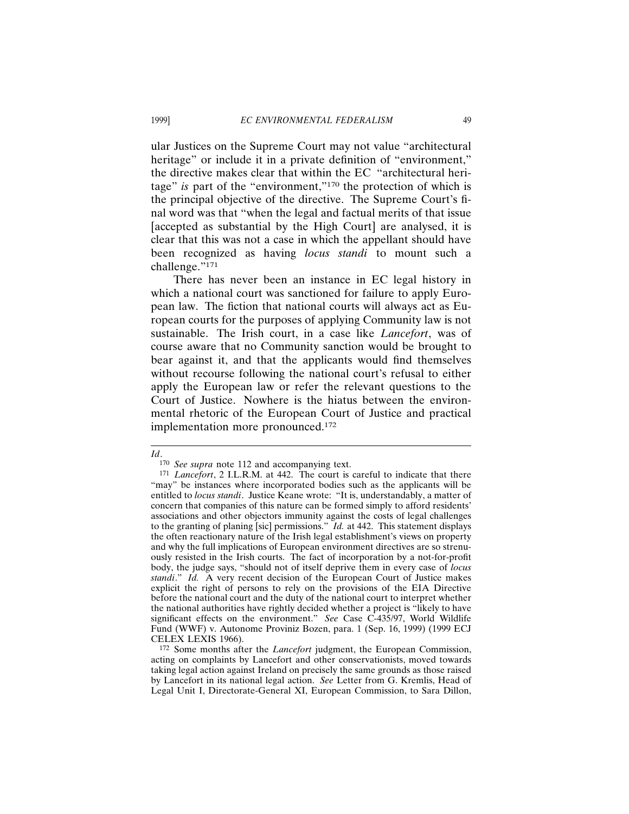ular Justices on the Supreme Court may not value "architectural heritage" or include it in a private definition of "environment," the directive makes clear that within the EC "architectural heritage" *is* part of the "environment,"170 the protection of which is the principal objective of the directive. The Supreme Court's final word was that "when the legal and factual merits of that issue [accepted as substantial by the High Court] are analysed, it is clear that this was not a case in which the appellant should have been recognized as having *locus standi* to mount such a challenge."171

There has never been an instance in EC legal history in which a national court was sanctioned for failure to apply European law. The fiction that national courts will always act as European courts for the purposes of applying Community law is not sustainable. The Irish court, in a case like *Lancefort*, was of course aware that no Community sanction would be brought to bear against it, and that the applicants would find themselves without recourse following the national court's refusal to either apply the European law or refer the relevant questions to the Court of Justice. Nowhere is the hiatus between the environmental rhetoric of the European Court of Justice and practical implementation more pronounced.172

*Id*.

<sup>170</sup> *See supra* note 112 and accompanying text.

<sup>171</sup> *Lancefort*, 2 I.L.R.M. at 442. The court is careful to indicate that there "may" be instances where incorporated bodies such as the applicants will be entitled to *locus standi*. Justice Keane wrote: "It is, understandably, a matter of concern that companies of this nature can be formed simply to afford residents' associations and other objectors immunity against the costs of legal challenges to the granting of planing [sic] permissions." *Id.* at 442. This statement displays the often reactionary nature of the Irish legal establishment's views on property and why the full implications of European environment directives are so strenuously resisted in the Irish courts. The fact of incorporation by a not-for-profit body, the judge says, "should not of itself deprive them in every case of *locus standi*." *Id.* A very recent decision of the European Court of Justice makes explicit the right of persons to rely on the provisions of the EIA Directive before the national court and the duty of the national court to interpret whether the national authorities have rightly decided whether a project is "likely to have significant effects on the environment." *See* Case C-435/97, World Wildlife Fund (WWF) v. Autonome Proviniz Bozen, para. 1 (Sep. 16, 1999) (1999 ECJ CELEX LEXIS 1966).

<sup>172</sup> Some months after the *Lancefort* judgment, the European Commission, acting on complaints by Lancefort and other conservationists, moved towards taking legal action against Ireland on precisely the same grounds as those raised by Lancefort in its national legal action. *See* Letter from G. Kremlis, Head of Legal Unit I, Directorate-General XI, European Commission, to Sara Dillon,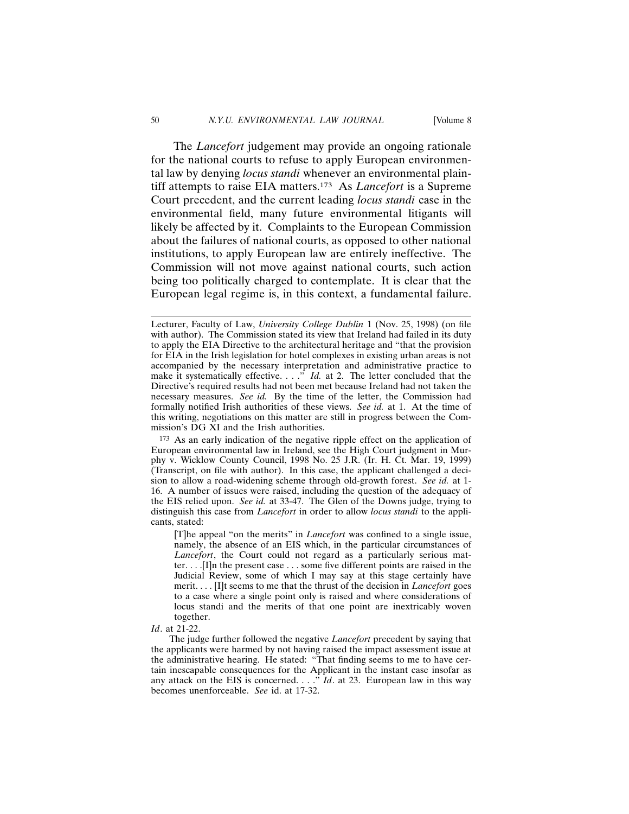The *Lancefort* judgement may provide an ongoing rationale for the national courts to refuse to apply European environmental law by denying *locus standi* whenever an environmental plaintiff attempts to raise EIA matters.173 As *Lancefort* is a Supreme Court precedent, and the current leading *locus standi* case in the environmental field, many future environmental litigants will likely be affected by it. Complaints to the European Commission about the failures of national courts, as opposed to other national institutions, to apply European law are entirely ineffective. The Commission will not move against national courts, such action being too politically charged to contemplate. It is clear that the European legal regime is, in this context, a fundamental failure.

173 As an early indication of the negative ripple effect on the application of European environmental law in Ireland, see the High Court judgment in Murphy v. Wicklow County Council, 1998 No. 25 J.R. (Ir. H. Ct. Mar. 19, 1999) (Transcript, on file with author). In this case, the applicant challenged a decision to allow a road-widening scheme through old-growth forest. *See id.* at 1- 16. A number of issues were raised, including the question of the adequacy of the EIS relied upon. *See id.* at 33-47. The Glen of the Downs judge, trying to distinguish this case from *Lancefort* in order to allow *locus standi* to the applicants, stated:

[T]he appeal "on the merits" in *Lancefort* was confined to a single issue, namely, the absence of an EIS which, in the particular circumstances of *Lancefort*, the Court could not regard as a particularly serious matter. . . .[I]n the present case . . . some five different points are raised in the Judicial Review, some of which I may say at this stage certainly have merit. . . . [I]t seems to me that the thrust of the decision in *Lancefort* goes to a case where a single point only is raised and where considerations of locus standi and the merits of that one point are inextricably woven together.

#### *Id*. at 21-22.

The judge further followed the negative *Lancefort* precedent by saying that the applicants were harmed by not having raised the impact assessment issue at the administrative hearing. He stated: "That finding seems to me to have certain inescapable consequences for the Applicant in the instant case insofar as any attack on the EIS is concerned. . . ." *Id*. at 23. European law in this way becomes unenforceable. *See* id. at 17-32.

Lecturer, Faculty of Law, *University College Dublin* 1 (Nov. 25, 1998) (on file with author). The Commission stated its view that Ireland had failed in its duty to apply the EIA Directive to the architectural heritage and "that the provision for EIA in the Irish legislation for hotel complexes in existing urban areas is not accompanied by the necessary interpretation and administrative practice to make it systematically effective. . . ." *Id.* at 2. The letter concluded that the Directive's required results had not been met because Ireland had not taken the necessary measures. *See id.* By the time of the letter, the Commission had formally notified Irish authorities of these views. *See id.* at 1. At the time of this writing, negotiations on this matter are still in progress between the Commission's DG XI and the Irish authorities.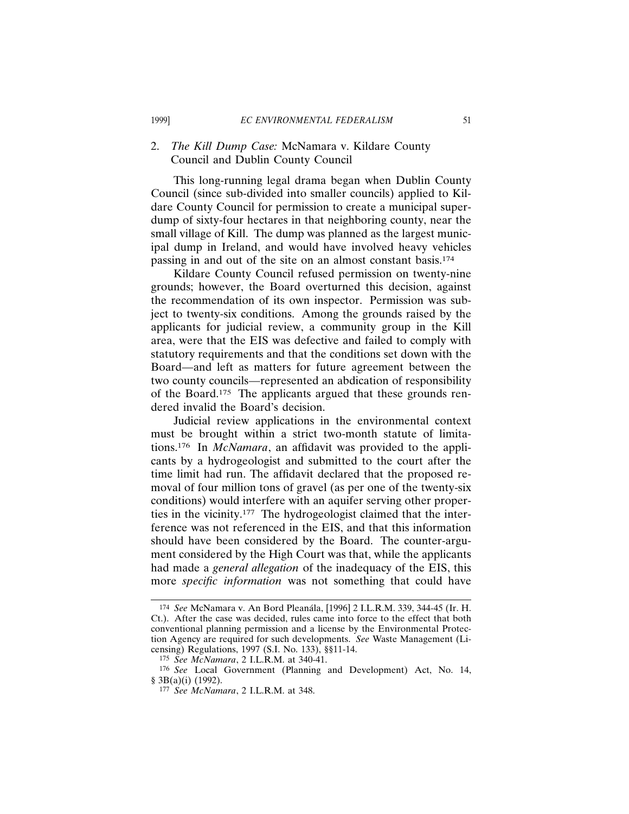### 2. *The Kill Dump Case:* McNamara v. Kildare County Council and Dublin County Council

This long-running legal drama began when Dublin County Council (since sub-divided into smaller councils) applied to Kildare County Council for permission to create a municipal superdump of sixty-four hectares in that neighboring county, near the small village of Kill. The dump was planned as the largest municipal dump in Ireland, and would have involved heavy vehicles passing in and out of the site on an almost constant basis.174

Kildare County Council refused permission on twenty-nine grounds; however, the Board overturned this decision, against the recommendation of its own inspector. Permission was subject to twenty-six conditions. Among the grounds raised by the applicants for judicial review, a community group in the Kill area, were that the EIS was defective and failed to comply with statutory requirements and that the conditions set down with the Board—and left as matters for future agreement between the two county councils—represented an abdication of responsibility of the Board.175 The applicants argued that these grounds rendered invalid the Board's decision.

Judicial review applications in the environmental context must be brought within a strict two-month statute of limitations.176 In *McNamara*, an affidavit was provided to the applicants by a hydrogeologist and submitted to the court after the time limit had run. The affidavit declared that the proposed removal of four million tons of gravel (as per one of the twenty-six conditions) would interfere with an aquifer serving other properties in the vicinity.177 The hydrogeologist claimed that the interference was not referenced in the EIS, and that this information should have been considered by the Board. The counter-argument considered by the High Court was that, while the applicants had made a *general allegation* of the inadequacy of the EIS, this more *specific information* was not something that could have

<sup>174</sup> *See* McNamara v. An Bord Plean´ala, [1996] 2 I.L.R.M. 339, 344-45 (Ir. H. Ct.). After the case was decided, rules came into force to the effect that both conventional planning permission and a license by the Environmental Protection Agency are required for such developments. *See* Waste Management (Licensing) Regulations, 1997 (S.I. No. 133), §§11-14.

<sup>175</sup> *See McNamara*, 2 I.L.R.M. at 340-41.

<sup>176</sup> *See* Local Government (Planning and Development) Act, No. 14, § 3B(a)(i) (1992).

<sup>177</sup> *See McNamara*, 2 I.L.R.M. at 348.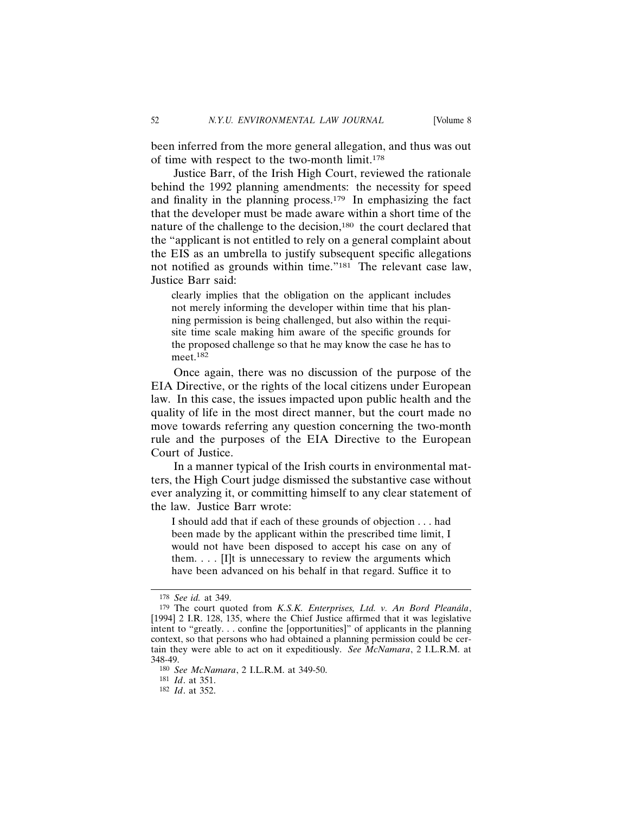been inferred from the more general allegation, and thus was out of time with respect to the two-month limit.178

Justice Barr, of the Irish High Court, reviewed the rationale behind the 1992 planning amendments: the necessity for speed and finality in the planning process.179 In emphasizing the fact that the developer must be made aware within a short time of the nature of the challenge to the decision,180 the court declared that the "applicant is not entitled to rely on a general complaint about the EIS as an umbrella to justify subsequent specific allegations not notified as grounds within time."181 The relevant case law, Justice Barr said:

clearly implies that the obligation on the applicant includes not merely informing the developer within time that his planning permission is being challenged, but also within the requisite time scale making him aware of the specific grounds for the proposed challenge so that he may know the case he has to meet.182

Once again, there was no discussion of the purpose of the EIA Directive, or the rights of the local citizens under European law. In this case, the issues impacted upon public health and the quality of life in the most direct manner, but the court made no move towards referring any question concerning the two-month rule and the purposes of the EIA Directive to the European Court of Justice.

In a manner typical of the Irish courts in environmental matters, the High Court judge dismissed the substantive case without ever analyzing it, or committing himself to any clear statement of the law. Justice Barr wrote:

I should add that if each of these grounds of objection . . . had been made by the applicant within the prescribed time limit, I would not have been disposed to accept his case on any of them. . . . [I]t is unnecessary to review the arguments which have been advanced on his behalf in that regard. Suffice it to

<sup>178</sup> *See id.* at 349.

<sup>&</sup>lt;sup>179</sup> The court quoted from *K.S.K. Enterprises, Ltd. v. An Bord Pleanála*, [1994] 2 I.R. 128, 135, where the Chief Justice affirmed that it was legislative intent to "greatly. . . confine the [opportunities]" of applicants in the planning context, so that persons who had obtained a planning permission could be certain they were able to act on it expeditiously. *See McNamara*, 2 I.L.R.M. at 348-49.

<sup>180</sup> *See McNamara*, 2 I.L.R.M. at 349-50.

<sup>181</sup> *Id*. at 351.

<sup>182</sup> *Id*. at 352.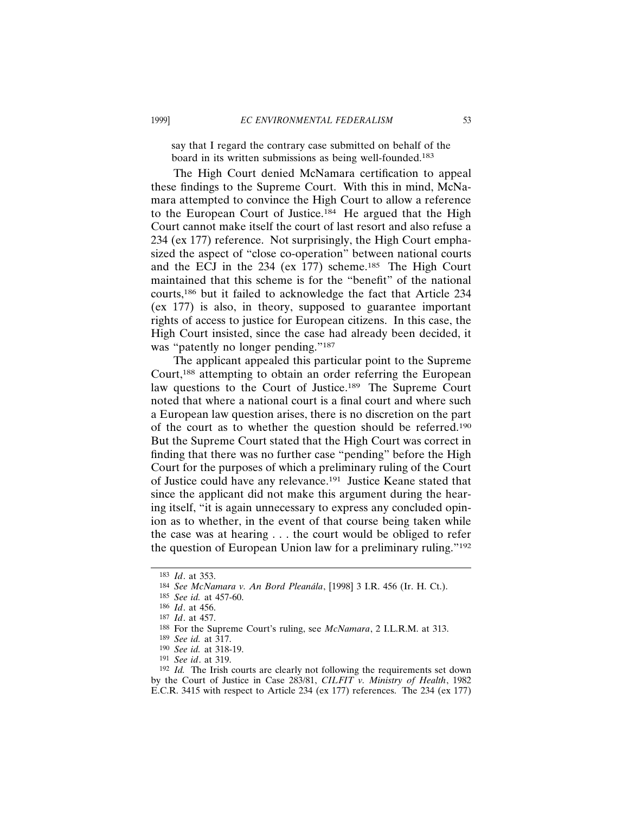say that I regard the contrary case submitted on behalf of the board in its written submissions as being well-founded.<sup>183</sup>

The High Court denied McNamara certification to appeal these findings to the Supreme Court. With this in mind, McNamara attempted to convince the High Court to allow a reference to the European Court of Justice.184 He argued that the High Court cannot make itself the court of last resort and also refuse a 234 (ex 177) reference. Not surprisingly, the High Court emphasized the aspect of "close co-operation" between national courts and the ECJ in the 234 (ex 177) scheme.185 The High Court maintained that this scheme is for the "benefit" of the national courts,186 but it failed to acknowledge the fact that Article 234 (ex 177) is also, in theory, supposed to guarantee important rights of access to justice for European citizens. In this case, the High Court insisted, since the case had already been decided, it was "patently no longer pending."<sup>187</sup>

The applicant appealed this particular point to the Supreme Court,188 attempting to obtain an order referring the European law questions to the Court of Justice.189 The Supreme Court noted that where a national court is a final court and where such a European law question arises, there is no discretion on the part of the court as to whether the question should be referred.190 But the Supreme Court stated that the High Court was correct in finding that there was no further case "pending" before the High Court for the purposes of which a preliminary ruling of the Court of Justice could have any relevance.191 Justice Keane stated that since the applicant did not make this argument during the hearing itself, "it is again unnecessary to express any concluded opinion as to whether, in the event of that course being taken while the case was at hearing . . . the court would be obliged to refer the question of European Union law for a preliminary ruling."192

<sup>183</sup> *Id*. at 353.

<sup>184</sup> *See McNamara v. An Bord Plean´ala*, [1998] 3 I.R. 456 (Ir. H. Ct.).

<sup>185</sup> *See id.* at 457-60.

<sup>186</sup> *Id*. at 456.

<sup>187</sup> *Id*. at 457.

<sup>188</sup> For the Supreme Court's ruling, see *McNamara*, 2 I.L.R.M. at 313.

<sup>189</sup> *See id.* at 317.

<sup>190</sup> *See id.* at 318-19.

<sup>191</sup> *See id*. at 319.

<sup>192</sup> *Id.* The Irish courts are clearly not following the requirements set down by the Court of Justice in Case 283/81, *CILFIT v. Ministry of Health*, 1982 E.C.R. 3415 with respect to Article 234 (ex 177) references. The 234 (ex 177)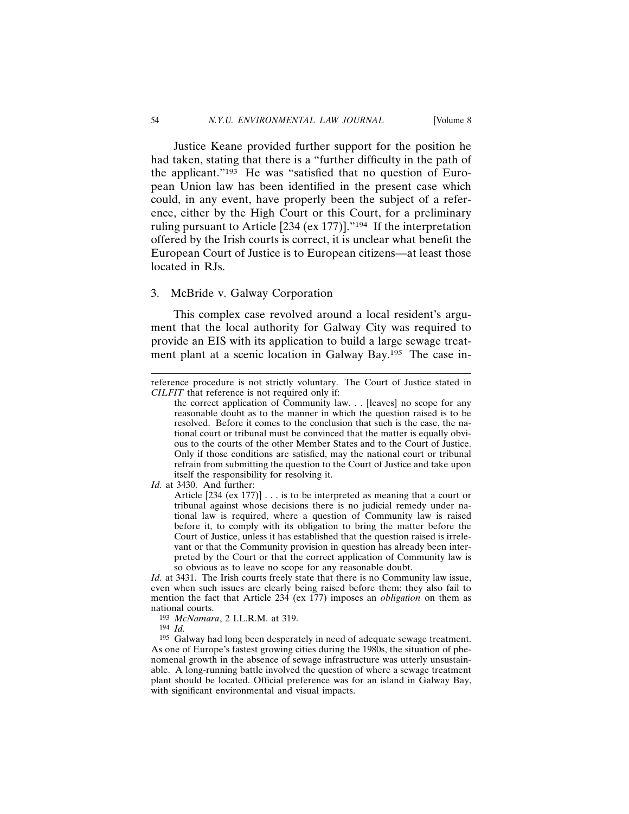Justice Keane provided further support for the position he had taken, stating that there is a "further difficulty in the path of the applicant."193 He was "satisfied that no question of European Union law has been identified in the present case which could, in any event, have properly been the subject of a reference, either by the High Court or this Court, for a preliminary ruling pursuant to Article [234 (ex 177)]."194 If the interpretation offered by the Irish courts is correct, it is unclear what benefit the European Court of Justice is to European citizens—at least those located in RJs.

### 3. McBride v. Galway Corporation

This complex case revolved around a local resident's argument that the local authority for Galway City was required to provide an EIS with its application to build a large sewage treatment plant at a scenic location in Galway Bay.195 The case in-

*Id.* at 3430. And further:

*Id.* at 3431. The Irish courts freely state that there is no Community law issue, even when such issues are clearly being raised before them; they also fail to mention the fact that Article 234 (ex 177) imposes an *obligation* on them as national courts.

193 *McNamara*, 2 I.L.R.M. at 319.

194 *Id.*

<sup>195</sup> Galway had long been desperately in need of adequate sewage treatment. As one of Europe's fastest growing cities during the 1980s, the situation of phenomenal growth in the absence of sewage infrastructure was utterly unsustainable. A long-running battle involved the question of where a sewage treatment plant should be located. Official preference was for an island in Galway Bay, with significant environmental and visual impacts.

reference procedure is not strictly voluntary. The Court of Justice stated in *CILFIT* that reference is not required only if:

the correct application of Community law. . . [leaves] no scope for any reasonable doubt as to the manner in which the question raised is to be resolved. Before it comes to the conclusion that such is the case, the national court or tribunal must be convinced that the matter is equally obvious to the courts of the other Member States and to the Court of Justice. Only if those conditions are satisfied, may the national court or tribunal refrain from submitting the question to the Court of Justice and take upon itself the responsibility for resolving it.

Article [234 (ex 177)] . . . is to be interpreted as meaning that a court or tribunal against whose decisions there is no judicial remedy under national law is required, where a question of Community law is raised before it, to comply with its obligation to bring the matter before the Court of Justice, unless it has established that the question raised is irrelevant or that the Community provision in question has already been interpreted by the Court or that the correct application of Community law is so obvious as to leave no scope for any reasonable doubt.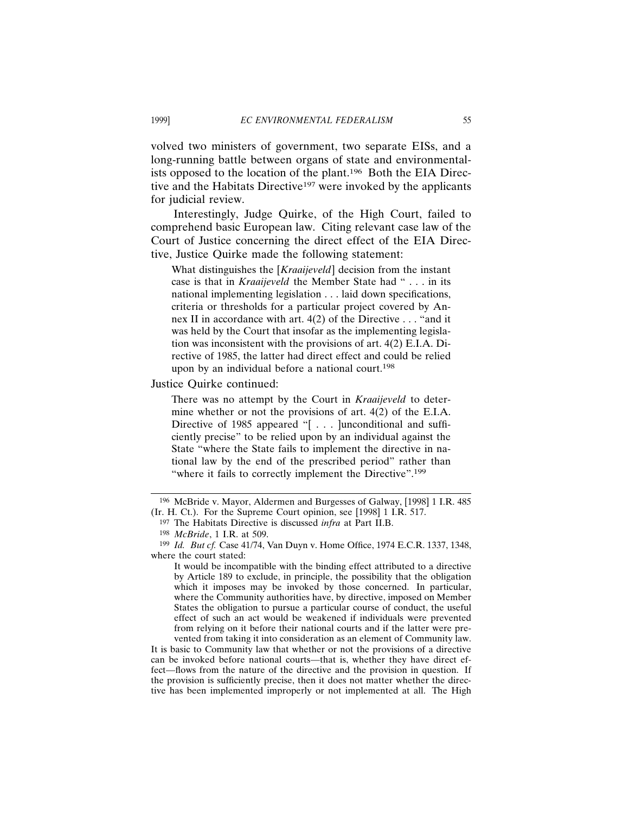volved two ministers of government, two separate EISs, and a long-running battle between organs of state and environmentalists opposed to the location of the plant.196 Both the EIA Directive and the Habitats Directive<sup>197</sup> were invoked by the applicants for judicial review.

Interestingly, Judge Quirke, of the High Court, failed to comprehend basic European law. Citing relevant case law of the Court of Justice concerning the direct effect of the EIA Directive, Justice Quirke made the following statement:

What distinguishes the [*Kraaijeveld*] decision from the instant case is that in *Kraaijeveld* the Member State had " . . . in its national implementing legislation . . . laid down specifications, criteria or thresholds for a particular project covered by Annex II in accordance with art. 4(2) of the Directive . . . "and it was held by the Court that insofar as the implementing legislation was inconsistent with the provisions of art. 4(2) E.I.A. Directive of 1985, the latter had direct effect and could be relied upon by an individual before a national court.<sup>198</sup>

Justice Quirke continued:

There was no attempt by the Court in *Kraaijeveld* to determine whether or not the provisions of art. 4(2) of the E.I.A. Directive of 1985 appeared "[...] unconditional and sufficiently precise" to be relied upon by an individual against the State "where the State fails to implement the directive in national law by the end of the prescribed period" rather than "where it fails to correctly implement the Directive".<sup>199</sup>

It is basic to Community law that whether or not the provisions of a directive can be invoked before national courts—that is, whether they have direct effect—flows from the nature of the directive and the provision in question. If the provision is sufficiently precise, then it does not matter whether the directive has been implemented improperly or not implemented at all. The High

<sup>196</sup> McBride v. Mayor, Aldermen and Burgesses of Galway, [1998] 1 I.R. 485 (Ir. H. Ct.). For the Supreme Court opinion, see [1998] 1 I.R. 517.

<sup>197</sup> The Habitats Directive is discussed *infra* at Part II.B.

<sup>198</sup> *McBride*, 1 I.R. at 509.

<sup>199</sup> *Id. But cf.* Case 41/74, Van Duyn v. Home Office, 1974 E.C.R. 1337, 1348, where the court stated:

It would be incompatible with the binding effect attributed to a directive by Article 189 to exclude, in principle, the possibility that the obligation which it imposes may be invoked by those concerned. In particular, where the Community authorities have, by directive, imposed on Member States the obligation to pursue a particular course of conduct, the useful effect of such an act would be weakened if individuals were prevented from relying on it before their national courts and if the latter were prevented from taking it into consideration as an element of Community law.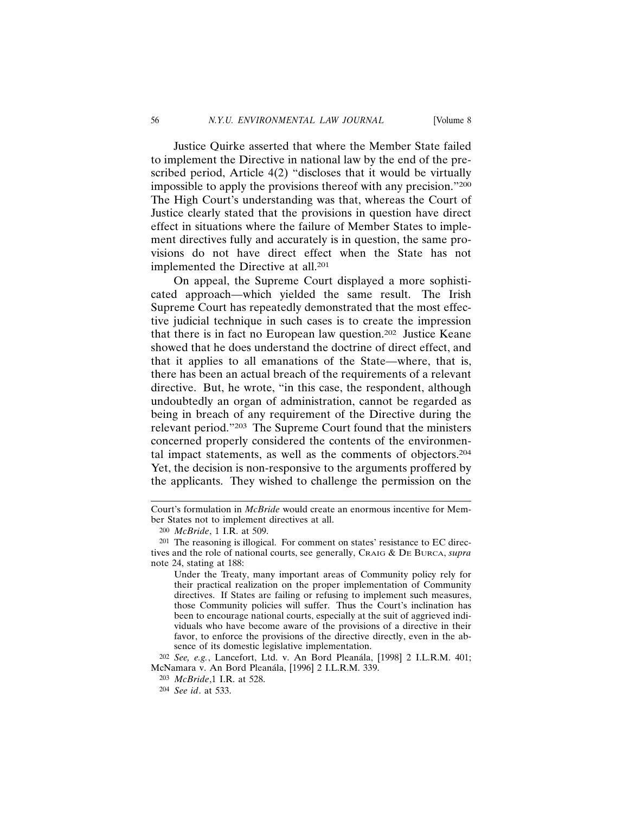Justice Quirke asserted that where the Member State failed to implement the Directive in national law by the end of the prescribed period, Article 4(2) "discloses that it would be virtually impossible to apply the provisions thereof with any precision."200 The High Court's understanding was that, whereas the Court of Justice clearly stated that the provisions in question have direct effect in situations where the failure of Member States to implement directives fully and accurately is in question, the same provisions do not have direct effect when the State has not implemented the Directive at all.201

On appeal, the Supreme Court displayed a more sophisticated approach—which yielded the same result. The Irish Supreme Court has repeatedly demonstrated that the most effective judicial technique in such cases is to create the impression that there is in fact no European law question.202 Justice Keane showed that he does understand the doctrine of direct effect, and that it applies to all emanations of the State—where, that is, there has been an actual breach of the requirements of a relevant directive. But, he wrote, "in this case, the respondent, although undoubtedly an organ of administration, cannot be regarded as being in breach of any requirement of the Directive during the relevant period."203 The Supreme Court found that the ministers concerned properly considered the contents of the environmental impact statements, as well as the comments of objectors.204 Yet, the decision is non-responsive to the arguments proffered by the applicants. They wished to challenge the permission on the

202 *See, e.g.*, Lancefort, Ltd. v. An Bord Plean´ala, [1998] 2 I.L.R.M. 401; McNamara v. An Bord Pleanála, [1996] 2 I.L.R.M. 339.

Court's formulation in *McBride* would create an enormous incentive for Member States not to implement directives at all.

<sup>200</sup> *McBride*, 1 I.R. at 509.

<sup>201</sup> The reasoning is illogical. For comment on states' resistance to EC directives and the role of national courts, see generally, CRAIG & DE BURCA, *supra* note 24, stating at 188:

Under the Treaty, many important areas of Community policy rely for their practical realization on the proper implementation of Community directives. If States are failing or refusing to implement such measures, those Community policies will suffer. Thus the Court's inclination has been to encourage national courts, especially at the suit of aggrieved individuals who have become aware of the provisions of a directive in their favor, to enforce the provisions of the directive directly, even in the absence of its domestic legislative implementation.

<sup>203</sup> *McBride*,1 I.R. at 528.

<sup>204</sup> *See id*. at 533.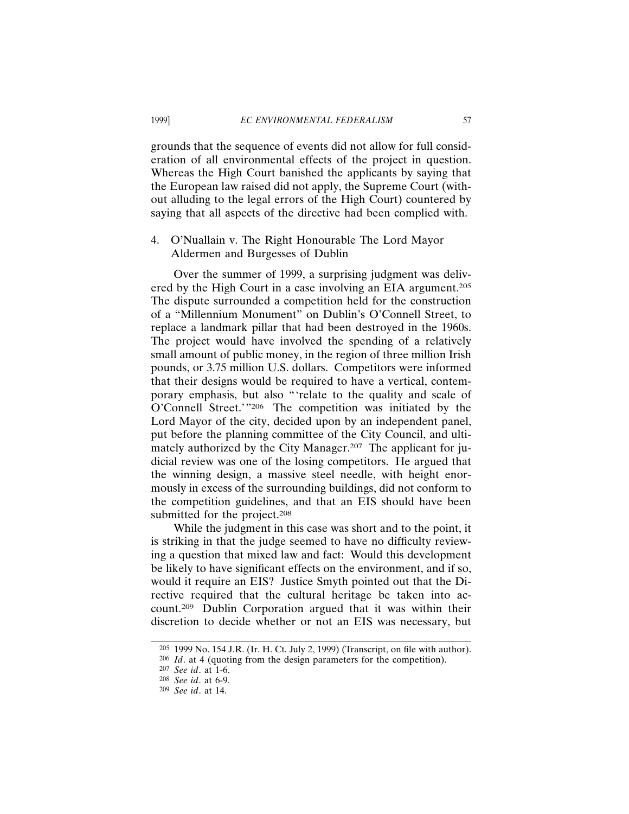grounds that the sequence of events did not allow for full consideration of all environmental effects of the project in question. Whereas the High Court banished the applicants by saying that the European law raised did not apply, the Supreme Court (without alluding to the legal errors of the High Court) countered by saying that all aspects of the directive had been complied with.

# 4. O'Nuallain v. The Right Honourable The Lord Mayor Aldermen and Burgesses of Dublin

Over the summer of 1999, a surprising judgment was delivered by the High Court in a case involving an EIA argument.205 The dispute surrounded a competition held for the construction of a "Millennium Monument" on Dublin's O'Connell Street, to replace a landmark pillar that had been destroyed in the 1960s. The project would have involved the spending of a relatively small amount of public money, in the region of three million Irish pounds, or 3.75 million U.S. dollars. Competitors were informed that their designs would be required to have a vertical, contemporary emphasis, but also "'relate to the quality and scale of O'Connell Street.'"206 The competition was initiated by the Lord Mayor of the city, decided upon by an independent panel, put before the planning committee of the City Council, and ultimately authorized by the City Manager.<sup>207</sup> The applicant for judicial review was one of the losing competitors. He argued that the winning design, a massive steel needle, with height enormously in excess of the surrounding buildings, did not conform to the competition guidelines, and that an EIS should have been submitted for the project.<sup>208</sup>

While the judgment in this case was short and to the point, it is striking in that the judge seemed to have no difficulty reviewing a question that mixed law and fact: Would this development be likely to have significant effects on the environment, and if so, would it require an EIS? Justice Smyth pointed out that the Directive required that the cultural heritage be taken into account.209 Dublin Corporation argued that it was within their discretion to decide whether or not an EIS was necessary, but

<sup>205</sup> 1999 No. 154 J.R. (Ir. H. Ct. July 2, 1999) (Transcript, on file with author).

<sup>206</sup> *Id*. at 4 (quoting from the design parameters for the competition).

<sup>207</sup> *See id*. at 1-6.

<sup>208</sup> *See id*. at 6-9.

<sup>209</sup> *See id*. at 14.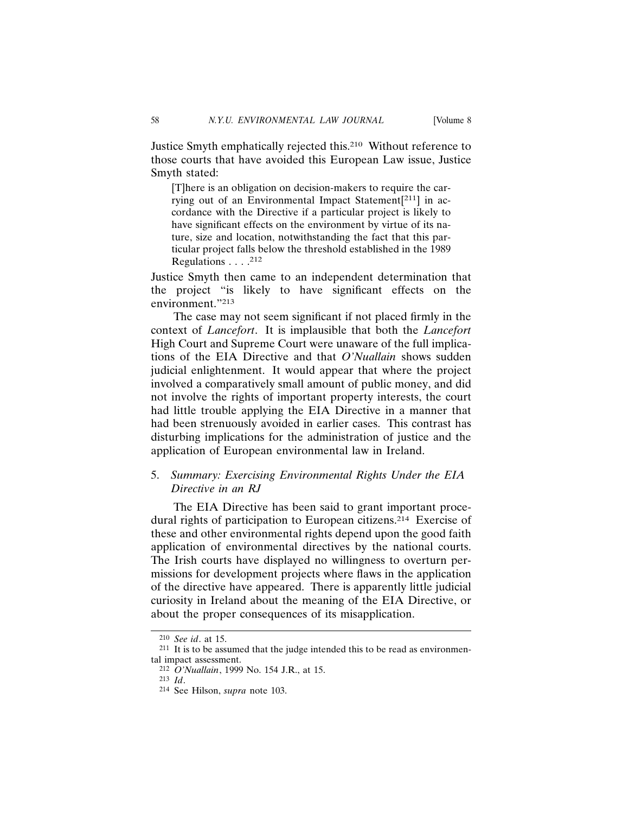Justice Smyth emphatically rejected this.210 Without reference to those courts that have avoided this European Law issue, Justice Smyth stated:

[T]here is an obligation on decision-makers to require the carrying out of an Environmental Impact Statement[211] in accordance with the Directive if a particular project is likely to have significant effects on the environment by virtue of its nature, size and location, notwithstanding the fact that this particular project falls below the threshold established in the 1989 Regulations . . . .<sup>212</sup>

Justice Smyth then came to an independent determination that the project "is likely to have significant effects on the environment."213

The case may not seem significant if not placed firmly in the context of *Lancefort*. It is implausible that both the *Lancefort* High Court and Supreme Court were unaware of the full implications of the EIA Directive and that *O'Nuallain* shows sudden judicial enlightenment. It would appear that where the project involved a comparatively small amount of public money, and did not involve the rights of important property interests, the court had little trouble applying the EIA Directive in a manner that had been strenuously avoided in earlier cases. This contrast has disturbing implications for the administration of justice and the application of European environmental law in Ireland.

# 5. *Summary: Exercising Environmental Rights Under the EIA Directive in an RJ*

The EIA Directive has been said to grant important procedural rights of participation to European citizens.214 Exercise of these and other environmental rights depend upon the good faith application of environmental directives by the national courts. The Irish courts have displayed no willingness to overturn permissions for development projects where flaws in the application of the directive have appeared. There is apparently little judicial curiosity in Ireland about the meaning of the EIA Directive, or about the proper consequences of its misapplication.

<sup>210</sup> *See id*. at 15.

<sup>211</sup> It is to be assumed that the judge intended this to be read as environmental impact assessment.

<sup>212</sup> *O'Nuallain*, 1999 No. 154 J.R., at 15.

<sup>213</sup> *Id*.

<sup>214</sup> See Hilson, *supra* note 103.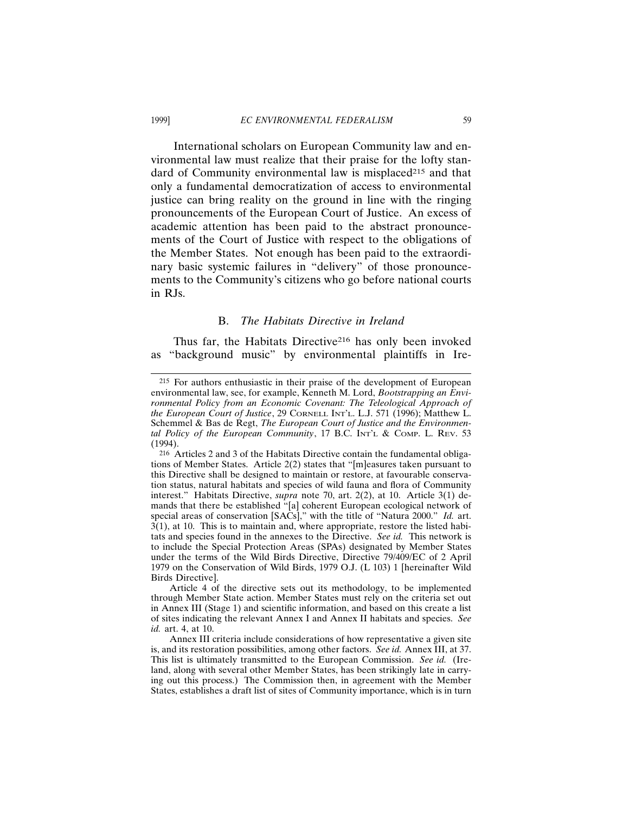International scholars on European Community law and environmental law must realize that their praise for the lofty standard of Community environmental law is misplaced<sup>215</sup> and that only a fundamental democratization of access to environmental justice can bring reality on the ground in line with the ringing pronouncements of the European Court of Justice. An excess of academic attention has been paid to the abstract pronouncements of the Court of Justice with respect to the obligations of the Member States. Not enough has been paid to the extraordinary basic systemic failures in "delivery" of those pronouncements to the Community's citizens who go before national courts in RJs.

#### B. *The Habitats Directive in Ireland*

Thus far, the Habitats Directive<sup>216</sup> has only been invoked as "background music" by environmental plaintiffs in Ire-

<sup>215</sup> For authors enthusiastic in their praise of the development of European environmental law, see, for example, Kenneth M. Lord, *Bootstrapping an Environmental Policy from an Economic Covenant: The Teleological Approach of the European Court of Justice*, 29 CORNELL INT'L. L.J. 571 (1996); Matthew L. Schemmel & Bas de Regt, *The European Court of Justice and the Environmental Policy of the European Community*, 17 B.C. INT'L & COMP. L. REV. 53 (1994).

<sup>216</sup> Articles 2 and 3 of the Habitats Directive contain the fundamental obligations of Member States. Article 2(2) states that "[m]easures taken pursuant to this Directive shall be designed to maintain or restore, at favourable conservation status, natural habitats and species of wild fauna and flora of Community interest." Habitats Directive, *supra* note 70, art. 2(2), at 10. Article 3(1) demands that there be established "[a] coherent European ecological network of special areas of conservation [SACs]," with the title of "Natura 2000." *Id.* art.  $3(1)$ , at 10. This is to maintain and, where appropriate, restore the listed habitats and species found in the annexes to the Directive. *See id.* This network is to include the Special Protection Areas (SPAs) designated by Member States under the terms of the Wild Birds Directive, Directive 79/409/EC of 2 April 1979 on the Conservation of Wild Birds, 1979 O.J. (L 103) 1 [hereinafter Wild Birds Directive].

Article 4 of the directive sets out its methodology, to be implemented through Member State action. Member States must rely on the criteria set out in Annex III (Stage 1) and scientific information, and based on this create a list of sites indicating the relevant Annex I and Annex II habitats and species. *See id.* art. 4, at 10.

Annex III criteria include considerations of how representative a given site is, and its restoration possibilities, among other factors. *See id.* Annex III, at 37. This list is ultimately transmitted to the European Commission. *See id.* (Ireland, along with several other Member States, has been strikingly late in carrying out this process.) The Commission then, in agreement with the Member States, establishes a draft list of sites of Community importance, which is in turn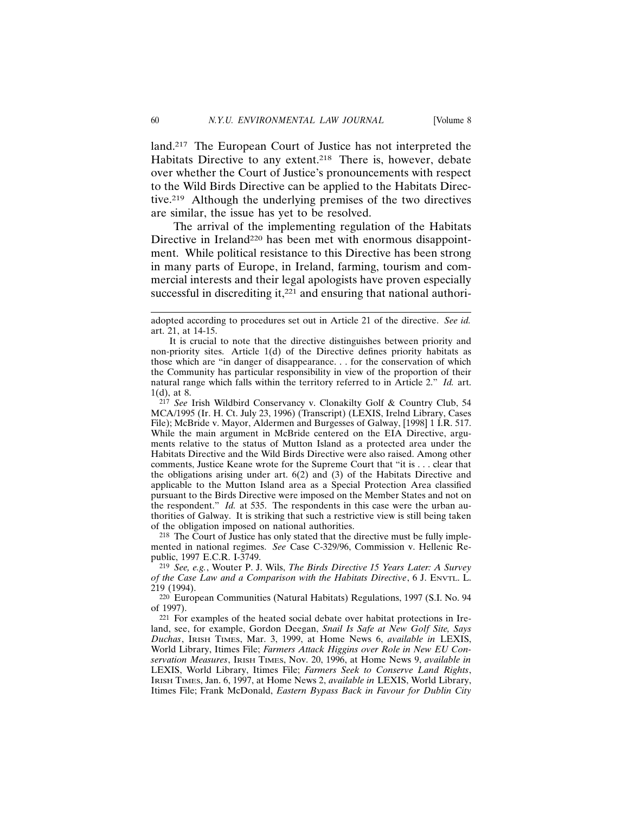land.217 The European Court of Justice has not interpreted the Habitats Directive to any extent.<sup>218</sup> There is, however, debate over whether the Court of Justice's pronouncements with respect to the Wild Birds Directive can be applied to the Habitats Directive.219 Although the underlying premises of the two directives are similar, the issue has yet to be resolved.

The arrival of the implementing regulation of the Habitats Directive in Ireland<sup>220</sup> has been met with enormous disappointment. While political resistance to this Directive has been strong in many parts of Europe, in Ireland, farming, tourism and commercial interests and their legal apologists have proven especially successful in discrediting it,<sup>221</sup> and ensuring that national authori-

217 *See* Irish Wildbird Conservancy v. Clonakilty Golf & Country Club, 54 MCA/1995 (Ir. H. Ct. July 23, 1996) (Transcript) (LEXIS, Irelnd Library, Cases File); McBride v. Mayor, Aldermen and Burgesses of Galway, [1998] 1 I.R. 517. While the main argument in McBride centered on the EIA Directive, arguments relative to the status of Mutton Island as a protected area under the Habitats Directive and the Wild Birds Directive were also raised. Among other comments, Justice Keane wrote for the Supreme Court that "it is . . . clear that the obligations arising under art. 6(2) and (3) of the Habitats Directive and applicable to the Mutton Island area as a Special Protection Area classified pursuant to the Birds Directive were imposed on the Member States and not on the respondent." *Id.* at 535. The respondents in this case were the urban authorities of Galway. It is striking that such a restrictive view is still being taken of the obligation imposed on national authorities.

218 The Court of Justice has only stated that the directive must be fully implemented in national regimes. *See* Case C-329/96, Commission v. Hellenic Republic, 1997 E.C.R. I-3749.

219 *See, e.g.*, Wouter P. J. Wils, *The Birds Directive 15 Years Later: A Survey of the Case Law and a Comparison with the Habitats Directive*, 6 J. ENVTL. L. 219 (1994).

220 European Communities (Natural Habitats) Regulations, 1997 (S.I. No. 94 of 1997).

221 For examples of the heated social debate over habitat protections in Ireland, see, for example, Gordon Deegan, *Snail Is Safe at New Golf Site, Says Duchas*, IRISH TIMES, Mar. 3, 1999, at Home News 6, *available in* LEXIS, World Library, Itimes File; *Farmers Attack Higgins over Role in New EU Conservation Measures*, IRISH TIMES, Nov. 20, 1996, at Home News 9, *available in* LEXIS, World Library, Itimes File; *Farmers Seek to Conserve Land Rights*, IRISH TIMES, Jan. 6, 1997, at Home News 2, *available in* LEXIS, World Library, Itimes File; Frank McDonald, *Eastern Bypass Back in Favour for Dublin City*

adopted according to procedures set out in Article 21 of the directive. *See id.* art. 21, at 14-15.

It is crucial to note that the directive distinguishes between priority and non-priority sites. Article 1(d) of the Directive defines priority habitats as those which are "in danger of disappearance. . . for the conservation of which the Community has particular responsibility in view of the proportion of their natural range which falls within the territory referred to in Article 2." *Id.* art. 1(d), at 8.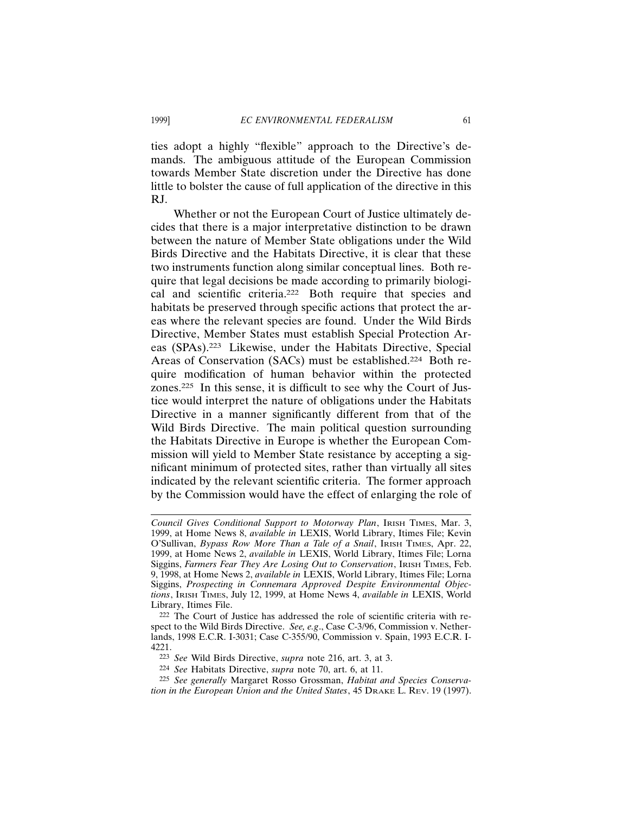ties adopt a highly "flexible" approach to the Directive's demands. The ambiguous attitude of the European Commission towards Member State discretion under the Directive has done little to bolster the cause of full application of the directive in this RJ.

Whether or not the European Court of Justice ultimately decides that there is a major interpretative distinction to be drawn between the nature of Member State obligations under the Wild Birds Directive and the Habitats Directive, it is clear that these two instruments function along similar conceptual lines. Both require that legal decisions be made according to primarily biological and scientific criteria.222 Both require that species and habitats be preserved through specific actions that protect the areas where the relevant species are found. Under the Wild Birds Directive, Member States must establish Special Protection Areas (SPAs).223 Likewise, under the Habitats Directive, Special Areas of Conservation (SACs) must be established.224 Both require modification of human behavior within the protected zones.225 In this sense, it is difficult to see why the Court of Justice would interpret the nature of obligations under the Habitats Directive in a manner significantly different from that of the Wild Birds Directive. The main political question surrounding the Habitats Directive in Europe is whether the European Commission will yield to Member State resistance by accepting a significant minimum of protected sites, rather than virtually all sites indicated by the relevant scientific criteria. The former approach by the Commission would have the effect of enlarging the role of

*Council Gives Conditional Support to Motorway Plan*, IRISH TIMES, Mar. 3, 1999, at Home News 8, *available in* LEXIS, World Library, Itimes File; Kevin O'Sullivan, *Bypass Row More Than a Tale of a Snail*, IRISH TIMES, Apr. 22, 1999, at Home News 2, *available in* LEXIS, World Library, Itimes File; Lorna Siggins, *Farmers Fear They Are Losing Out to Conservation*, IRISH TIMES, Feb. 9, 1998, at Home News 2, *available in* LEXIS, World Library, Itimes File; Lorna Siggins, *Prospecting in Connemara Approved Despite Environmental Objections*, IRISH TIMES, July 12, 1999, at Home News 4, *available in* LEXIS, World Library, Itimes File.

<sup>222</sup> The Court of Justice has addressed the role of scientific criteria with respect to the Wild Birds Directive. *See, e.g*., Case C-3/96, Commission v. Netherlands, 1998 E.C.R. I-3031; Case C-355/90, Commission v. Spain, 1993 E.C.R. I-4221.

<sup>223</sup> *See* Wild Birds Directive, *supra* note 216, art. 3, at 3.

<sup>224</sup> *See* Habitats Directive, *supra* note 70, art. 6, at 11.

<sup>225</sup> *See generally* Margaret Rosso Grossman, *Habitat and Species Conservation in the European Union and the United States*, 45 DRAKE L. REV. 19 (1997).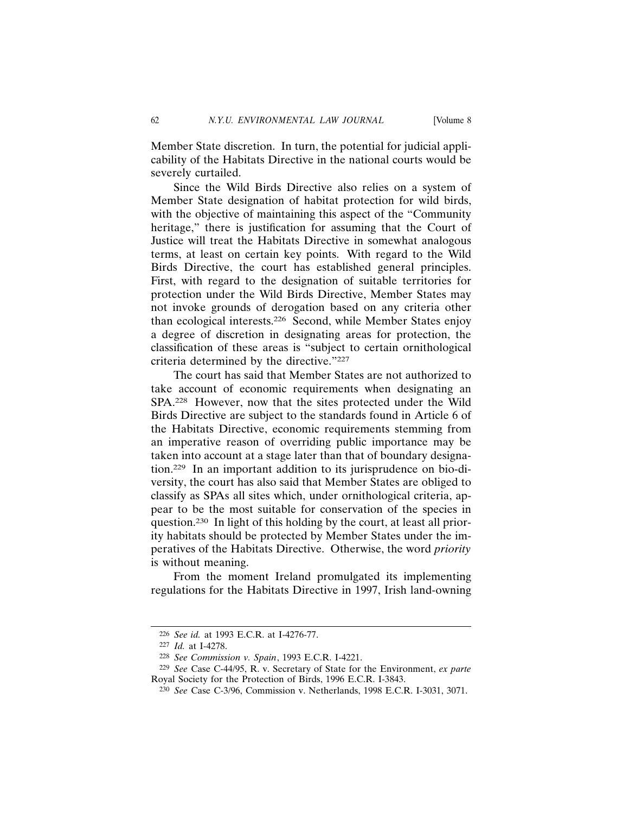Member State discretion. In turn, the potential for judicial applicability of the Habitats Directive in the national courts would be severely curtailed.

Since the Wild Birds Directive also relies on a system of Member State designation of habitat protection for wild birds, with the objective of maintaining this aspect of the "Community heritage," there is justification for assuming that the Court of Justice will treat the Habitats Directive in somewhat analogous terms, at least on certain key points. With regard to the Wild Birds Directive, the court has established general principles. First, with regard to the designation of suitable territories for protection under the Wild Birds Directive, Member States may not invoke grounds of derogation based on any criteria other than ecological interests.226 Second, while Member States enjoy a degree of discretion in designating areas for protection, the classification of these areas is "subject to certain ornithological criteria determined by the directive."227

The court has said that Member States are not authorized to take account of economic requirements when designating an SPA.228 However, now that the sites protected under the Wild Birds Directive are subject to the standards found in Article 6 of the Habitats Directive, economic requirements stemming from an imperative reason of overriding public importance may be taken into account at a stage later than that of boundary designation.229 In an important addition to its jurisprudence on bio-diversity, the court has also said that Member States are obliged to classify as SPAs all sites which, under ornithological criteria, appear to be the most suitable for conservation of the species in question.230 In light of this holding by the court, at least all priority habitats should be protected by Member States under the imperatives of the Habitats Directive. Otherwise, the word *priority* is without meaning.

From the moment Ireland promulgated its implementing regulations for the Habitats Directive in 1997, Irish land-owning

<sup>226</sup> *See id.* at 1993 E.C.R. at I-4276-77.

<sup>227</sup> *Id.* at I-4278.

<sup>228</sup> *See Commission v. Spain*, 1993 E.C.R. I-4221.

<sup>229</sup> *See* Case C-44/95, R. v. Secretary of State for the Environment, *ex parte* Royal Society for the Protection of Birds, 1996 E.C.R. I-3843.

<sup>230</sup> *See* Case C-3/96, Commission v. Netherlands, 1998 E.C.R. I-3031, 3071.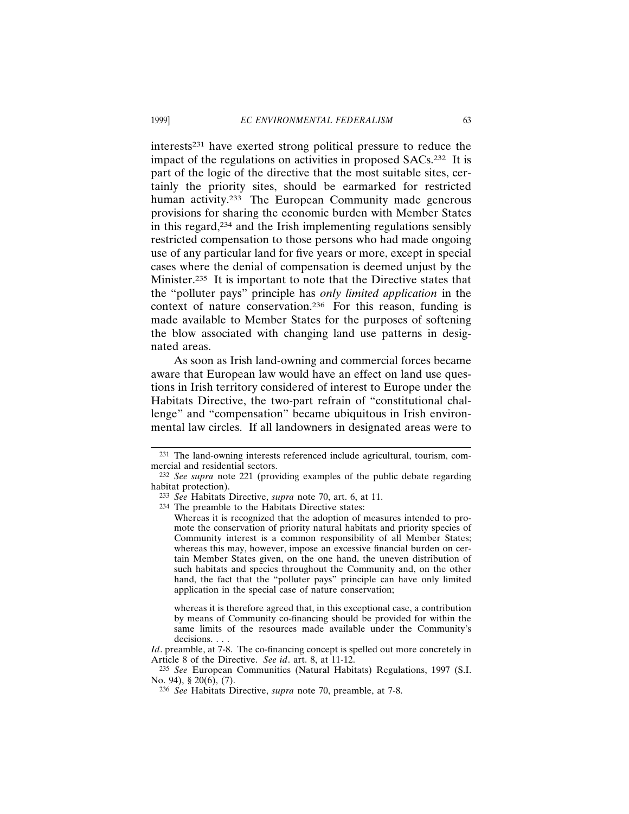interests231 have exerted strong political pressure to reduce the impact of the regulations on activities in proposed SACs.232 It is part of the logic of the directive that the most suitable sites, certainly the priority sites, should be earmarked for restricted human activity.<sup>233</sup> The European Community made generous provisions for sharing the economic burden with Member States in this regard,234 and the Irish implementing regulations sensibly restricted compensation to those persons who had made ongoing use of any particular land for five years or more, except in special cases where the denial of compensation is deemed unjust by the Minister.235 It is important to note that the Directive states that the "polluter pays" principle has *only limited application* in the context of nature conservation.236 For this reason, funding is made available to Member States for the purposes of softening the blow associated with changing land use patterns in designated areas.

As soon as Irish land-owning and commercial forces became aware that European law would have an effect on land use questions in Irish territory considered of interest to Europe under the Habitats Directive, the two-part refrain of "constitutional challenge" and "compensation" became ubiquitous in Irish environmental law circles. If all landowners in designated areas were to

234 The preamble to the Habitats Directive states:

Whereas it is recognized that the adoption of measures intended to promote the conservation of priority natural habitats and priority species of Community interest is a common responsibility of all Member States; whereas this may, however, impose an excessive financial burden on certain Member States given, on the one hand, the uneven distribution of such habitats and species throughout the Community and, on the other hand, the fact that the "polluter pays" principle can have only limited application in the special case of nature conservation;

whereas it is therefore agreed that, in this exceptional case, a contribution by means of Community co-financing should be provided for within the same limits of the resources made available under the Community's decisions. . . .

*Id*. preamble, at 7-8. The co-financing concept is spelled out more concretely in Article 8 of the Directive. *See id*. art. 8, at 11-12.

235 *See* European Communities (Natural Habitats) Regulations, 1997 (S.I. No. 94), § 20(6), (7).

<sup>231</sup> The land-owning interests referenced include agricultural, tourism, commercial and residential sectors.

<sup>232</sup> *See supra* note 221 (providing examples of the public debate regarding habitat protection).

<sup>233</sup> *See* Habitats Directive, *supra* note 70, art. 6, at 11.

<sup>236</sup> *See* Habitats Directive, *supra* note 70, preamble, at 7-8.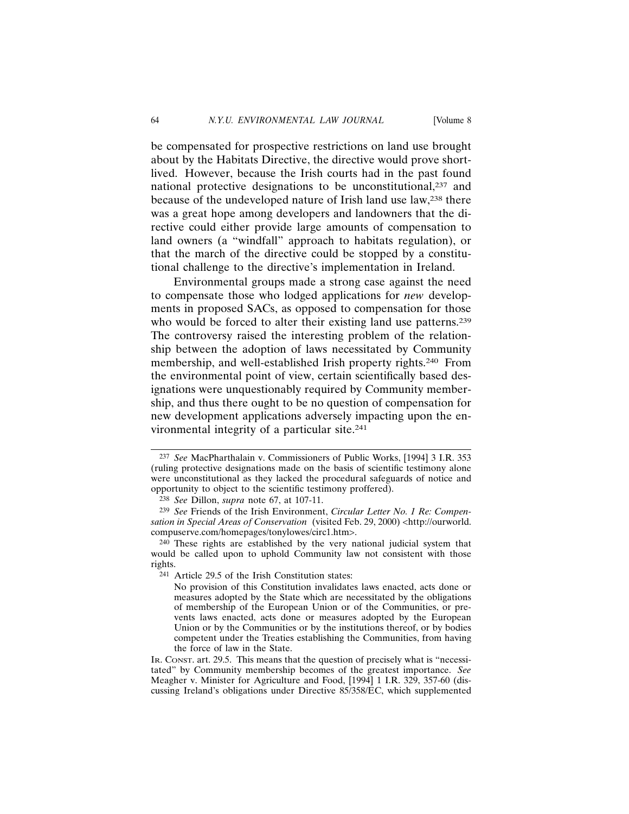be compensated for prospective restrictions on land use brought about by the Habitats Directive, the directive would prove shortlived. However, because the Irish courts had in the past found national protective designations to be unconstitutional,<sup>237</sup> and because of the undeveloped nature of Irish land use law,<sup>238</sup> there was a great hope among developers and landowners that the directive could either provide large amounts of compensation to land owners (a "windfall" approach to habitats regulation), or that the march of the directive could be stopped by a constitutional challenge to the directive's implementation in Ireland.

Environmental groups made a strong case against the need to compensate those who lodged applications for *new* developments in proposed SACs, as opposed to compensation for those who would be forced to alter their existing land use patterns.<sup>239</sup> The controversy raised the interesting problem of the relationship between the adoption of laws necessitated by Community membership, and well-established Irish property rights.240 From the environmental point of view, certain scientifically based designations were unquestionably required by Community membership, and thus there ought to be no question of compensation for new development applications adversely impacting upon the environmental integrity of a particular site.<sup>241</sup>

<sup>237</sup> *See* MacPharthalain v. Commissioners of Public Works, [1994] 3 I.R. 353 (ruling protective designations made on the basis of scientific testimony alone were unconstitutional as they lacked the procedural safeguards of notice and opportunity to object to the scientific testimony proffered).

<sup>238</sup> *See* Dillon, *supra* note 67, at 107-11.

<sup>239</sup> *See* Friends of the Irish Environment, *Circular Letter No. 1 Re: Compensation in Special Areas of Conservation* (visited Feb. 29, 2000) <http://ourworld. compuserve.com/homepages/tonylowes/circ1.htm>.

<sup>240</sup> These rights are established by the very national judicial system that would be called upon to uphold Community law not consistent with those rights.

<sup>241</sup> Article 29.5 of the Irish Constitution states:

No provision of this Constitution invalidates laws enacted, acts done or measures adopted by the State which are necessitated by the obligations of membership of the European Union or of the Communities, or prevents laws enacted, acts done or measures adopted by the European Union or by the Communities or by the institutions thereof, or by bodies competent under the Treaties establishing the Communities, from having the force of law in the State.

IR. CONST. art. 29.5. This means that the question of precisely what is "necessitated" by Community membership becomes of the greatest importance. *See* Meagher v. Minister for Agriculture and Food, [1994] 1 I.R. 329, 357-60 (discussing Ireland's obligations under Directive 85/358/EC, which supplemented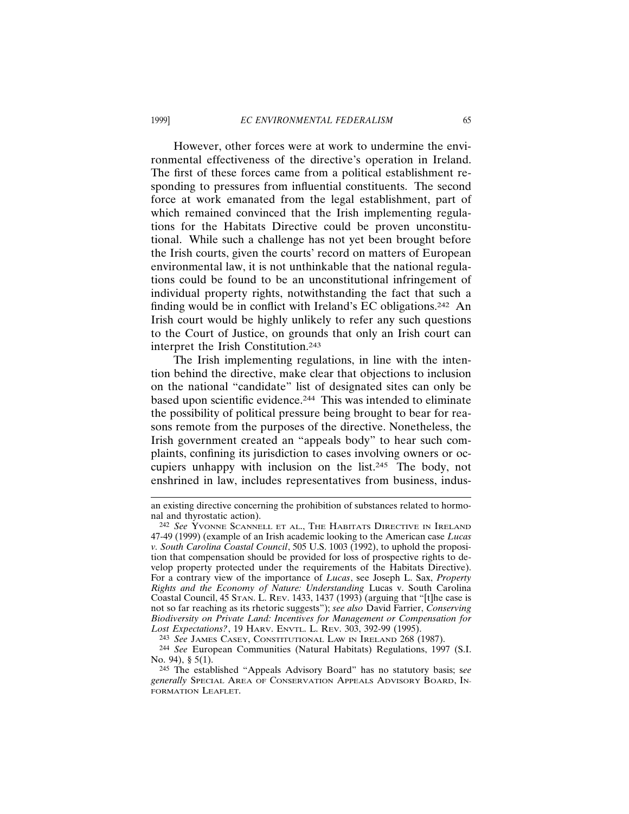However, other forces were at work to undermine the environmental effectiveness of the directive's operation in Ireland. The first of these forces came from a political establishment responding to pressures from influential constituents. The second force at work emanated from the legal establishment, part of which remained convinced that the Irish implementing regulations for the Habitats Directive could be proven unconstitutional. While such a challenge has not yet been brought before the Irish courts, given the courts' record on matters of European environmental law, it is not unthinkable that the national regulations could be found to be an unconstitutional infringement of individual property rights, notwithstanding the fact that such a finding would be in conflict with Ireland's EC obligations.242 An Irish court would be highly unlikely to refer any such questions to the Court of Justice, on grounds that only an Irish court can interpret the Irish Constitution.243

The Irish implementing regulations, in line with the intention behind the directive, make clear that objections to inclusion on the national "candidate" list of designated sites can only be based upon scientific evidence.244 This was intended to eliminate the possibility of political pressure being brought to bear for reasons remote from the purposes of the directive. Nonetheless, the Irish government created an "appeals body" to hear such complaints, confining its jurisdiction to cases involving owners or occupiers unhappy with inclusion on the list.245 The body, not enshrined in law, includes representatives from business, indus-

an existing directive concerning the prohibition of substances related to hormonal and thyrostatic action).

<sup>242</sup> *See* YVONNE SCANNELL ET AL., THE HABITATS DIRECTIVE IN IRELAND 47-49 (1999) (example of an Irish academic looking to the American case *Lucas v. South Carolina Coastal Council*, 505 U.S. 1003 (1992), to uphold the proposition that compensation should be provided for loss of prospective rights to develop property protected under the requirements of the Habitats Directive). For a contrary view of the importance of *Lucas*, see Joseph L. Sax, *Property Rights and the Economy of Nature: Understanding* Lucas v. South Carolina Coastal Council, 45 STAN. L. REV. 1433, 1437 (1993) (arguing that "[t]he case is not so far reaching as its rhetoric suggests"); *see also* David Farrier, *Conserving Biodiversity on Private Land: Incentives for Management or Compensation for Lost Expectations?*, 19 HARV. ENVTL. L. REV. 303, 392-99 (1995).

<sup>243</sup> *See* JAMES CASEY, CONSTITUTIONAL LAW IN IRELAND 268 (1987).

<sup>244</sup> *See* European Communities (Natural Habitats) Regulations, 1997 (S.I. No. 94), § 5(1).

<sup>245</sup> The established "Appeals Advisory Board" has no statutory basis; s*ee generally* SPECIAL AREA OF CONSERVATION APPEALS ADVISORY BOARD, IN-FORMATION LEAFLET.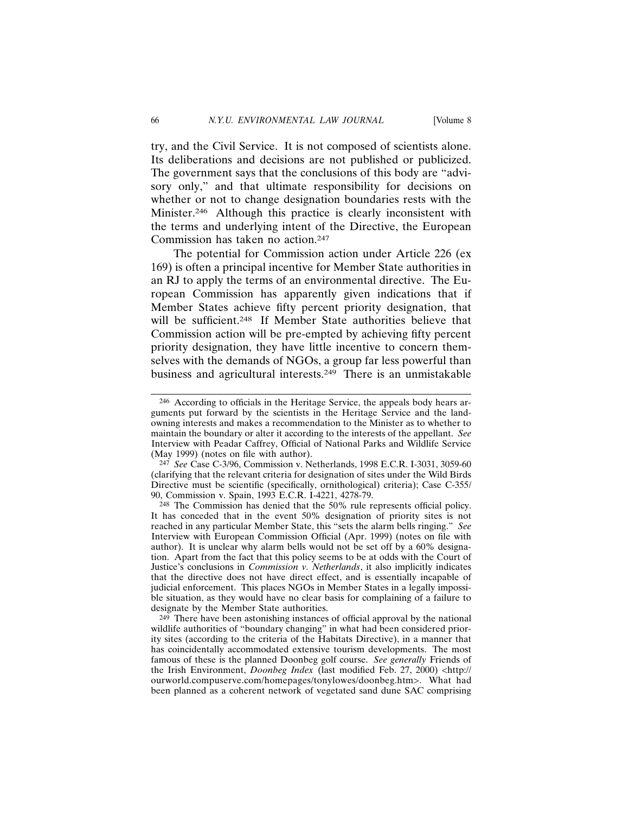try, and the Civil Service. It is not composed of scientists alone. Its deliberations and decisions are not published or publicized. The government says that the conclusions of this body are "advisory only," and that ultimate responsibility for decisions on whether or not to change designation boundaries rests with the Minister.246 Although this practice is clearly inconsistent with the terms and underlying intent of the Directive, the European Commission has taken no action.247

The potential for Commission action under Article 226 (ex 169) is often a principal incentive for Member State authorities in an RJ to apply the terms of an environmental directive. The European Commission has apparently given indications that if Member States achieve fifty percent priority designation, that will be sufficient.<sup>248</sup> If Member State authorities believe that Commission action will be pre-empted by achieving fifty percent priority designation, they have little incentive to concern themselves with the demands of NGOs, a group far less powerful than business and agricultural interests.249 There is an unmistakable

<sup>246</sup> According to officials in the Heritage Service, the appeals body hears arguments put forward by the scientists in the Heritage Service and the landowning interests and makes a recommendation to the Minister as to whether to maintain the boundary or alter it according to the interests of the appellant. *See* Interview with Peadar Caffrey, Official of National Parks and Wildlife Service (May 1999) (notes on file with author).

<sup>247</sup> *See* Case C-3/96, Commission v. Netherlands, 1998 E.C.R. I-3031, 3059-60 (clarifying that the relevant criteria for designation of sites under the Wild Birds Directive must be scientific (specifically, ornithological) criteria); Case C-355/ 90, Commission v. Spain, 1993 E.C.R. I-4221, 4278-79.

<sup>248</sup> The Commission has denied that the 50% rule represents official policy. It has conceded that in the event 50% designation of priority sites is not reached in any particular Member State, this "sets the alarm bells ringing." *See* Interview with European Commission Official (Apr. 1999) (notes on file with author). It is unclear why alarm bells would not be set off by a 60% designation. Apart from the fact that this policy seems to be at odds with the Court of Justice's conclusions in *Commission v. Netherlands*, it also implicitly indicates that the directive does not have direct effect, and is essentially incapable of judicial enforcement. This places NGOs in Member States in a legally impossible situation, as they would have no clear basis for complaining of a failure to designate by the Member State authorities.

<sup>249</sup> There have been astonishing instances of official approval by the national wildlife authorities of "boundary changing" in what had been considered priority sites (according to the criteria of the Habitats Directive), in a manner that has coincidentally accommodated extensive tourism developments. The most famous of these is the planned Doonbeg golf course. *See generally* Friends of the Irish Environment, *Doonbeg Index* (last modified Feb. 27, 2000) <http:// ourworld.compuserve.com/homepages/tonylowes/doonbeg.htm>. What had been planned as a coherent network of vegetated sand dune SAC comprising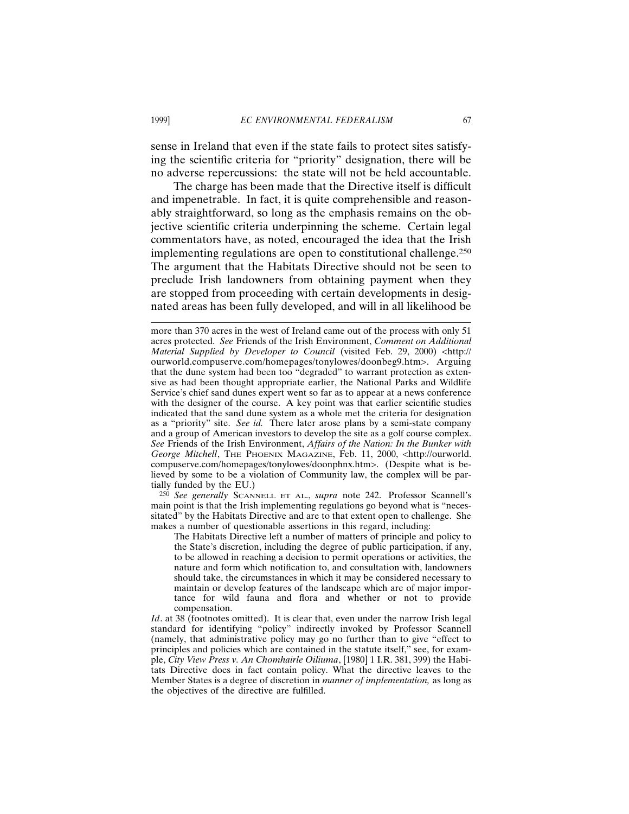sense in Ireland that even if the state fails to protect sites satisfying the scientific criteria for "priority" designation, there will be no adverse repercussions: the state will not be held accountable.

The charge has been made that the Directive itself is difficult and impenetrable. In fact, it is quite comprehensible and reasonably straightforward, so long as the emphasis remains on the objective scientific criteria underpinning the scheme. Certain legal commentators have, as noted, encouraged the idea that the Irish implementing regulations are open to constitutional challenge.250 The argument that the Habitats Directive should not be seen to preclude Irish landowners from obtaining payment when they are stopped from proceeding with certain developments in designated areas has been fully developed, and will in all likelihood be

250 *See generally* SCANNELL ET AL., *supra* note 242. Professor Scannell's main point is that the Irish implementing regulations go beyond what is "necessitated" by the Habitats Directive and are to that extent open to challenge. She makes a number of questionable assertions in this regard, including:

The Habitats Directive left a number of matters of principle and policy to the State's discretion, including the degree of public participation, if any, to be allowed in reaching a decision to permit operations or activities, the nature and form which notification to, and consultation with, landowners should take, the circumstances in which it may be considered necessary to maintain or develop features of the landscape which are of major importance for wild fauna and flora and whether or not to provide compensation.

*Id*. at 38 (footnotes omitted). It is clear that, even under the narrow Irish legal standard for identifying "policy" indirectly invoked by Professor Scannell (namely, that administrative policy may go no further than to give "effect to principles and policies which are contained in the statute itself," see, for example, *City View Press v. An Chomhairle Oiliuma*, [1980] 1 I.R. 381, 399) the Habitats Directive does in fact contain policy. What the directive leaves to the Member States is a degree of discretion in *manner of implementation,* as long as the objectives of the directive are fulfilled.

more than 370 acres in the west of Ireland came out of the process with only 51 acres protected. *See* Friends of the Irish Environment, *Comment on Additional Material Supplied by Developer to Council* (visited Feb. 29, 2000) <http:// ourworld.compuserve.com/homepages/tonylowes/doonbeg9.htm>. Arguing that the dune system had been too "degraded" to warrant protection as extensive as had been thought appropriate earlier, the National Parks and Wildlife Service's chief sand dunes expert went so far as to appear at a news conference with the designer of the course. A key point was that earlier scientific studies indicated that the sand dune system as a whole met the criteria for designation as a "priority" site. *See id.* There later arose plans by a semi-state company and a group of American investors to develop the site as a golf course complex. *See* Friends of the Irish Environment, *Affairs of the Nation: In the Bunker with George Mitchell*, THE PHOENIX MAGAZINE, Feb. 11, 2000, <http://ourworld. compuserve.com/homepages/tonylowes/doonphnx.htm>. (Despite what is believed by some to be a violation of Community law, the complex will be partially funded by the EU.)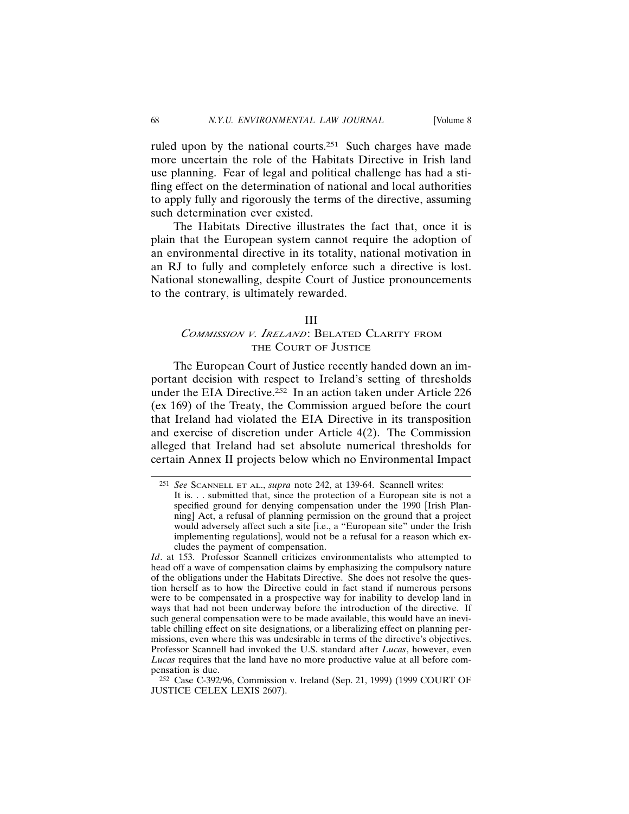ruled upon by the national courts.<sup>251</sup> Such charges have made more uncertain the role of the Habitats Directive in Irish land use planning. Fear of legal and political challenge has had a stifling effect on the determination of national and local authorities to apply fully and rigorously the terms of the directive, assuming such determination ever existed.

The Habitats Directive illustrates the fact that, once it is plain that the European system cannot require the adoption of an environmental directive in its totality, national motivation in an RJ to fully and completely enforce such a directive is lost. National stonewalling, despite Court of Justice pronouncements to the contrary, is ultimately rewarded.

#### III

# *COMMISSION <sup>V</sup>. IRELAND*: BELATED CLARITY FROM THE COURT OF JUSTICE

The European Court of Justice recently handed down an important decision with respect to Ireland's setting of thresholds under the EIA Directive.252 In an action taken under Article 226 (ex 169) of the Treaty, the Commission argued before the court that Ireland had violated the EIA Directive in its transposition and exercise of discretion under Article 4(2). The Commission alleged that Ireland had set absolute numerical thresholds for certain Annex II projects below which no Environmental Impact

<sup>251</sup> *See* SCANNELL ET AL., *supra* note 242, at 139-64. Scannell writes: It is. . . submitted that, since the protection of a European site is not a specified ground for denying compensation under the 1990 [Irish Planning] Act, a refusal of planning permission on the ground that a project would adversely affect such a site [i.e., a "European site" under the Irish implementing regulations], would not be a refusal for a reason which excludes the payment of compensation.

*Id*. at 153. Professor Scannell criticizes environmentalists who attempted to head off a wave of compensation claims by emphasizing the compulsory nature of the obligations under the Habitats Directive. She does not resolve the question herself as to how the Directive could in fact stand if numerous persons were to be compensated in a prospective way for inability to develop land in ways that had not been underway before the introduction of the directive. If such general compensation were to be made available, this would have an inevitable chilling effect on site designations, or a liberalizing effect on planning permissions, even where this was undesirable in terms of the directive's objectives. Professor Scannell had invoked the U.S. standard after *Lucas*, however, even *Lucas* requires that the land have no more productive value at all before compensation is due.

<sup>252</sup> Case C-392/96, Commission v. Ireland (Sep. 21, 1999) (1999 COURT OF JUSTICE CELEX LEXIS 2607).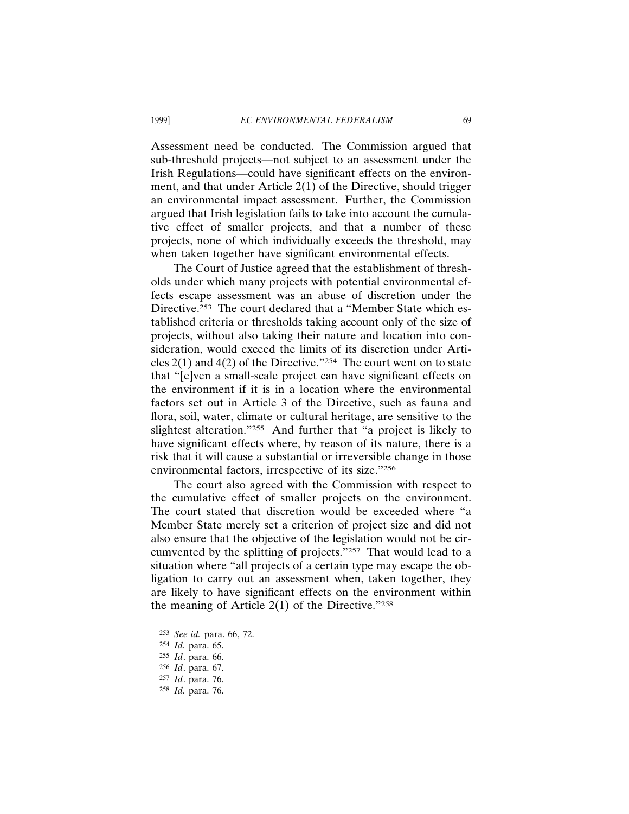Assessment need be conducted. The Commission argued that sub-threshold projects—not subject to an assessment under the Irish Regulations—could have significant effects on the environment, and that under Article 2(1) of the Directive, should trigger an environmental impact assessment. Further, the Commission argued that Irish legislation fails to take into account the cumulative effect of smaller projects, and that a number of these projects, none of which individually exceeds the threshold, may when taken together have significant environmental effects.

The Court of Justice agreed that the establishment of thresholds under which many projects with potential environmental effects escape assessment was an abuse of discretion under the Directive.253 The court declared that a "Member State which established criteria or thresholds taking account only of the size of projects, without also taking their nature and location into consideration, would exceed the limits of its discretion under Articles  $2(1)$  and  $4(2)$  of the Directive."<sup>254</sup> The court went on to state that "[e]ven a small-scale project can have significant effects on the environment if it is in a location where the environmental factors set out in Article 3 of the Directive, such as fauna and flora, soil, water, climate or cultural heritage, are sensitive to the slightest alteration."255 And further that "a project is likely to have significant effects where, by reason of its nature, there is a risk that it will cause a substantial or irreversible change in those environmental factors, irrespective of its size."256

The court also agreed with the Commission with respect to the cumulative effect of smaller projects on the environment. The court stated that discretion would be exceeded where "a Member State merely set a criterion of project size and did not also ensure that the objective of the legislation would not be circumvented by the splitting of projects."257 That would lead to a situation where "all projects of a certain type may escape the obligation to carry out an assessment when, taken together, they are likely to have significant effects on the environment within the meaning of Article  $2(1)$  of the Directive."<sup>258</sup>

<sup>253</sup> *See id.* para. 66, 72.

<sup>254</sup> *Id.* para. 65.

<sup>255</sup> *Id*. para. 66.

<sup>256</sup> *Id*. para. 67.

<sup>257</sup> *Id*. para. 76.

<sup>258</sup> *Id.* para. 76.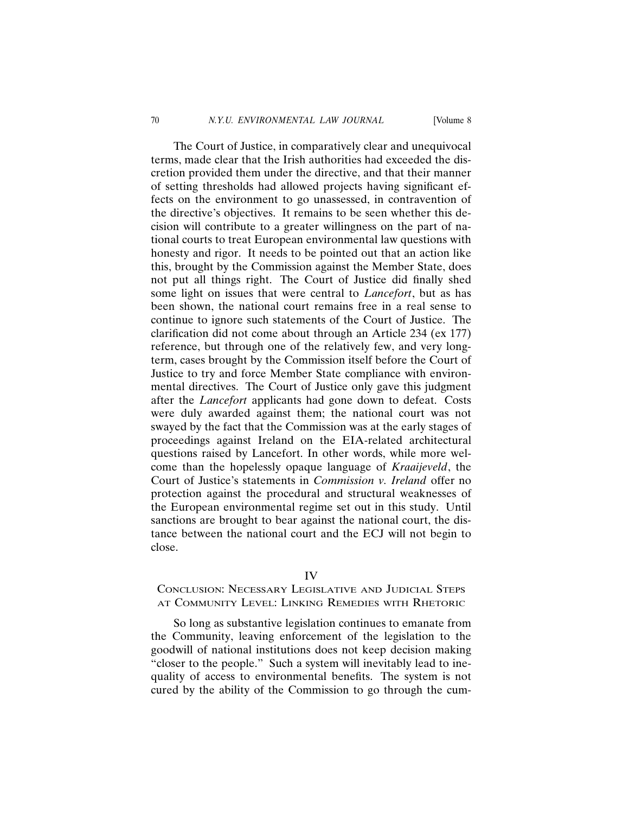The Court of Justice, in comparatively clear and unequivocal terms, made clear that the Irish authorities had exceeded the discretion provided them under the directive, and that their manner of setting thresholds had allowed projects having significant effects on the environment to go unassessed, in contravention of the directive's objectives. It remains to be seen whether this decision will contribute to a greater willingness on the part of national courts to treat European environmental law questions with honesty and rigor. It needs to be pointed out that an action like this, brought by the Commission against the Member State, does not put all things right. The Court of Justice did finally shed some light on issues that were central to *Lancefort*, but as has been shown, the national court remains free in a real sense to continue to ignore such statements of the Court of Justice. The clarification did not come about through an Article 234 (ex 177) reference, but through one of the relatively few, and very longterm, cases brought by the Commission itself before the Court of Justice to try and force Member State compliance with environmental directives. The Court of Justice only gave this judgment after the *Lancefort* applicants had gone down to defeat. Costs were duly awarded against them; the national court was not swayed by the fact that the Commission was at the early stages of proceedings against Ireland on the EIA-related architectural questions raised by Lancefort. In other words, while more welcome than the hopelessly opaque language of *Kraaijeveld*, the Court of Justice's statements in *Commission v. Ireland* offer no protection against the procedural and structural weaknesses of the European environmental regime set out in this study. Until sanctions are brought to bear against the national court, the distance between the national court and the ECJ will not begin to close.

### IV

## CONCLUSION: NECESSARY LEGISLATIVE AND JUDICIAL STEPS AT COMMUNITY LEVEL: LINKING REMEDIES WITH RHETORIC

So long as substantive legislation continues to emanate from the Community, leaving enforcement of the legislation to the goodwill of national institutions does not keep decision making "closer to the people." Such a system will inevitably lead to inequality of access to environmental benefits. The system is not cured by the ability of the Commission to go through the cum-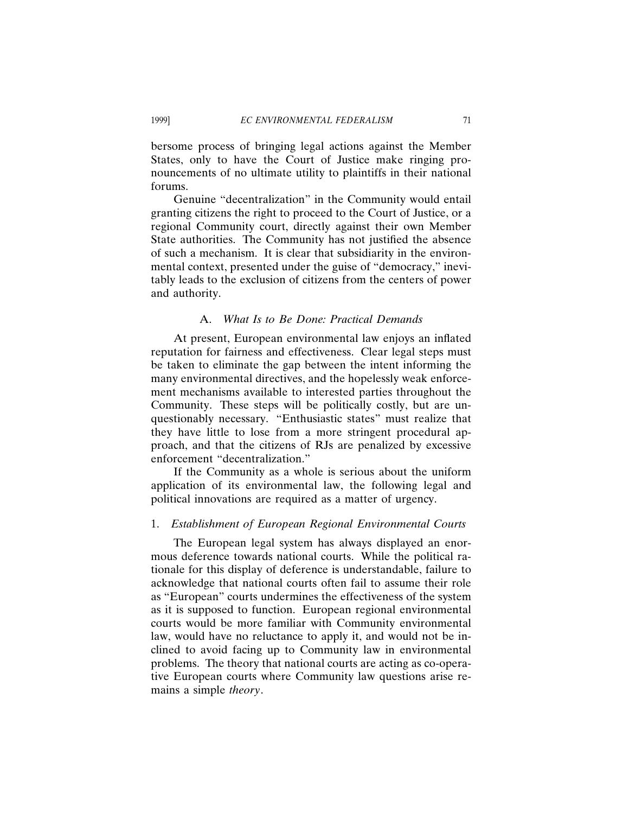bersome process of bringing legal actions against the Member States, only to have the Court of Justice make ringing pronouncements of no ultimate utility to plaintiffs in their national forums.

Genuine "decentralization" in the Community would entail granting citizens the right to proceed to the Court of Justice, or a regional Community court, directly against their own Member State authorities. The Community has not justified the absence of such a mechanism. It is clear that subsidiarity in the environmental context, presented under the guise of "democracy," inevitably leads to the exclusion of citizens from the centers of power and authority.

### A. *What Is to Be Done: Practical Demands*

At present, European environmental law enjoys an inflated reputation for fairness and effectiveness. Clear legal steps must be taken to eliminate the gap between the intent informing the many environmental directives, and the hopelessly weak enforcement mechanisms available to interested parties throughout the Community. These steps will be politically costly, but are unquestionably necessary. "Enthusiastic states" must realize that they have little to lose from a more stringent procedural approach, and that the citizens of RJs are penalized by excessive enforcement "decentralization."

If the Community as a whole is serious about the uniform application of its environmental law, the following legal and political innovations are required as a matter of urgency.

### 1. *Establishment of European Regional Environmental Courts*

The European legal system has always displayed an enormous deference towards national courts. While the political rationale for this display of deference is understandable, failure to acknowledge that national courts often fail to assume their role as "European" courts undermines the effectiveness of the system as it is supposed to function. European regional environmental courts would be more familiar with Community environmental law, would have no reluctance to apply it, and would not be inclined to avoid facing up to Community law in environmental problems. The theory that national courts are acting as co-operative European courts where Community law questions arise remains a simple *theory*.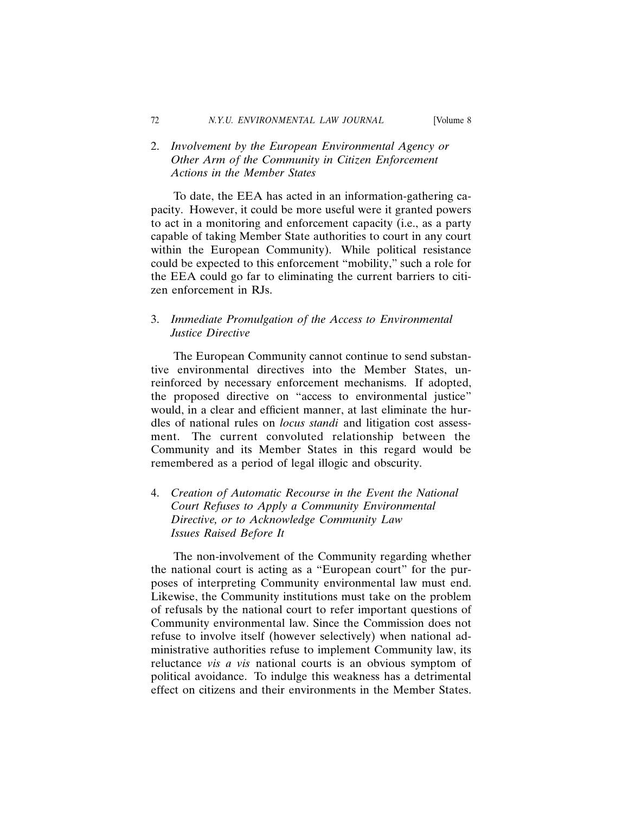# 2. *Involvement by the European Environmental Agency or Other Arm of the Community in Citizen Enforcement Actions in the Member States*

To date, the EEA has acted in an information-gathering capacity. However, it could be more useful were it granted powers to act in a monitoring and enforcement capacity (i.e., as a party capable of taking Member State authorities to court in any court within the European Community). While political resistance could be expected to this enforcement "mobility," such a role for the EEA could go far to eliminating the current barriers to citizen enforcement in RJs.

# 3. *Immediate Promulgation of the Access to Environmental Justice Directive*

The European Community cannot continue to send substantive environmental directives into the Member States, unreinforced by necessary enforcement mechanisms. If adopted, the proposed directive on "access to environmental justice" would, in a clear and efficient manner, at last eliminate the hurdles of national rules on *locus standi* and litigation cost assessment. The current convoluted relationship between the Community and its Member States in this regard would be remembered as a period of legal illogic and obscurity.

4. *Creation of Automatic Recourse in the Event the National Court Refuses to Apply a Community Environmental Directive, or to Acknowledge Community Law Issues Raised Before It*

The non-involvement of the Community regarding whether the national court is acting as a "European court" for the purposes of interpreting Community environmental law must end. Likewise, the Community institutions must take on the problem of refusals by the national court to refer important questions of Community environmental law. Since the Commission does not refuse to involve itself (however selectively) when national administrative authorities refuse to implement Community law, its reluctance *vis a vis* national courts is an obvious symptom of political avoidance. To indulge this weakness has a detrimental effect on citizens and their environments in the Member States.